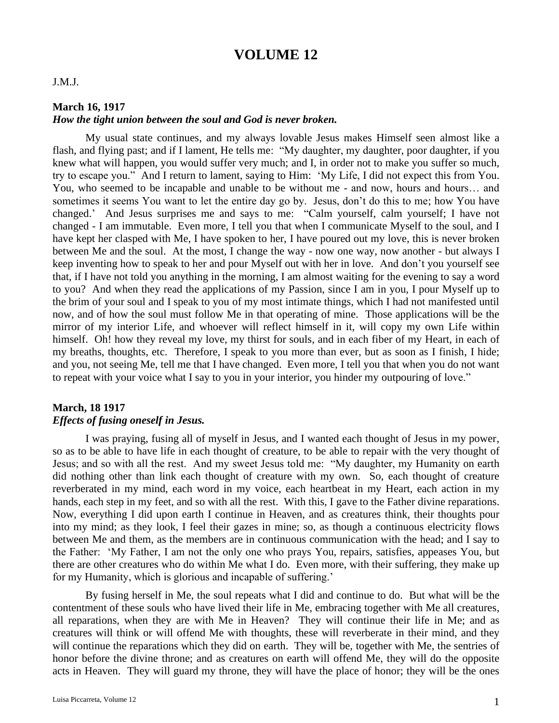# **VOLUME 12**

## J.M.J.

### **March 16, 1917**

## *How the tight union between the soul and God is never broken.*

My usual state continues, and my always lovable Jesus makes Himself seen almost like a flash, and flying past; and if I lament, He tells me: "My daughter, my daughter, poor daughter, if you knew what will happen, you would suffer very much; and I, in order not to make you suffer so much, try to escape you." And I return to lament, saying to Him: 'My Life, I did not expect this from You. You, who seemed to be incapable and unable to be without me - and now, hours and hours… and sometimes it seems You want to let the entire day go by. Jesus, don't do this to me; how You have changed.' And Jesus surprises me and says to me: "Calm yourself, calm yourself; I have not changed - I am immutable. Even more, I tell you that when I communicate Myself to the soul, and I have kept her clasped with Me, I have spoken to her, I have poured out my love, this is never broken between Me and the soul. At the most, I change the way - now one way, now another - but always I keep inventing how to speak to her and pour Myself out with her in love. And don't you yourself see that, if I have not told you anything in the morning, I am almost waiting for the evening to say a word to you? And when they read the applications of my Passion, since I am in you, I pour Myself up to the brim of your soul and I speak to you of my most intimate things, which I had not manifested until now, and of how the soul must follow Me in that operating of mine. Those applications will be the mirror of my interior Life, and whoever will reflect himself in it, will copy my own Life within himself. Oh! how they reveal my love, my thirst for souls, and in each fiber of my Heart, in each of my breaths, thoughts, etc. Therefore, I speak to you more than ever, but as soon as I finish, I hide; and you, not seeing Me, tell me that I have changed. Even more, I tell you that when you do not want to repeat with your voice what I say to you in your interior, you hinder my outpouring of love."

## **March, 18 1917** *Effects of fusing oneself in Jesus.*

I was praying, fusing all of myself in Jesus, and I wanted each thought of Jesus in my power, so as to be able to have life in each thought of creature, to be able to repair with the very thought of Jesus; and so with all the rest. And my sweet Jesus told me: "My daughter, my Humanity on earth did nothing other than link each thought of creature with my own. So, each thought of creature reverberated in my mind, each word in my voice, each heartbeat in my Heart, each action in my hands, each step in my feet, and so with all the rest. With this, I gave to the Father divine reparations. Now, everything I did upon earth I continue in Heaven, and as creatures think, their thoughts pour into my mind; as they look, I feel their gazes in mine; so, as though a continuous electricity flows between Me and them, as the members are in continuous communication with the head; and I say to the Father: 'My Father, I am not the only one who prays You, repairs, satisfies, appeases You, but there are other creatures who do within Me what I do. Even more, with their suffering, they make up for my Humanity, which is glorious and incapable of suffering.'

By fusing herself in Me, the soul repeats what I did and continue to do. But what will be the contentment of these souls who have lived their life in Me, embracing together with Me all creatures, all reparations, when they are with Me in Heaven? They will continue their life in Me; and as creatures will think or will offend Me with thoughts, these will reverberate in their mind, and they will continue the reparations which they did on earth. They will be, together with Me, the sentries of honor before the divine throne; and as creatures on earth will offend Me, they will do the opposite acts in Heaven. They will guard my throne, they will have the place of honor; they will be the ones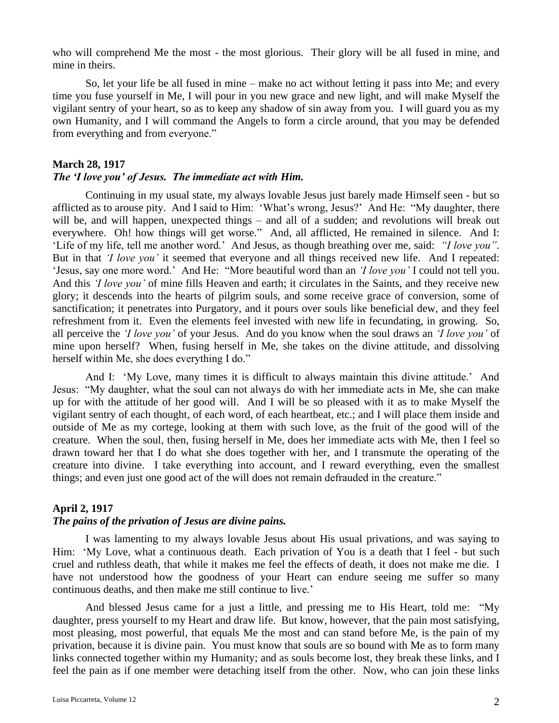who will comprehend Me the most - the most glorious. Their glory will be all fused in mine, and mine in theirs.

So, let your life be all fused in mine – make no act without letting it pass into Me; and every time you fuse yourself in Me, I will pour in you new grace and new light, and will make Myself the vigilant sentry of your heart, so as to keep any shadow of sin away from you. I will guard you as my own Humanity, and I will command the Angels to form a circle around, that you may be defended from everything and from everyone."

### **March 28, 1917**

### *The 'I love you' of Jesus. The immediate act with Him.*

Continuing in my usual state, my always lovable Jesus just barely made Himself seen - but so afflicted as to arouse pity. And I said to Him: 'What's wrong, Jesus?' And He: "My daughter, there will be, and will happen, unexpected things – and all of a sudden; and revolutions will break out everywhere. Oh! how things will get worse." And, all afflicted, He remained in silence. And I: 'Life of my life, tell me another word.' And Jesus, as though breathing over me, said: *"I love you".*  But in that *'I love you'* it seemed that everyone and all things received new life. And I repeated: 'Jesus, say one more word.' And He: "More beautiful word than an *'I love you'* I could not tell you. And this *'I love you'* of mine fills Heaven and earth; it circulates in the Saints, and they receive new glory; it descends into the hearts of pilgrim souls, and some receive grace of conversion, some of sanctification; it penetrates into Purgatory, and it pours over souls like beneficial dew, and they feel refreshment from it. Even the elements feel invested with new life in fecundating, in growing. So, all perceive the *'I love you'* of your Jesus. And do you know when the soul draws an *'I love you'* of mine upon herself? When, fusing herself in Me, she takes on the divine attitude, and dissolving herself within Me, she does everything I do."

And I: 'My Love, many times it is difficult to always maintain this divine attitude.' And Jesus: "My daughter, what the soul can not always do with her immediate acts in Me, she can make up for with the attitude of her good will. And I will be so pleased with it as to make Myself the vigilant sentry of each thought, of each word, of each heartbeat, etc.; and I will place them inside and outside of Me as my cortege, looking at them with such love, as the fruit of the good will of the creature. When the soul, then, fusing herself in Me, does her immediate acts with Me, then I feel so drawn toward her that I do what she does together with her, and I transmute the operating of the creature into divine. I take everything into account, and I reward everything, even the smallest things; and even just one good act of the will does not remain defrauded in the creature."

## **April 2, 1917**

### *The pains of the privation of Jesus are divine pains.*

I was lamenting to my always lovable Jesus about His usual privations, and was saying to Him: 'My Love, what a continuous death. Each privation of You is a death that I feel - but such cruel and ruthless death, that while it makes me feel the effects of death, it does not make me die. I have not understood how the goodness of your Heart can endure seeing me suffer so many continuous deaths, and then make me still continue to live.'

And blessed Jesus came for a just a little, and pressing me to His Heart, told me: "My daughter, press yourself to my Heart and draw life. But know, however, that the pain most satisfying, most pleasing, most powerful, that equals Me the most and can stand before Me, is the pain of my privation, because it is divine pain. You must know that souls are so bound with Me as to form many links connected together within my Humanity; and as souls become lost, they break these links, and I feel the pain as if one member were detaching itself from the other. Now, who can join these links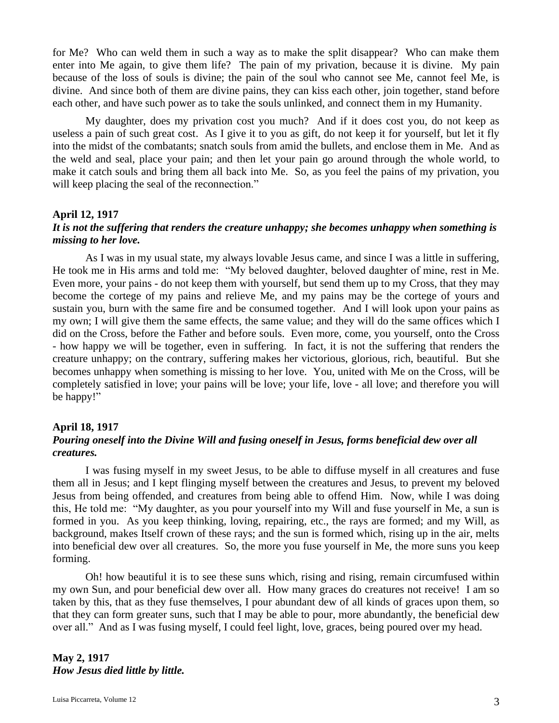for Me? Who can weld them in such a way as to make the split disappear? Who can make them enter into Me again, to give them life? The pain of my privation, because it is divine. My pain because of the loss of souls is divine; the pain of the soul who cannot see Me, cannot feel Me, is divine. And since both of them are divine pains, they can kiss each other, join together, stand before each other, and have such power as to take the souls unlinked, and connect them in my Humanity.

My daughter, does my privation cost you much? And if it does cost you, do not keep as useless a pain of such great cost. As I give it to you as gift, do not keep it for yourself, but let it fly into the midst of the combatants; snatch souls from amid the bullets, and enclose them in Me. And as the weld and seal, place your pain; and then let your pain go around through the whole world, to make it catch souls and bring them all back into Me. So, as you feel the pains of my privation, you will keep placing the seal of the reconnection."

### **April 12, 1917**

# *It is not the suffering that renders the creature unhappy; she becomes unhappy when something is missing to her love.*

As I was in my usual state, my always lovable Jesus came, and since I was a little in suffering, He took me in His arms and told me: "My beloved daughter, beloved daughter of mine, rest in Me. Even more, your pains - do not keep them with yourself, but send them up to my Cross, that they may become the cortege of my pains and relieve Me, and my pains may be the cortege of yours and sustain you, burn with the same fire and be consumed together. And I will look upon your pains as my own; I will give them the same effects, the same value; and they will do the same offices which I did on the Cross, before the Father and before souls. Even more, come, you yourself, onto the Cross - how happy we will be together, even in suffering. In fact, it is not the suffering that renders the creature unhappy; on the contrary, suffering makes her victorious, glorious, rich, beautiful. But she becomes unhappy when something is missing to her love. You, united with Me on the Cross, will be completely satisfied in love; your pains will be love; your life, love - all love; and therefore you will be happy!"

### **April 18, 1917**

# *Pouring oneself into the Divine Will and fusing oneself in Jesus, forms beneficial dew over all creatures.*

I was fusing myself in my sweet Jesus, to be able to diffuse myself in all creatures and fuse them all in Jesus; and I kept flinging myself between the creatures and Jesus, to prevent my beloved Jesus from being offended, and creatures from being able to offend Him. Now, while I was doing this, He told me: "My daughter, as you pour yourself into my Will and fuse yourself in Me, a sun is formed in you. As you keep thinking, loving, repairing, etc., the rays are formed; and my Will, as background, makes Itself crown of these rays; and the sun is formed which, rising up in the air, melts into beneficial dew over all creatures. So, the more you fuse yourself in Me, the more suns you keep forming.

Oh! how beautiful it is to see these suns which, rising and rising, remain circumfused within my own Sun, and pour beneficial dew over all. How many graces do creatures not receive! I am so taken by this, that as they fuse themselves, I pour abundant dew of all kinds of graces upon them, so that they can form greater suns, such that I may be able to pour, more abundantly, the beneficial dew over all." And as I was fusing myself, I could feel light, love, graces, being poured over my head.

**May 2, 1917** *How Jesus died little by little.*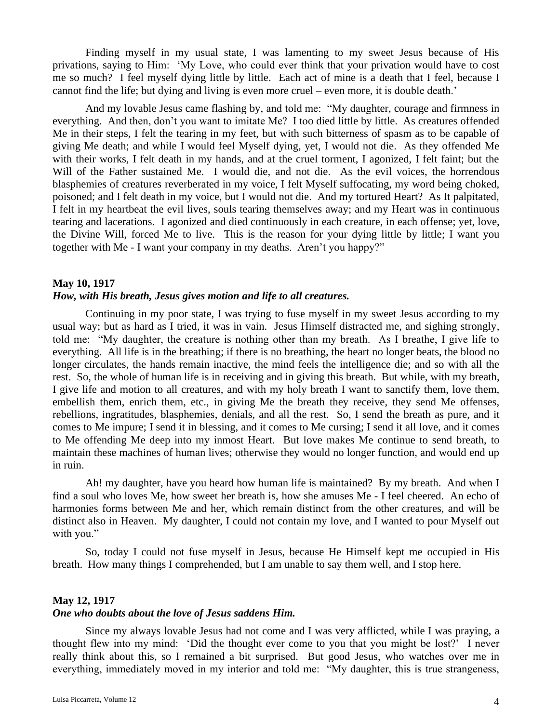Finding myself in my usual state, I was lamenting to my sweet Jesus because of His privations, saying to Him: 'My Love, who could ever think that your privation would have to cost me so much? I feel myself dying little by little. Each act of mine is a death that I feel, because I cannot find the life; but dying and living is even more cruel – even more, it is double death.'

And my lovable Jesus came flashing by, and told me: "My daughter, courage and firmness in everything. And then, don't you want to imitate Me? I too died little by little. As creatures offended Me in their steps, I felt the tearing in my feet, but with such bitterness of spasm as to be capable of giving Me death; and while I would feel Myself dying, yet, I would not die. As they offended Me with their works, I felt death in my hands, and at the cruel torment, I agonized, I felt faint; but the Will of the Father sustained Me. I would die, and not die. As the evil voices, the horrendous blasphemies of creatures reverberated in my voice, I felt Myself suffocating, my word being choked, poisoned; and I felt death in my voice, but I would not die. And my tortured Heart? As It palpitated, I felt in my heartbeat the evil lives, souls tearing themselves away; and my Heart was in continuous tearing and lacerations. I agonized and died continuously in each creature, in each offense; yet, love, the Divine Will, forced Me to live. This is the reason for your dying little by little; I want you together with Me - I want your company in my deaths. Aren't you happy?"

#### **May 10, 1917**

# *How, with His breath, Jesus gives motion and life to all creatures.*

Continuing in my poor state, I was trying to fuse myself in my sweet Jesus according to my usual way; but as hard as I tried, it was in vain. Jesus Himself distracted me, and sighing strongly, told me: "My daughter, the creature is nothing other than my breath. As I breathe, I give life to everything. All life is in the breathing; if there is no breathing, the heart no longer beats, the blood no longer circulates, the hands remain inactive, the mind feels the intelligence die; and so with all the rest. So, the whole of human life is in receiving and in giving this breath. But while, with my breath, I give life and motion to all creatures, and with my holy breath I want to sanctify them, love them, embellish them, enrich them, etc., in giving Me the breath they receive, they send Me offenses, rebellions, ingratitudes, blasphemies, denials, and all the rest. So, I send the breath as pure, and it comes to Me impure; I send it in blessing, and it comes to Me cursing; I send it all love, and it comes to Me offending Me deep into my inmost Heart. But love makes Me continue to send breath, to maintain these machines of human lives; otherwise they would no longer function, and would end up in ruin.

Ah! my daughter, have you heard how human life is maintained? By my breath. And when I find a soul who loves Me, how sweet her breath is, how she amuses Me - I feel cheered. An echo of harmonies forms between Me and her, which remain distinct from the other creatures, and will be distinct also in Heaven. My daughter, I could not contain my love, and I wanted to pour Myself out with you."

So, today I could not fuse myself in Jesus, because He Himself kept me occupied in His breath. How many things I comprehended, but I am unable to say them well, and I stop here.

#### **May 12, 1917**

### *One who doubts about the love of Jesus saddens Him.*

Since my always lovable Jesus had not come and I was very afflicted, while I was praying, a thought flew into my mind: 'Did the thought ever come to you that you might be lost?' I never really think about this, so I remained a bit surprised. But good Jesus, who watches over me in everything, immediately moved in my interior and told me: "My daughter, this is true strangeness,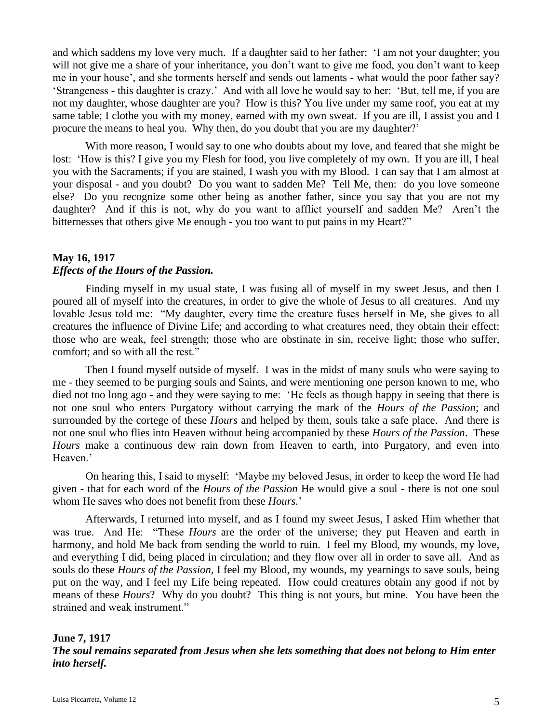and which saddens my love very much. If a daughter said to her father: 'I am not your daughter; you will not give me a share of your inheritance, you don't want to give me food, you don't want to keep me in your house', and she torments herself and sends out laments - what would the poor father say? 'Strangeness - this daughter is crazy.' And with all love he would say to her: 'But, tell me, if you are not my daughter, whose daughter are you? How is this? You live under my same roof, you eat at my same table; I clothe you with my money, earned with my own sweat. If you are ill, I assist you and I procure the means to heal you. Why then, do you doubt that you are my daughter?'

With more reason, I would say to one who doubts about my love, and feared that she might be lost: 'How is this? I give you my Flesh for food, you live completely of my own. If you are ill, I heal you with the Sacraments; if you are stained, I wash you with my Blood. I can say that I am almost at your disposal - and you doubt? Do you want to sadden Me? Tell Me, then: do you love someone else? Do you recognize some other being as another father, since you say that you are not my daughter? And if this is not, why do you want to afflict yourself and sadden Me? Aren't the bitternesses that others give Me enough - you too want to put pains in my Heart?"

# **May 16, 1917** *Effects of the Hours of the Passion.*

Finding myself in my usual state, I was fusing all of myself in my sweet Jesus, and then I poured all of myself into the creatures, in order to give the whole of Jesus to all creatures. And my lovable Jesus told me: "My daughter, every time the creature fuses herself in Me, she gives to all creatures the influence of Divine Life; and according to what creatures need, they obtain their effect: those who are weak, feel strength; those who are obstinate in sin, receive light; those who suffer, comfort; and so with all the rest."

Then I found myself outside of myself. I was in the midst of many souls who were saying to me - they seemed to be purging souls and Saints, and were mentioning one person known to me, who died not too long ago - and they were saying to me: 'He feels as though happy in seeing that there is not one soul who enters Purgatory without carrying the mark of the *Hours of the Passion*; and surrounded by the cortege of these *Hours* and helped by them, souls take a safe place. And there is not one soul who flies into Heaven without being accompanied by these *Hours of the Passion*. These *Hours* make a continuous dew rain down from Heaven to earth, into Purgatory, and even into Heaven.'

On hearing this, I said to myself: 'Maybe my beloved Jesus, in order to keep the word He had given - that for each word of the *Hours of the Passion* He would give a soul - there is not one soul whom He saves who does not benefit from these *Hours.*'

Afterwards, I returned into myself, and as I found my sweet Jesus, I asked Him whether that was true. And He: "These *Hours* are the order of the universe; they put Heaven and earth in harmony, and hold Me back from sending the world to ruin. I feel my Blood, my wounds, my love, and everything I did, being placed in circulation; and they flow over all in order to save all. And as souls do these *Hours of the Passion,* I feel my Blood, my wounds, my yearnings to save souls, being put on the way, and I feel my Life being repeated. How could creatures obtain any good if not by means of these *Hours*? Why do you doubt? This thing is not yours, but mine. You have been the strained and weak instrument."

# **June 7, 1917**

*The soul remains separated from Jesus when she lets something that does not belong to Him enter into herself.*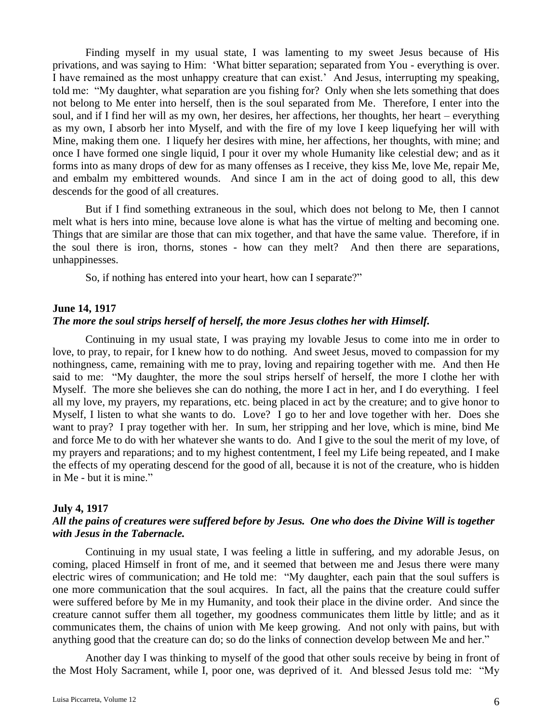Finding myself in my usual state, I was lamenting to my sweet Jesus because of His privations, and was saying to Him: 'What bitter separation; separated from You - everything is over. I have remained as the most unhappy creature that can exist.' And Jesus, interrupting my speaking, told me: "My daughter, what separation are you fishing for? Only when she lets something that does not belong to Me enter into herself, then is the soul separated from Me. Therefore, I enter into the soul, and if I find her will as my own, her desires, her affections, her thoughts, her heart – everything as my own, I absorb her into Myself, and with the fire of my love I keep liquefying her will with Mine, making them one. I liquefy her desires with mine, her affections, her thoughts, with mine; and once I have formed one single liquid, I pour it over my whole Humanity like celestial dew; and as it forms into as many drops of dew for as many offenses as I receive, they kiss Me, love Me, repair Me, and embalm my embittered wounds. And since I am in the act of doing good to all, this dew descends for the good of all creatures.

But if I find something extraneous in the soul, which does not belong to Me, then I cannot melt what is hers into mine, because love alone is what has the virtue of melting and becoming one. Things that are similar are those that can mix together, and that have the same value. Therefore, if in the soul there is iron, thorns, stones - how can they melt? And then there are separations, unhappinesses.

So, if nothing has entered into your heart, how can I separate?"

### **June 14, 1917**

### *The more the soul strips herself of herself, the more Jesus clothes her with Himself.*

Continuing in my usual state, I was praying my lovable Jesus to come into me in order to love, to pray, to repair, for I knew how to do nothing. And sweet Jesus, moved to compassion for my nothingness, came, remaining with me to pray, loving and repairing together with me. And then He said to me: "My daughter, the more the soul strips herself of herself, the more I clothe her with Myself. The more she believes she can do nothing, the more I act in her, and I do everything. I feel all my love, my prayers, my reparations, etc. being placed in act by the creature; and to give honor to Myself, I listen to what she wants to do. Love? I go to her and love together with her. Does she want to pray? I pray together with her. In sum, her stripping and her love, which is mine, bind Me and force Me to do with her whatever she wants to do. And I give to the soul the merit of my love, of my prayers and reparations; and to my highest contentment, I feel my Life being repeated, and I make the effects of my operating descend for the good of all, because it is not of the creature, who is hidden in Me - but it is mine."

#### **July 4, 1917**

# *All the pains of creatures were suffered before by Jesus. One who does the Divine Will is together with Jesus in the Tabernacle.*

Continuing in my usual state, I was feeling a little in suffering, and my adorable Jesus, on coming, placed Himself in front of me, and it seemed that between me and Jesus there were many electric wires of communication; and He told me: "My daughter, each pain that the soul suffers is one more communication that the soul acquires. In fact, all the pains that the creature could suffer were suffered before by Me in my Humanity, and took their place in the divine order. And since the creature cannot suffer them all together, my goodness communicates them little by little; and as it communicates them, the chains of union with Me keep growing. And not only with pains, but with anything good that the creature can do; so do the links of connection develop between Me and her."

Another day I was thinking to myself of the good that other souls receive by being in front of the Most Holy Sacrament, while I, poor one, was deprived of it. And blessed Jesus told me: "My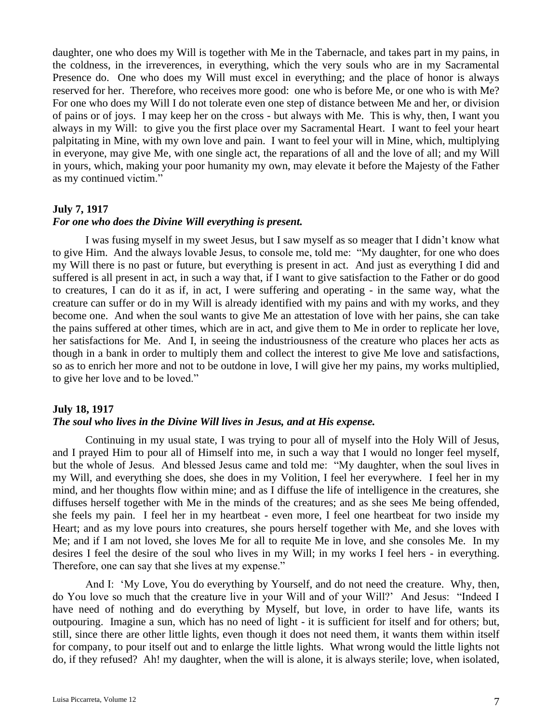daughter, one who does my Will is together with Me in the Tabernacle, and takes part in my pains, in the coldness, in the irreverences, in everything, which the very souls who are in my Sacramental Presence do. One who does my Will must excel in everything; and the place of honor is always reserved for her. Therefore, who receives more good: one who is before Me, or one who is with Me? For one who does my Will I do not tolerate even one step of distance between Me and her, or division of pains or of joys. I may keep her on the cross - but always with Me. This is why, then, I want you always in my Will: to give you the first place over my Sacramental Heart. I want to feel your heart palpitating in Mine, with my own love and pain. I want to feel your will in Mine, which, multiplying in everyone, may give Me, with one single act, the reparations of all and the love of all; and my Will in yours, which, making your poor humanity my own, may elevate it before the Majesty of the Father as my continued victim."

## **July 7, 1917**

### *For one who does the Divine Will everything is present.*

I was fusing myself in my sweet Jesus, but I saw myself as so meager that I didn't know what to give Him. And the always lovable Jesus, to console me, told me: "My daughter, for one who does my Will there is no past or future, but everything is present in act. And just as everything I did and suffered is all present in act, in such a way that, if I want to give satisfaction to the Father or do good to creatures, I can do it as if, in act, I were suffering and operating - in the same way, what the creature can suffer or do in my Will is already identified with my pains and with my works, and they become one. And when the soul wants to give Me an attestation of love with her pains, she can take the pains suffered at other times, which are in act, and give them to Me in order to replicate her love, her satisfactions for Me. And I, in seeing the industriousness of the creature who places her acts as though in a bank in order to multiply them and collect the interest to give Me love and satisfactions, so as to enrich her more and not to be outdone in love, I will give her my pains, my works multiplied, to give her love and to be loved."

### **July 18, 1917**

## *The soul who lives in the Divine Will lives in Jesus, and at His expense.*

Continuing in my usual state, I was trying to pour all of myself into the Holy Will of Jesus, and I prayed Him to pour all of Himself into me, in such a way that I would no longer feel myself, but the whole of Jesus. And blessed Jesus came and told me: "My daughter, when the soul lives in my Will, and everything she does, she does in my Volition, I feel her everywhere. I feel her in my mind, and her thoughts flow within mine; and as I diffuse the life of intelligence in the creatures, she diffuses herself together with Me in the minds of the creatures; and as she sees Me being offended, she feels my pain. I feel her in my heartbeat - even more, I feel one heartbeat for two inside my Heart; and as my love pours into creatures, she pours herself together with Me, and she loves with Me; and if I am not loved, she loves Me for all to requite Me in love, and she consoles Me. In my desires I feel the desire of the soul who lives in my Will; in my works I feel hers - in everything. Therefore, one can say that she lives at my expense."

And I: 'My Love, You do everything by Yourself, and do not need the creature. Why, then, do You love so much that the creature live in your Will and of your Will?' And Jesus: "Indeed I have need of nothing and do everything by Myself, but love, in order to have life, wants its outpouring. Imagine a sun, which has no need of light - it is sufficient for itself and for others; but, still, since there are other little lights, even though it does not need them, it wants them within itself for company, to pour itself out and to enlarge the little lights. What wrong would the little lights not do, if they refused? Ah! my daughter, when the will is alone, it is always sterile; love, when isolated,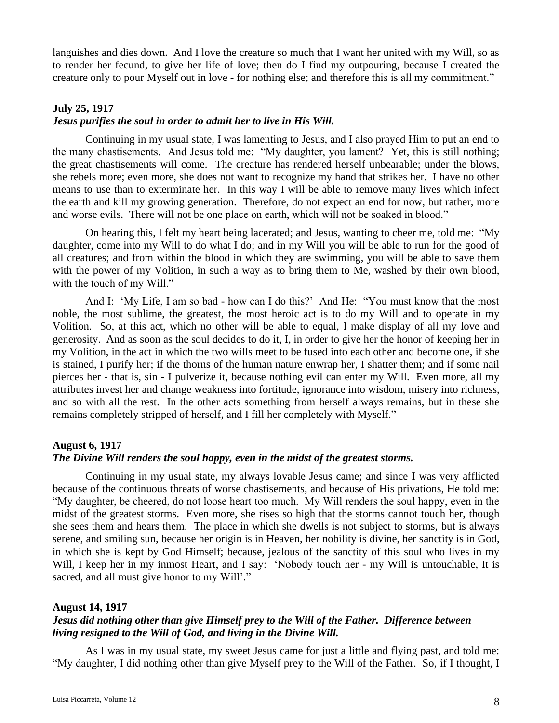languishes and dies down. And I love the creature so much that I want her united with my Will, so as to render her fecund, to give her life of love; then do I find my outpouring, because I created the creature only to pour Myself out in love - for nothing else; and therefore this is all my commitment."

# **July 25, 1917**

### *Jesus purifies the soul in order to admit her to live in His Will.*

Continuing in my usual state, I was lamenting to Jesus, and I also prayed Him to put an end to the many chastisements. And Jesus told me: "My daughter, you lament? Yet, this is still nothing; the great chastisements will come. The creature has rendered herself unbearable; under the blows, she rebels more; even more, she does not want to recognize my hand that strikes her. I have no other means to use than to exterminate her. In this way I will be able to remove many lives which infect the earth and kill my growing generation. Therefore, do not expect an end for now, but rather, more and worse evils. There will not be one place on earth, which will not be soaked in blood."

On hearing this, I felt my heart being lacerated; and Jesus, wanting to cheer me, told me: "My daughter, come into my Will to do what I do; and in my Will you will be able to run for the good of all creatures; and from within the blood in which they are swimming, you will be able to save them with the power of my Volition, in such a way as to bring them to Me, washed by their own blood, with the touch of my Will."

And I: 'My Life, I am so bad - how can I do this?' And He: "You must know that the most noble, the most sublime, the greatest, the most heroic act is to do my Will and to operate in my Volition. So, at this act, which no other will be able to equal, I make display of all my love and generosity. And as soon as the soul decides to do it, I, in order to give her the honor of keeping her in my Volition, in the act in which the two wills meet to be fused into each other and become one, if she is stained, I purify her; if the thorns of the human nature enwrap her, I shatter them; and if some nail pierces her - that is, sin - I pulverize it, because nothing evil can enter my Will. Even more, all my attributes invest her and change weakness into fortitude, ignorance into wisdom, misery into richness, and so with all the rest. In the other acts something from herself always remains, but in these she remains completely stripped of herself, and I fill her completely with Myself."

#### **August 6, 1917**

## *The Divine Will renders the soul happy, even in the midst of the greatest storms.*

Continuing in my usual state, my always lovable Jesus came; and since I was very afflicted because of the continuous threats of worse chastisements, and because of His privations, He told me: "My daughter, be cheered, do not loose heart too much. My Will renders the soul happy, even in the midst of the greatest storms. Even more, she rises so high that the storms cannot touch her, though she sees them and hears them. The place in which she dwells is not subject to storms, but is always serene, and smiling sun, because her origin is in Heaven, her nobility is divine, her sanctity is in God, in which she is kept by God Himself; because, jealous of the sanctity of this soul who lives in my Will, I keep her in my inmost Heart, and I say: 'Nobody touch her - my Will is untouchable, It is sacred, and all must give honor to my Will'."

## **August 14, 1917**

## *Jesus did nothing other than give Himself prey to the Will of the Father. Difference between living resigned to the Will of God, and living in the Divine Will.*

As I was in my usual state, my sweet Jesus came for just a little and flying past, and told me: "My daughter, I did nothing other than give Myself prey to the Will of the Father. So, if I thought, I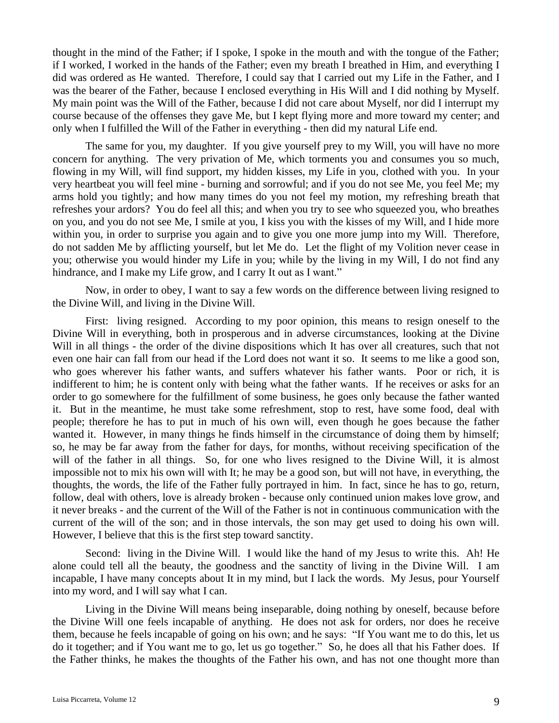thought in the mind of the Father; if I spoke, I spoke in the mouth and with the tongue of the Father; if I worked, I worked in the hands of the Father; even my breath I breathed in Him, and everything I did was ordered as He wanted. Therefore, I could say that I carried out my Life in the Father, and I was the bearer of the Father, because I enclosed everything in His Will and I did nothing by Myself. My main point was the Will of the Father, because I did not care about Myself, nor did I interrupt my course because of the offenses they gave Me, but I kept flying more and more toward my center; and only when I fulfilled the Will of the Father in everything - then did my natural Life end.

The same for you, my daughter. If you give yourself prey to my Will, you will have no more concern for anything. The very privation of Me, which torments you and consumes you so much, flowing in my Will, will find support, my hidden kisses, my Life in you, clothed with you. In your very heartbeat you will feel mine - burning and sorrowful; and if you do not see Me, you feel Me; my arms hold you tightly; and how many times do you not feel my motion, my refreshing breath that refreshes your ardors? You do feel all this; and when you try to see who squeezed you, who breathes on you, and you do not see Me, I smile at you, I kiss you with the kisses of my Will, and I hide more within you, in order to surprise you again and to give you one more jump into my Will. Therefore, do not sadden Me by afflicting yourself, but let Me do. Let the flight of my Volition never cease in you; otherwise you would hinder my Life in you; while by the living in my Will, I do not find any hindrance, and I make my Life grow, and I carry It out as I want."

Now, in order to obey, I want to say a few words on the difference between living resigned to the Divine Will, and living in the Divine Will.

First: living resigned. According to my poor opinion, this means to resign oneself to the Divine Will in everything, both in prosperous and in adverse circumstances, looking at the Divine Will in all things - the order of the divine dispositions which It has over all creatures, such that not even one hair can fall from our head if the Lord does not want it so. It seems to me like a good son, who goes wherever his father wants, and suffers whatever his father wants. Poor or rich, it is indifferent to him; he is content only with being what the father wants. If he receives or asks for an order to go somewhere for the fulfillment of some business, he goes only because the father wanted it. But in the meantime, he must take some refreshment, stop to rest, have some food, deal with people; therefore he has to put in much of his own will, even though he goes because the father wanted it. However, in many things he finds himself in the circumstance of doing them by himself; so, he may be far away from the father for days, for months, without receiving specification of the will of the father in all things. So, for one who lives resigned to the Divine Will, it is almost impossible not to mix his own will with It; he may be a good son, but will not have, in everything, the thoughts, the words, the life of the Father fully portrayed in him. In fact, since he has to go, return, follow, deal with others, love is already broken - because only continued union makes love grow, and it never breaks - and the current of the Will of the Father is not in continuous communication with the current of the will of the son; and in those intervals, the son may get used to doing his own will. However, I believe that this is the first step toward sanctity.

Second: living in the Divine Will. I would like the hand of my Jesus to write this. Ah! He alone could tell all the beauty, the goodness and the sanctity of living in the Divine Will. I am incapable, I have many concepts about It in my mind, but I lack the words. My Jesus, pour Yourself into my word, and I will say what I can.

Living in the Divine Will means being inseparable, doing nothing by oneself, because before the Divine Will one feels incapable of anything. He does not ask for orders, nor does he receive them, because he feels incapable of going on his own; and he says: "If You want me to do this, let us do it together; and if You want me to go, let us go together." So, he does all that his Father does. If the Father thinks, he makes the thoughts of the Father his own, and has not one thought more than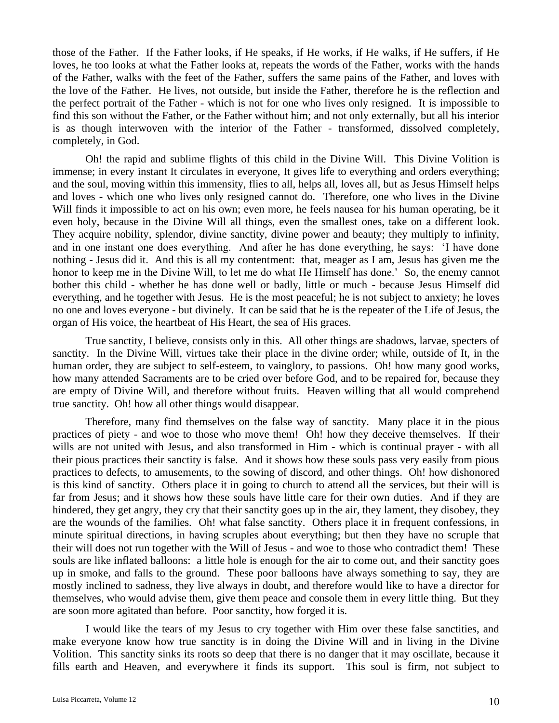those of the Father. If the Father looks, if He speaks, if He works, if He walks, if He suffers, if He loves, he too looks at what the Father looks at, repeats the words of the Father, works with the hands of the Father, walks with the feet of the Father, suffers the same pains of the Father, and loves with the love of the Father. He lives, not outside, but inside the Father, therefore he is the reflection and the perfect portrait of the Father - which is not for one who lives only resigned. It is impossible to find this son without the Father, or the Father without him; and not only externally, but all his interior is as though interwoven with the interior of the Father - transformed, dissolved completely, completely, in God.

Oh! the rapid and sublime flights of this child in the Divine Will. This Divine Volition is immense; in every instant It circulates in everyone, It gives life to everything and orders everything; and the soul, moving within this immensity, flies to all, helps all, loves all, but as Jesus Himself helps and loves - which one who lives only resigned cannot do. Therefore, one who lives in the Divine Will finds it impossible to act on his own; even more, he feels nausea for his human operating, be it even holy, because in the Divine Will all things, even the smallest ones, take on a different look. They acquire nobility, splendor, divine sanctity, divine power and beauty; they multiply to infinity, and in one instant one does everything. And after he has done everything, he says: 'I have done nothing - Jesus did it. And this is all my contentment: that, meager as I am, Jesus has given me the honor to keep me in the Divine Will, to let me do what He Himself has done.' So, the enemy cannot bother this child - whether he has done well or badly, little or much - because Jesus Himself did everything, and he together with Jesus. He is the most peaceful; he is not subject to anxiety; he loves no one and loves everyone - but divinely. It can be said that he is the repeater of the Life of Jesus, the organ of His voice, the heartbeat of His Heart, the sea of His graces.

True sanctity, I believe, consists only in this. All other things are shadows, larvae, specters of sanctity. In the Divine Will, virtues take their place in the divine order; while, outside of It, in the human order, they are subject to self-esteem, to vainglory, to passions. Oh! how many good works, how many attended Sacraments are to be cried over before God, and to be repaired for, because they are empty of Divine Will, and therefore without fruits. Heaven willing that all would comprehend true sanctity. Oh! how all other things would disappear.

Therefore, many find themselves on the false way of sanctity. Many place it in the pious practices of piety - and woe to those who move them! Oh! how they deceive themselves. If their wills are not united with Jesus, and also transformed in Him - which is continual prayer - with all their pious practices their sanctity is false. And it shows how these souls pass very easily from pious practices to defects, to amusements, to the sowing of discord, and other things. Oh! how dishonored is this kind of sanctity. Others place it in going to church to attend all the services, but their will is far from Jesus; and it shows how these souls have little care for their own duties. And if they are hindered, they get angry, they cry that their sanctity goes up in the air, they lament, they disobey, they are the wounds of the families. Oh! what false sanctity. Others place it in frequent confessions, in minute spiritual directions, in having scruples about everything; but then they have no scruple that their will does not run together with the Will of Jesus - and woe to those who contradict them! These souls are like inflated balloons: a little hole is enough for the air to come out, and their sanctity goes up in smoke, and falls to the ground. These poor balloons have always something to say, they are mostly inclined to sadness, they live always in doubt, and therefore would like to have a director for themselves, who would advise them, give them peace and console them in every little thing. But they are soon more agitated than before. Poor sanctity, how forged it is.

I would like the tears of my Jesus to cry together with Him over these false sanctities, and make everyone know how true sanctity is in doing the Divine Will and in living in the Divine Volition. This sanctity sinks its roots so deep that there is no danger that it may oscillate, because it fills earth and Heaven, and everywhere it finds its support. This soul is firm, not subject to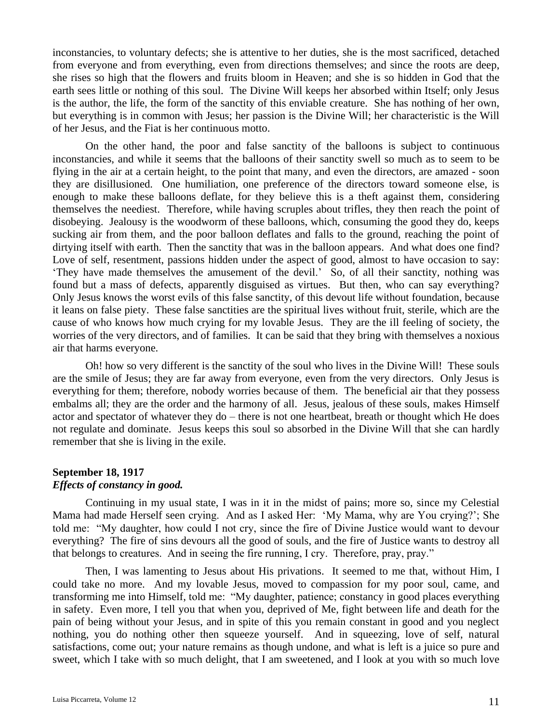inconstancies, to voluntary defects; she is attentive to her duties, she is the most sacrificed, detached from everyone and from everything, even from directions themselves; and since the roots are deep, she rises so high that the flowers and fruits bloom in Heaven; and she is so hidden in God that the earth sees little or nothing of this soul. The Divine Will keeps her absorbed within Itself; only Jesus is the author, the life, the form of the sanctity of this enviable creature. She has nothing of her own, but everything is in common with Jesus; her passion is the Divine Will; her characteristic is the Will of her Jesus, and the Fiat is her continuous motto.

On the other hand, the poor and false sanctity of the balloons is subject to continuous inconstancies, and while it seems that the balloons of their sanctity swell so much as to seem to be flying in the air at a certain height, to the point that many, and even the directors, are amazed - soon they are disillusioned. One humiliation, one preference of the directors toward someone else, is enough to make these balloons deflate, for they believe this is a theft against them, considering themselves the neediest. Therefore, while having scruples about trifles, they then reach the point of disobeying. Jealousy is the woodworm of these balloons, which, consuming the good they do, keeps sucking air from them, and the poor balloon deflates and falls to the ground, reaching the point of dirtying itself with earth. Then the sanctity that was in the balloon appears. And what does one find? Love of self, resentment, passions hidden under the aspect of good, almost to have occasion to say: 'They have made themselves the amusement of the devil.' So, of all their sanctity, nothing was found but a mass of defects, apparently disguised as virtues. But then, who can say everything? Only Jesus knows the worst evils of this false sanctity, of this devout life without foundation, because it leans on false piety. These false sanctities are the spiritual lives without fruit, sterile, which are the cause of who knows how much crying for my lovable Jesus. They are the ill feeling of society, the worries of the very directors, and of families. It can be said that they bring with themselves a noxious air that harms everyone.

Oh! how so very different is the sanctity of the soul who lives in the Divine Will! These souls are the smile of Jesus; they are far away from everyone, even from the very directors. Only Jesus is everything for them; therefore, nobody worries because of them. The beneficial air that they possess embalms all; they are the order and the harmony of all. Jesus, jealous of these souls, makes Himself actor and spectator of whatever they do – there is not one heartbeat, breath or thought which He does not regulate and dominate. Jesus keeps this soul so absorbed in the Divine Will that she can hardly remember that she is living in the exile.

## **September 18, 1917** *Effects of constancy in good.*

Continuing in my usual state, I was in it in the midst of pains; more so, since my Celestial Mama had made Herself seen crying. And as I asked Her: 'My Mama, why are You crying?'; She told me: "My daughter, how could I not cry, since the fire of Divine Justice would want to devour everything? The fire of sins devours all the good of souls, and the fire of Justice wants to destroy all that belongs to creatures. And in seeing the fire running, I cry. Therefore, pray, pray."

Then, I was lamenting to Jesus about His privations. It seemed to me that, without Him, I could take no more. And my lovable Jesus, moved to compassion for my poor soul, came, and transforming me into Himself, told me: "My daughter, patience; constancy in good places everything in safety. Even more, I tell you that when you, deprived of Me, fight between life and death for the pain of being without your Jesus, and in spite of this you remain constant in good and you neglect nothing, you do nothing other then squeeze yourself. And in squeezing, love of self, natural satisfactions, come out; your nature remains as though undone, and what is left is a juice so pure and sweet, which I take with so much delight, that I am sweetened, and I look at you with so much love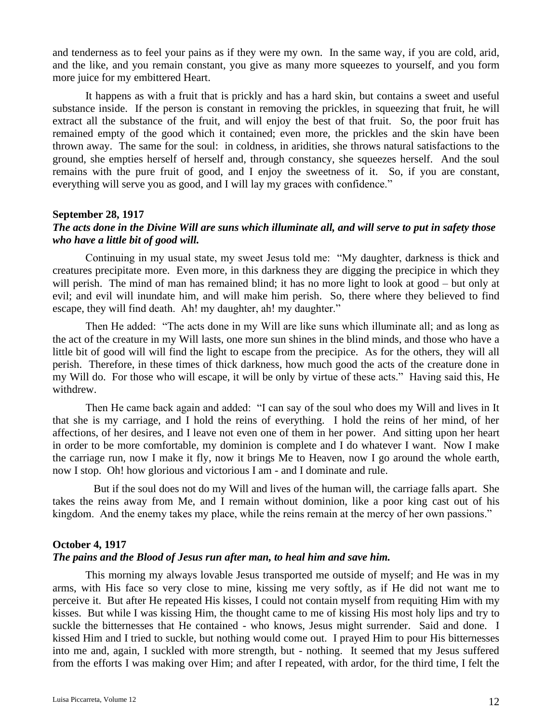and tenderness as to feel your pains as if they were my own. In the same way, if you are cold, arid, and the like, and you remain constant, you give as many more squeezes to yourself, and you form more juice for my embittered Heart.

It happens as with a fruit that is prickly and has a hard skin, but contains a sweet and useful substance inside. If the person is constant in removing the prickles, in squeezing that fruit, he will extract all the substance of the fruit, and will enjoy the best of that fruit. So, the poor fruit has remained empty of the good which it contained; even more, the prickles and the skin have been thrown away. The same for the soul: in coldness, in aridities, she throws natural satisfactions to the ground, she empties herself of herself and, through constancy, she squeezes herself. And the soul remains with the pure fruit of good, and I enjoy the sweetness of it. So, if you are constant, everything will serve you as good, and I will lay my graces with confidence."

#### **September 28, 1917**

# *The acts done in the Divine Will are suns which illuminate all, and will serve to put in safety those who have a little bit of good will.*

Continuing in my usual state, my sweet Jesus told me: "My daughter, darkness is thick and creatures precipitate more. Even more, in this darkness they are digging the precipice in which they will perish. The mind of man has remained blind; it has no more light to look at good – but only at evil; and evil will inundate him, and will make him perish. So, there where they believed to find escape, they will find death. Ah! my daughter, ah! my daughter."

Then He added: "The acts done in my Will are like suns which illuminate all; and as long as the act of the creature in my Will lasts, one more sun shines in the blind minds, and those who have a little bit of good will will find the light to escape from the precipice. As for the others, they will all perish. Therefore, in these times of thick darkness, how much good the acts of the creature done in my Will do. For those who will escape, it will be only by virtue of these acts." Having said this, He withdrew.

Then He came back again and added: "I can say of the soul who does my Will and lives in It that she is my carriage, and I hold the reins of everything. I hold the reins of her mind, of her affections, of her desires, and I leave not even one of them in her power. And sitting upon her heart in order to be more comfortable, my dominion is complete and I do whatever I want. Now I make the carriage run, now I make it fly, now it brings Me to Heaven, now I go around the whole earth, now I stop. Oh! how glorious and victorious I am - and I dominate and rule.

 But if the soul does not do my Will and lives of the human will, the carriage falls apart. She takes the reins away from Me, and I remain without dominion, like a poor king cast out of his kingdom. And the enemy takes my place, while the reins remain at the mercy of her own passions."

### **October 4, 1917**

### *The pains and the Blood of Jesus run after man, to heal him and save him.*

This morning my always lovable Jesus transported me outside of myself; and He was in my arms, with His face so very close to mine, kissing me very softly, as if He did not want me to perceive it. But after He repeated His kisses, I could not contain myself from requiting Him with my kisses. But while I was kissing Him, the thought came to me of kissing His most holy lips and try to suckle the bitternesses that He contained - who knows, Jesus might surrender. Said and done. I kissed Him and I tried to suckle, but nothing would come out. I prayed Him to pour His bitternesses into me and, again, I suckled with more strength, but - nothing. It seemed that my Jesus suffered from the efforts I was making over Him; and after I repeated, with ardor, for the third time, I felt the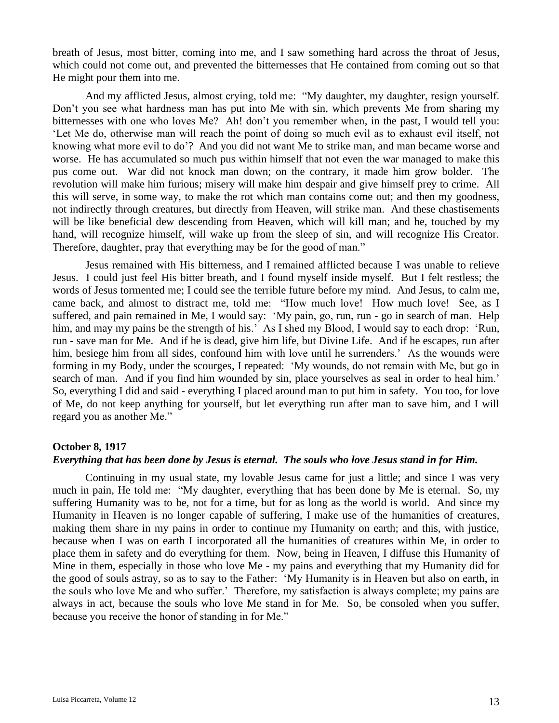breath of Jesus, most bitter, coming into me, and I saw something hard across the throat of Jesus, which could not come out, and prevented the bitternesses that He contained from coming out so that He might pour them into me.

And my afflicted Jesus, almost crying, told me: "My daughter, my daughter, resign yourself. Don't you see what hardness man has put into Me with sin, which prevents Me from sharing my bitternesses with one who loves Me? Ah! don't you remember when, in the past, I would tell you: 'Let Me do, otherwise man will reach the point of doing so much evil as to exhaust evil itself, not knowing what more evil to do'? And you did not want Me to strike man, and man became worse and worse. He has accumulated so much pus within himself that not even the war managed to make this pus come out. War did not knock man down; on the contrary, it made him grow bolder. The revolution will make him furious; misery will make him despair and give himself prey to crime. All this will serve, in some way, to make the rot which man contains come out; and then my goodness, not indirectly through creatures, but directly from Heaven, will strike man. And these chastisements will be like beneficial dew descending from Heaven, which will kill man; and he, touched by my hand, will recognize himself, will wake up from the sleep of sin, and will recognize His Creator. Therefore, daughter, pray that everything may be for the good of man."

Jesus remained with His bitterness, and I remained afflicted because I was unable to relieve Jesus. I could just feel His bitter breath, and I found myself inside myself. But I felt restless; the words of Jesus tormented me; I could see the terrible future before my mind. And Jesus, to calm me, came back, and almost to distract me, told me: "How much love! How much love! See, as I suffered, and pain remained in Me, I would say: 'My pain, go, run, run - go in search of man. Help him, and may my pains be the strength of his.' As I shed my Blood, I would say to each drop: 'Run, run - save man for Me. And if he is dead, give him life, but Divine Life. And if he escapes, run after him, besiege him from all sides, confound him with love until he surrenders.' As the wounds were forming in my Body, under the scourges, I repeated: 'My wounds, do not remain with Me, but go in search of man. And if you find him wounded by sin, place yourselves as seal in order to heal him.' So, everything I did and said - everything I placed around man to put him in safety. You too, for love of Me, do not keep anything for yourself, but let everything run after man to save him, and I will regard you as another Me."

### **October 8, 1917**

## *Everything that has been done by Jesus is eternal. The souls who love Jesus stand in for Him.*

Continuing in my usual state, my lovable Jesus came for just a little; and since I was very much in pain, He told me: "My daughter, everything that has been done by Me is eternal. So, my suffering Humanity was to be, not for a time, but for as long as the world is world. And since my Humanity in Heaven is no longer capable of suffering, I make use of the humanities of creatures, making them share in my pains in order to continue my Humanity on earth; and this, with justice, because when I was on earth I incorporated all the humanities of creatures within Me, in order to place them in safety and do everything for them. Now, being in Heaven, I diffuse this Humanity of Mine in them, especially in those who love Me - my pains and everything that my Humanity did for the good of souls astray, so as to say to the Father: 'My Humanity is in Heaven but also on earth, in the souls who love Me and who suffer.' Therefore, my satisfaction is always complete; my pains are always in act, because the souls who love Me stand in for Me. So, be consoled when you suffer, because you receive the honor of standing in for Me."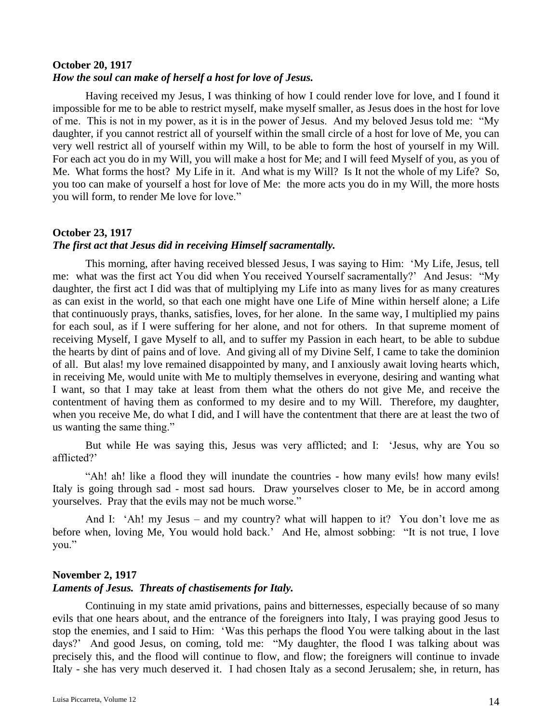# **October 20, 1917** *How the soul can make of herself a host for love of Jesus.*

Having received my Jesus, I was thinking of how I could render love for love, and I found it impossible for me to be able to restrict myself, make myself smaller, as Jesus does in the host for love of me. This is not in my power, as it is in the power of Jesus. And my beloved Jesus told me: "My daughter, if you cannot restrict all of yourself within the small circle of a host for love of Me, you can very well restrict all of yourself within my Will, to be able to form the host of yourself in my Will. For each act you do in my Will, you will make a host for Me; and I will feed Myself of you, as you of Me. What forms the host? My Life in it. And what is my Will? Is It not the whole of my Life? So, you too can make of yourself a host for love of Me: the more acts you do in my Will, the more hosts you will form, to render Me love for love."

# **October 23, 1917**

# *The first act that Jesus did in receiving Himself sacramentally.*

This morning, after having received blessed Jesus, I was saying to Him: 'My Life, Jesus, tell me: what was the first act You did when You received Yourself sacramentally?' And Jesus: "My daughter, the first act I did was that of multiplying my Life into as many lives for as many creatures as can exist in the world, so that each one might have one Life of Mine within herself alone; a Life that continuously prays, thanks, satisfies, loves, for her alone. In the same way, I multiplied my pains for each soul, as if I were suffering for her alone, and not for others. In that supreme moment of receiving Myself, I gave Myself to all, and to suffer my Passion in each heart, to be able to subdue the hearts by dint of pains and of love. And giving all of my Divine Self, I came to take the dominion of all. But alas! my love remained disappointed by many, and I anxiously await loving hearts which, in receiving Me, would unite with Me to multiply themselves in everyone, desiring and wanting what I want, so that I may take at least from them what the others do not give Me, and receive the contentment of having them as conformed to my desire and to my Will. Therefore, my daughter, when you receive Me, do what I did, and I will have the contentment that there are at least the two of us wanting the same thing."

But while He was saying this, Jesus was very afflicted; and I: 'Jesus, why are You so afflicted?'

"Ah! ah! like a flood they will inundate the countries - how many evils! how many evils! Italy is going through sad - most sad hours. Draw yourselves closer to Me, be in accord among yourselves. Pray that the evils may not be much worse."

And I: 'Ah! my Jesus – and my country? what will happen to it? You don't love me as before when, loving Me, You would hold back.' And He, almost sobbing: "It is not true, I love you."

# **November 2, 1917**

# *Laments of Jesus. Threats of chastisements for Italy.*

Continuing in my state amid privations, pains and bitternesses, especially because of so many evils that one hears about, and the entrance of the foreigners into Italy, I was praying good Jesus to stop the enemies, and I said to Him: 'Was this perhaps the flood You were talking about in the last days?' And good Jesus, on coming, told me: "My daughter, the flood I was talking about was precisely this, and the flood will continue to flow, and flow; the foreigners will continue to invade Italy - she has very much deserved it. I had chosen Italy as a second Jerusalem; she, in return, has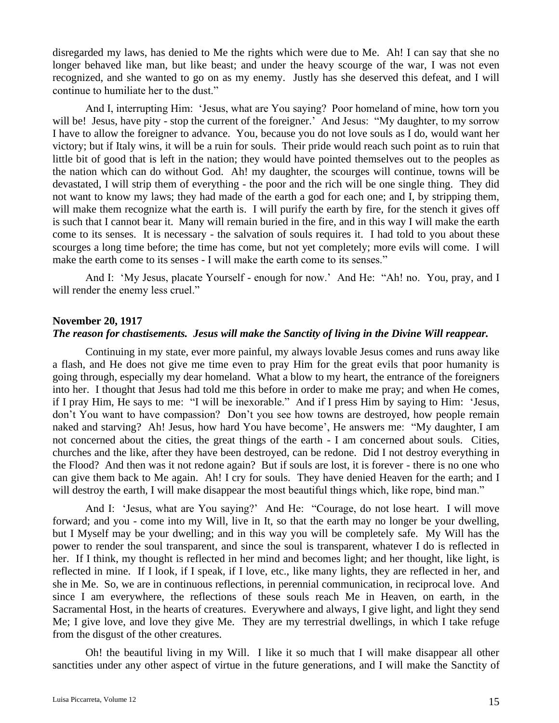disregarded my laws, has denied to Me the rights which were due to Me. Ah! I can say that she no longer behaved like man, but like beast; and under the heavy scourge of the war, I was not even recognized, and she wanted to go on as my enemy. Justly has she deserved this defeat, and I will continue to humiliate her to the dust."

And I, interrupting Him: 'Jesus, what are You saying? Poor homeland of mine, how torn you will be! Jesus, have pity - stop the current of the foreigner.' And Jesus: "My daughter, to my sorrow I have to allow the foreigner to advance. You, because you do not love souls as I do, would want her victory; but if Italy wins, it will be a ruin for souls. Their pride would reach such point as to ruin that little bit of good that is left in the nation; they would have pointed themselves out to the peoples as the nation which can do without God. Ah! my daughter, the scourges will continue, towns will be devastated, I will strip them of everything - the poor and the rich will be one single thing. They did not want to know my laws; they had made of the earth a god for each one; and I, by stripping them, will make them recognize what the earth is. I will purify the earth by fire, for the stench it gives off is such that I cannot bear it. Many will remain buried in the fire, and in this way I will make the earth come to its senses. It is necessary - the salvation of souls requires it. I had told to you about these scourges a long time before; the time has come, but not yet completely; more evils will come. I will make the earth come to its senses - I will make the earth come to its senses."

And I: 'My Jesus, placate Yourself - enough for now.' And He: "Ah! no. You, pray, and I will render the enemy less cruel."

### **November 20, 1917**

### *The reason for chastisements. Jesus will make the Sanctity of living in the Divine Will reappear.*

Continuing in my state, ever more painful, my always lovable Jesus comes and runs away like a flash, and He does not give me time even to pray Him for the great evils that poor humanity is going through, especially my dear homeland. What a blow to my heart, the entrance of the foreigners into her. I thought that Jesus had told me this before in order to make me pray; and when He comes, if I pray Him, He says to me: "I will be inexorable." And if I press Him by saying to Him: 'Jesus, don't You want to have compassion? Don't you see how towns are destroyed, how people remain naked and starving? Ah! Jesus, how hard You have become', He answers me: "My daughter, I am not concerned about the cities, the great things of the earth - I am concerned about souls. Cities, churches and the like, after they have been destroyed, can be redone. Did I not destroy everything in the Flood? And then was it not redone again? But if souls are lost, it is forever - there is no one who can give them back to Me again. Ah! I cry for souls. They have denied Heaven for the earth; and I will destroy the earth, I will make disappear the most beautiful things which, like rope, bind man."

And I: 'Jesus, what are You saying?' And He: "Courage, do not lose heart. I will move forward; and you - come into my Will, live in It, so that the earth may no longer be your dwelling, but I Myself may be your dwelling; and in this way you will be completely safe. My Will has the power to render the soul transparent, and since the soul is transparent, whatever I do is reflected in her. If I think, my thought is reflected in her mind and becomes light; and her thought, like light, is reflected in mine. If I look, if I speak, if I love, etc., like many lights, they are reflected in her, and she in Me. So, we are in continuous reflections, in perennial communication, in reciprocal love. And since I am everywhere, the reflections of these souls reach Me in Heaven, on earth, in the Sacramental Host, in the hearts of creatures. Everywhere and always, I give light, and light they send Me; I give love, and love they give Me. They are my terrestrial dwellings, in which I take refuge from the disgust of the other creatures.

Oh! the beautiful living in my Will. I like it so much that I will make disappear all other sanctities under any other aspect of virtue in the future generations, and I will make the Sanctity of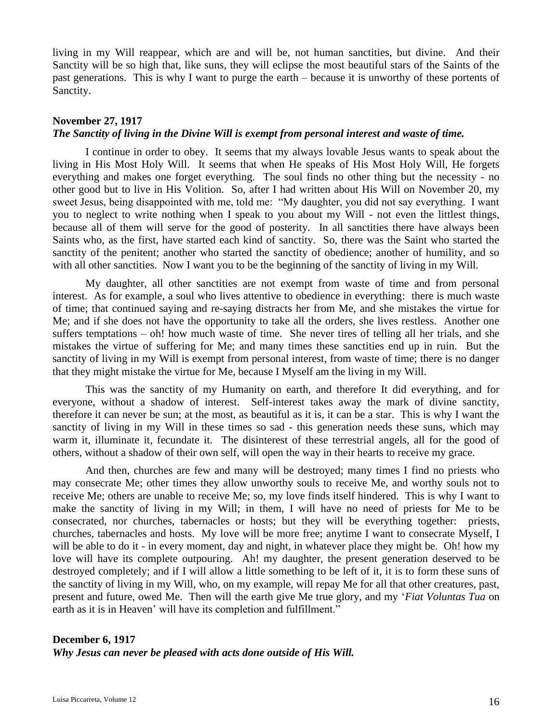living in my Will reappear, which are and will be, not human sanctities, but divine. And their Sanctity will be so high that, like suns, they will eclipse the most beautiful stars of the Saints of the past generations. This is why I want to purge the earth – because it is unworthy of these portents of Sanctity.

# **November 27, 1917** *The Sanctity of living in the Divine Will is exempt from personal interest and waste of time.*

I continue in order to obey. It seems that my always lovable Jesus wants to speak about the living in His Most Holy Will. It seems that when He speaks of His Most Holy Will, He forgets everything and makes one forget everything. The soul finds no other thing but the necessity - no other good but to live in His Volition. So, after I had written about His Will on November 20, my sweet Jesus, being disappointed with me, told me: "My daughter, you did not say everything. I want you to neglect to write nothing when I speak to you about my Will - not even the littlest things, because all of them will serve for the good of posterity. In all sanctities there have always been Saints who, as the first, have started each kind of sanctity. So, there was the Saint who started the sanctity of the penitent; another who started the sanctity of obedience; another of humility, and so with all other sanctities. Now I want you to be the beginning of the sanctity of living in my Will.

My daughter, all other sanctities are not exempt from waste of time and from personal interest. As for example, a soul who lives attentive to obedience in everything: there is much waste of time; that continued saying and re-saying distracts her from Me, and she mistakes the virtue for Me; and if she does not have the opportunity to take all the orders, she lives restless. Another one suffers temptations – oh! how much waste of time. She never tires of telling all her trials, and she mistakes the virtue of suffering for Me; and many times these sanctities end up in ruin. But the sanctity of living in my Will is exempt from personal interest, from waste of time; there is no danger that they might mistake the virtue for Me, because I Myself am the living in my Will.

This was the sanctity of my Humanity on earth, and therefore It did everything, and for everyone, without a shadow of interest. Self-interest takes away the mark of divine sanctity, therefore it can never be sun; at the most, as beautiful as it is, it can be a star. This is why I want the sanctity of living in my Will in these times so sad - this generation needs these suns, which may warm it, illuminate it, fecundate it. The disinterest of these terrestrial angels, all for the good of others, without a shadow of their own self, will open the way in their hearts to receive my grace.

And then, churches are few and many will be destroyed; many times I find no priests who may consecrate Me; other times they allow unworthy souls to receive Me, and worthy souls not to receive Me; others are unable to receive Me; so, my love finds itself hindered. This is why I want to make the sanctity of living in my Will; in them, I will have no need of priests for Me to be consecrated, nor churches, tabernacles or hosts; but they will be everything together: priests, churches, tabernacles and hosts. My love will be more free; anytime I want to consecrate Myself, I will be able to do it - in every moment, day and night, in whatever place they might be. Oh! how my love will have its complete outpouring. Ah! my daughter, the present generation deserved to be destroyed completely; and if I will allow a little something to be left of it, it is to form these suns of the sanctity of living in my Will, who, on my example, will repay Me for all that other creatures, past, present and future, owed Me. Then will the earth give Me true glory, and my '*Fiat Voluntas Tua* on earth as it is in Heaven' will have its completion and fulfillment."

## **December 6, 1917**

*Why Jesus can never be pleased with acts done outside of His Will.*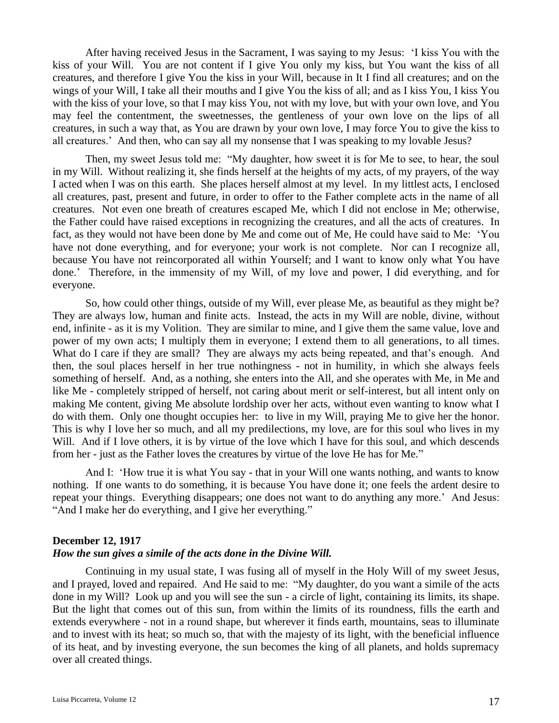After having received Jesus in the Sacrament, I was saying to my Jesus: 'I kiss You with the kiss of your Will. You are not content if I give You only my kiss, but You want the kiss of all creatures, and therefore I give You the kiss in your Will, because in It I find all creatures; and on the wings of your Will, I take all their mouths and I give You the kiss of all; and as I kiss You, I kiss You with the kiss of your love, so that I may kiss You, not with my love, but with your own love, and You may feel the contentment, the sweetnesses, the gentleness of your own love on the lips of all creatures, in such a way that, as You are drawn by your own love, I may force You to give the kiss to all creatures.' And then, who can say all my nonsense that I was speaking to my lovable Jesus?

Then, my sweet Jesus told me: "My daughter, how sweet it is for Me to see, to hear, the soul in my Will. Without realizing it, she finds herself at the heights of my acts, of my prayers, of the way I acted when I was on this earth. She places herself almost at my level. In my littlest acts, I enclosed all creatures, past, present and future, in order to offer to the Father complete acts in the name of all creatures. Not even one breath of creatures escaped Me, which I did not enclose in Me; otherwise, the Father could have raised exceptions in recognizing the creatures, and all the acts of creatures. In fact, as they would not have been done by Me and come out of Me, He could have said to Me: 'You have not done everything, and for everyone; your work is not complete. Nor can I recognize all, because You have not reincorporated all within Yourself; and I want to know only what You have done.' Therefore, in the immensity of my Will, of my love and power, I did everything, and for everyone.

So, how could other things, outside of my Will, ever please Me, as beautiful as they might be? They are always low, human and finite acts. Instead, the acts in my Will are noble, divine, without end, infinite - as it is my Volition. They are similar to mine, and I give them the same value, love and power of my own acts; I multiply them in everyone; I extend them to all generations, to all times. What do I care if they are small? They are always my acts being repeated, and that's enough. And then, the soul places herself in her true nothingness - not in humility, in which she always feels something of herself. And, as a nothing, she enters into the All, and she operates with Me, in Me and like Me - completely stripped of herself, not caring about merit or self-interest, but all intent only on making Me content, giving Me absolute lordship over her acts, without even wanting to know what I do with them. Only one thought occupies her: to live in my Will, praying Me to give her the honor. This is why I love her so much, and all my predilections, my love, are for this soul who lives in my Will. And if I love others, it is by virtue of the love which I have for this soul, and which descends from her - just as the Father loves the creatures by virtue of the love He has for Me."

And I: 'How true it is what You say - that in your Will one wants nothing, and wants to know nothing. If one wants to do something, it is because You have done it; one feels the ardent desire to repeat your things. Everything disappears; one does not want to do anything any more.' And Jesus: "And I make her do everything, and I give her everything."

#### **December 12, 1917**

### *How the sun gives a simile of the acts done in the Divine Will.*

Continuing in my usual state, I was fusing all of myself in the Holy Will of my sweet Jesus, and I prayed, loved and repaired. And He said to me: "My daughter, do you want a simile of the acts done in my Will? Look up and you will see the sun - a circle of light, containing its limits, its shape. But the light that comes out of this sun, from within the limits of its roundness, fills the earth and extends everywhere - not in a round shape, but wherever it finds earth, mountains, seas to illuminate and to invest with its heat; so much so, that with the majesty of its light, with the beneficial influence of its heat, and by investing everyone, the sun becomes the king of all planets, and holds supremacy over all created things.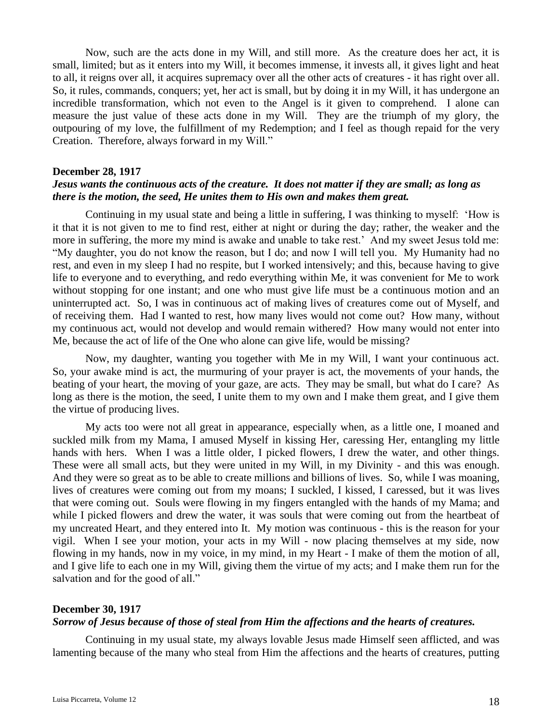Now, such are the acts done in my Will, and still more. As the creature does her act, it is small, limited; but as it enters into my Will, it becomes immense, it invests all, it gives light and heat to all, it reigns over all, it acquires supremacy over all the other acts of creatures - it has right over all. So, it rules, commands, conquers; yet, her act is small, but by doing it in my Will, it has undergone an incredible transformation, which not even to the Angel is it given to comprehend. I alone can measure the just value of these acts done in my Will. They are the triumph of my glory, the outpouring of my love, the fulfillment of my Redemption; and I feel as though repaid for the very Creation. Therefore, always forward in my Will."

### **December 28, 1917**

## *Jesus wants the continuous acts of the creature. It does not matter if they are small; as long as there is the motion, the seed, He unites them to His own and makes them great.*

Continuing in my usual state and being a little in suffering, I was thinking to myself: 'How is it that it is not given to me to find rest, either at night or during the day; rather, the weaker and the more in suffering, the more my mind is awake and unable to take rest.' And my sweet Jesus told me: "My daughter, you do not know the reason, but I do; and now I will tell you. My Humanity had no rest, and even in my sleep I had no respite, but I worked intensively; and this, because having to give life to everyone and to everything, and redo everything within Me, it was convenient for Me to work without stopping for one instant; and one who must give life must be a continuous motion and an uninterrupted act. So, I was in continuous act of making lives of creatures come out of Myself, and of receiving them. Had I wanted to rest, how many lives would not come out? How many, without my continuous act, would not develop and would remain withered? How many would not enter into Me, because the act of life of the One who alone can give life, would be missing?

Now, my daughter, wanting you together with Me in my Will, I want your continuous act. So, your awake mind is act, the murmuring of your prayer is act, the movements of your hands, the beating of your heart, the moving of your gaze, are acts. They may be small, but what do I care? As long as there is the motion, the seed, I unite them to my own and I make them great, and I give them the virtue of producing lives.

My acts too were not all great in appearance, especially when, as a little one, I moaned and suckled milk from my Mama, I amused Myself in kissing Her, caressing Her, entangling my little hands with hers. When I was a little older, I picked flowers, I drew the water, and other things. These were all small acts, but they were united in my Will, in my Divinity - and this was enough. And they were so great as to be able to create millions and billions of lives. So, while I was moaning, lives of creatures were coming out from my moans; I suckled, I kissed, I caressed, but it was lives that were coming out. Souls were flowing in my fingers entangled with the hands of my Mama; and while I picked flowers and drew the water, it was souls that were coming out from the heartbeat of my uncreated Heart, and they entered into It. My motion was continuous - this is the reason for your vigil. When I see your motion, your acts in my Will - now placing themselves at my side, now flowing in my hands, now in my voice, in my mind, in my Heart - I make of them the motion of all, and I give life to each one in my Will, giving them the virtue of my acts; and I make them run for the salvation and for the good of all."

#### **December 30, 1917**

### *Sorrow of Jesus because of those of steal from Him the affections and the hearts of creatures.*

Continuing in my usual state, my always lovable Jesus made Himself seen afflicted, and was lamenting because of the many who steal from Him the affections and the hearts of creatures, putting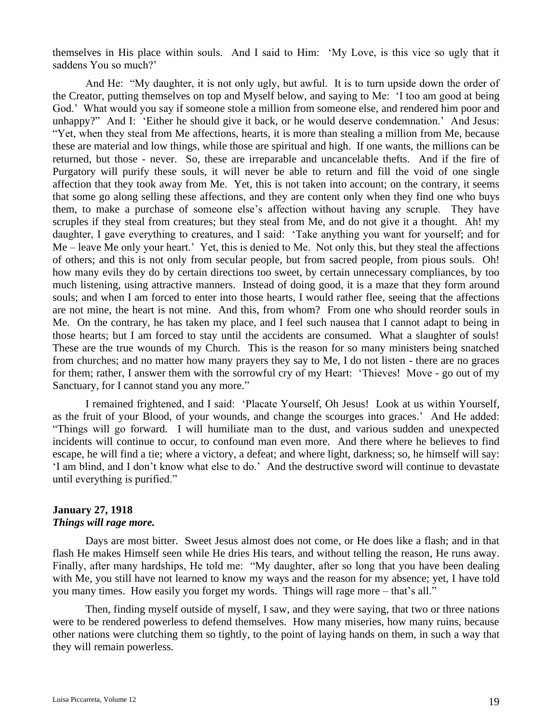themselves in His place within souls. And I said to Him: 'My Love, is this vice so ugly that it saddens You so much?'

And He: "My daughter, it is not only ugly, but awful. It is to turn upside down the order of the Creator, putting themselves on top and Myself below, and saying to Me: 'I too am good at being God.' What would you say if someone stole a million from someone else, and rendered him poor and unhappy?" And I: 'Either he should give it back, or he would deserve condemnation.' And Jesus: "Yet, when they steal from Me affections, hearts, it is more than stealing a million from Me, because these are material and low things, while those are spiritual and high. If one wants, the millions can be returned, but those - never. So, these are irreparable and uncancelable thefts. And if the fire of Purgatory will purify these souls, it will never be able to return and fill the void of one single affection that they took away from Me. Yet, this is not taken into account; on the contrary, it seems that some go along selling these affections, and they are content only when they find one who buys them, to make a purchase of someone else's affection without having any scruple. They have scruples if they steal from creatures; but they steal from Me, and do not give it a thought. Ah! my daughter, I gave everything to creatures, and I said: 'Take anything you want for yourself; and for Me – leave Me only your heart.' Yet, this is denied to Me. Not only this, but they steal the affections of others; and this is not only from secular people, but from sacred people, from pious souls. Oh! how many evils they do by certain directions too sweet, by certain unnecessary compliances, by too much listening, using attractive manners. Instead of doing good, it is a maze that they form around souls; and when I am forced to enter into those hearts, I would rather flee, seeing that the affections are not mine, the heart is not mine. And this, from whom? From one who should reorder souls in Me. On the contrary, he has taken my place, and I feel such nausea that I cannot adapt to being in those hearts; but I am forced to stay until the accidents are consumed. What a slaughter of souls! These are the true wounds of my Church. This is the reason for so many ministers being snatched from churches; and no matter how many prayers they say to Me, I do not listen - there are no graces for them; rather, I answer them with the sorrowful cry of my Heart: 'Thieves! Move - go out of my Sanctuary, for I cannot stand you any more."

I remained frightened, and I said: 'Placate Yourself, Oh Jesus! Look at us within Yourself, as the fruit of your Blood, of your wounds, and change the scourges into graces.' And He added: "Things will go forward. I will humiliate man to the dust, and various sudden and unexpected incidents will continue to occur, to confound man even more. And there where he believes to find escape, he will find a tie; where a victory, a defeat; and where light, darkness; so, he himself will say: 'I am blind, and I don't know what else to do.' And the destructive sword will continue to devastate until everything is purified."

### **January 27, 1918** *Things will rage more.*

Days are most bitter. Sweet Jesus almost does not come, or He does like a flash; and in that flash He makes Himself seen while He dries His tears, and without telling the reason, He runs away. Finally, after many hardships, He told me: "My daughter, after so long that you have been dealing with Me, you still have not learned to know my ways and the reason for my absence; yet, I have told you many times. How easily you forget my words. Things will rage more – that's all."

Then, finding myself outside of myself, I saw, and they were saying, that two or three nations were to be rendered powerless to defend themselves. How many miseries, how many ruins, because other nations were clutching them so tightly, to the point of laying hands on them, in such a way that they will remain powerless.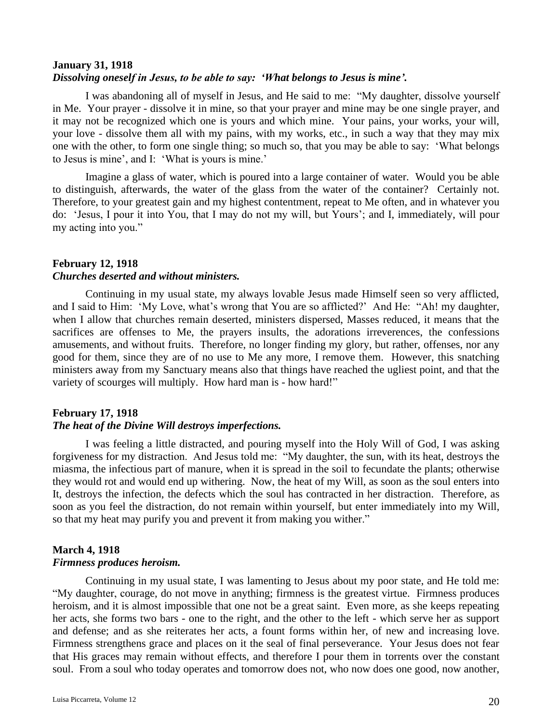# **January 31, 1918** *Dissolving oneself in Jesus, to be able to say: 'What belongs to Jesus is mine'.*

I was abandoning all of myself in Jesus, and He said to me: "My daughter, dissolve yourself in Me. Your prayer - dissolve it in mine, so that your prayer and mine may be one single prayer, and it may not be recognized which one is yours and which mine. Your pains, your works, your will, your love - dissolve them all with my pains, with my works, etc., in such a way that they may mix one with the other, to form one single thing; so much so, that you may be able to say: 'What belongs to Jesus is mine', and I: 'What is yours is mine.'

Imagine a glass of water, which is poured into a large container of water. Would you be able to distinguish, afterwards, the water of the glass from the water of the container? Certainly not. Therefore, to your greatest gain and my highest contentment, repeat to Me often, and in whatever you do: 'Jesus, I pour it into You, that I may do not my will, but Yours'; and I, immediately, will pour my acting into you."

## **February 12, 1918**

# *Churches deserted and without ministers.*

Continuing in my usual state, my always lovable Jesus made Himself seen so very afflicted, and I said to Him: 'My Love, what's wrong that You are so afflicted?' And He: "Ah! my daughter, when I allow that churches remain deserted, ministers dispersed, Masses reduced, it means that the sacrifices are offenses to Me, the prayers insults, the adorations irreverences, the confessions amusements, and without fruits. Therefore, no longer finding my glory, but rather, offenses, nor any good for them, since they are of no use to Me any more, I remove them. However, this snatching ministers away from my Sanctuary means also that things have reached the ugliest point, and that the variety of scourges will multiply. How hard man is - how hard!"

# **February 17, 1918**

# *The heat of the Divine Will destroys imperfections.*

I was feeling a little distracted, and pouring myself into the Holy Will of God, I was asking forgiveness for my distraction. And Jesus told me: "My daughter, the sun, with its heat, destroys the miasma, the infectious part of manure, when it is spread in the soil to fecundate the plants; otherwise they would rot and would end up withering. Now, the heat of my Will, as soon as the soul enters into It, destroys the infection, the defects which the soul has contracted in her distraction. Therefore, as soon as you feel the distraction, do not remain within yourself, but enter immediately into my Will, so that my heat may purify you and prevent it from making you wither."

## **March 4, 1918** *Firmness produces heroism.*

Continuing in my usual state, I was lamenting to Jesus about my poor state, and He told me: "My daughter, courage, do not move in anything; firmness is the greatest virtue. Firmness produces heroism, and it is almost impossible that one not be a great saint. Even more, as she keeps repeating her acts, she forms two bars - one to the right, and the other to the left - which serve her as support and defense; and as she reiterates her acts, a fount forms within her, of new and increasing love. Firmness strengthens grace and places on it the seal of final perseverance. Your Jesus does not fear that His graces may remain without effects, and therefore I pour them in torrents over the constant soul. From a soul who today operates and tomorrow does not, who now does one good, now another,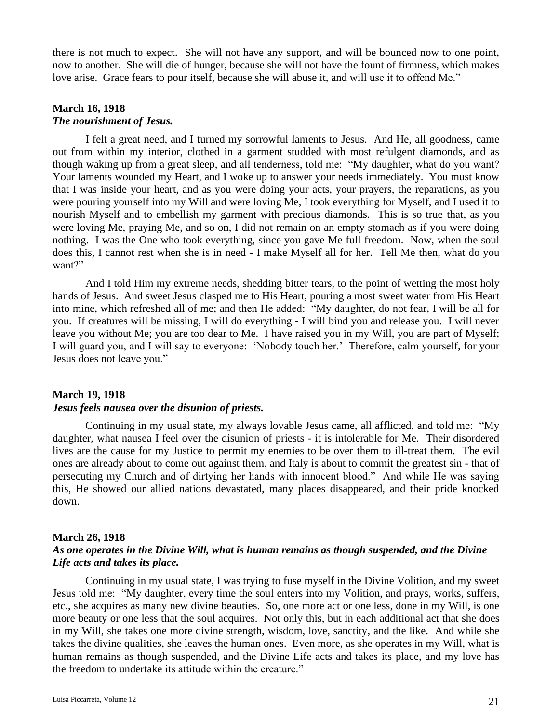there is not much to expect. She will not have any support, and will be bounced now to one point, now to another. She will die of hunger, because she will not have the fount of firmness, which makes love arise. Grace fears to pour itself, because she will abuse it, and will use it to offend Me."

# **March 16, 1918** *The nourishment of Jesus.*

I felt a great need, and I turned my sorrowful laments to Jesus. And He, all goodness, came out from within my interior, clothed in a garment studded with most refulgent diamonds, and as though waking up from a great sleep, and all tenderness, told me: "My daughter, what do you want? Your laments wounded my Heart, and I woke up to answer your needs immediately. You must know that I was inside your heart, and as you were doing your acts, your prayers, the reparations, as you were pouring yourself into my Will and were loving Me, I took everything for Myself, and I used it to nourish Myself and to embellish my garment with precious diamonds. This is so true that, as you were loving Me, praying Me, and so on, I did not remain on an empty stomach as if you were doing nothing. I was the One who took everything, since you gave Me full freedom. Now, when the soul does this, I cannot rest when she is in need - I make Myself all for her. Tell Me then, what do you want?"

And I told Him my extreme needs, shedding bitter tears, to the point of wetting the most holy hands of Jesus. And sweet Jesus clasped me to His Heart, pouring a most sweet water from His Heart into mine, which refreshed all of me; and then He added: "My daughter, do not fear, I will be all for you. If creatures will be missing, I will do everything - I will bind you and release you. I will never leave you without Me; you are too dear to Me. I have raised you in my Will, you are part of Myself; I will guard you, and I will say to everyone: 'Nobody touch her.' Therefore, calm yourself, for your Jesus does not leave you."

# **March 19, 1918**

## *Jesus feels nausea over the disunion of priests.*

Continuing in my usual state, my always lovable Jesus came, all afflicted, and told me: "My daughter, what nausea I feel over the disunion of priests - it is intolerable for Me. Their disordered lives are the cause for my Justice to permit my enemies to be over them to ill-treat them. The evil ones are already about to come out against them, and Italy is about to commit the greatest sin - that of persecuting my Church and of dirtying her hands with innocent blood." And while He was saying this, He showed our allied nations devastated, many places disappeared, and their pride knocked down.

## **March 26, 1918**

# *As one operates in the Divine Will, what is human remains as though suspended, and the Divine Life acts and takes its place.*

Continuing in my usual state, I was trying to fuse myself in the Divine Volition, and my sweet Jesus told me: "My daughter, every time the soul enters into my Volition, and prays, works, suffers, etc., she acquires as many new divine beauties. So, one more act or one less, done in my Will, is one more beauty or one less that the soul acquires. Not only this, but in each additional act that she does in my Will, she takes one more divine strength, wisdom, love, sanctity, and the like. And while she takes the divine qualities, she leaves the human ones. Even more, as she operates in my Will, what is human remains as though suspended, and the Divine Life acts and takes its place, and my love has the freedom to undertake its attitude within the creature."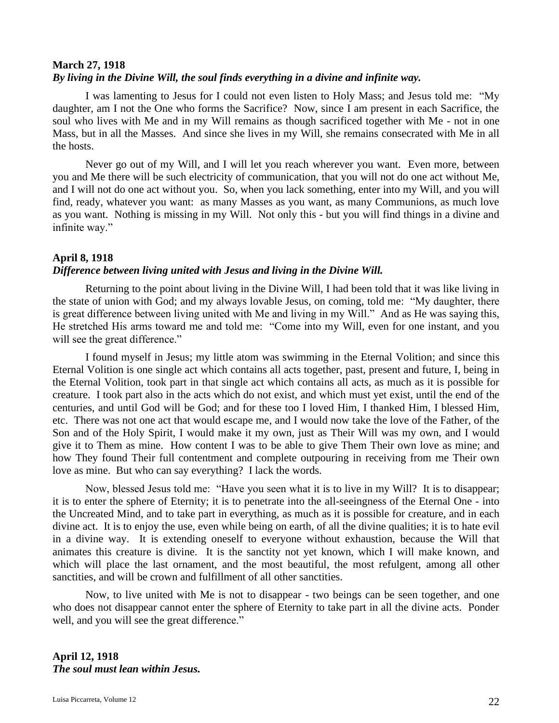# **March 27, 1918** *By living in the Divine Will, the soul finds everything in a divine and infinite way.*

I was lamenting to Jesus for I could not even listen to Holy Mass; and Jesus told me: "My daughter, am I not the One who forms the Sacrifice? Now, since I am present in each Sacrifice, the soul who lives with Me and in my Will remains as though sacrificed together with Me - not in one Mass, but in all the Masses. And since she lives in my Will, she remains consecrated with Me in all the hosts.

Never go out of my Will, and I will let you reach wherever you want. Even more, between you and Me there will be such electricity of communication, that you will not do one act without Me, and I will not do one act without you. So, when you lack something, enter into my Will, and you will find, ready, whatever you want: as many Masses as you want, as many Communions, as much love as you want. Nothing is missing in my Will. Not only this - but you will find things in a divine and infinite way."

# **April 8, 1918**

# *Difference between living united with Jesus and living in the Divine Will.*

Returning to the point about living in the Divine Will, I had been told that it was like living in the state of union with God; and my always lovable Jesus, on coming, told me: "My daughter, there is great difference between living united with Me and living in my Will." And as He was saying this, He stretched His arms toward me and told me: "Come into my Will, even for one instant, and you will see the great difference."

I found myself in Jesus; my little atom was swimming in the Eternal Volition; and since this Eternal Volition is one single act which contains all acts together, past, present and future, I, being in the Eternal Volition, took part in that single act which contains all acts, as much as it is possible for creature. I took part also in the acts which do not exist, and which must yet exist, until the end of the centuries, and until God will be God; and for these too I loved Him, I thanked Him, I blessed Him, etc. There was not one act that would escape me, and I would now take the love of the Father, of the Son and of the Holy Spirit, I would make it my own, just as Their Will was my own, and I would give it to Them as mine. How content I was to be able to give Them Their own love as mine; and how They found Their full contentment and complete outpouring in receiving from me Their own love as mine. But who can say everything? I lack the words.

Now, blessed Jesus told me: "Have you seen what it is to live in my Will? It is to disappear; it is to enter the sphere of Eternity; it is to penetrate into the all-seeingness of the Eternal One - into the Uncreated Mind, and to take part in everything, as much as it is possible for creature, and in each divine act. It is to enjoy the use, even while being on earth, of all the divine qualities; it is to hate evil in a divine way. It is extending oneself to everyone without exhaustion, because the Will that animates this creature is divine. It is the sanctity not yet known, which I will make known, and which will place the last ornament, and the most beautiful, the most refulgent, among all other sanctities, and will be crown and fulfillment of all other sanctities.

Now, to live united with Me is not to disappear - two beings can be seen together, and one who does not disappear cannot enter the sphere of Eternity to take part in all the divine acts. Ponder well, and you will see the great difference."

**April 12, 1918**  *The soul must lean within Jesus.*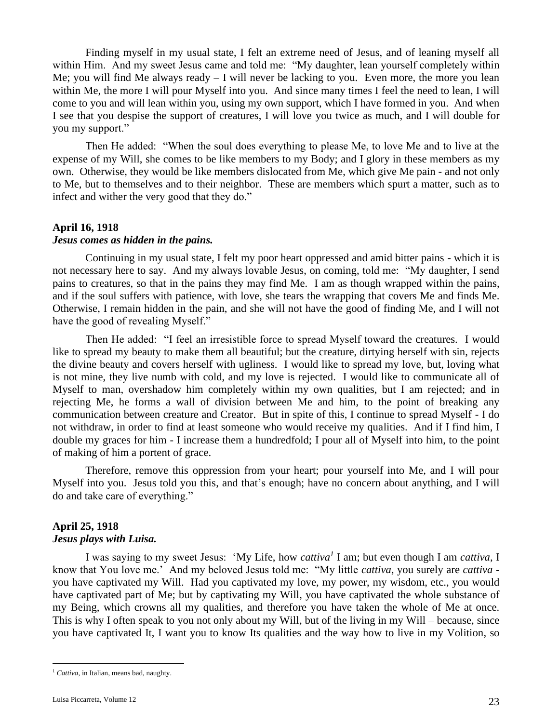Finding myself in my usual state, I felt an extreme need of Jesus, and of leaning myself all within Him. And my sweet Jesus came and told me: "My daughter, lean yourself completely within Me; you will find Me always ready  $- I$  will never be lacking to you. Even more, the more you lean within Me, the more I will pour Myself into you. And since many times I feel the need to lean, I will come to you and will lean within you, using my own support, which I have formed in you. And when I see that you despise the support of creatures, I will love you twice as much, and I will double for you my support."

Then He added: "When the soul does everything to please Me, to love Me and to live at the expense of my Will, she comes to be like members to my Body; and I glory in these members as my own. Otherwise, they would be like members dislocated from Me, which give Me pain - and not only to Me, but to themselves and to their neighbor. These are members which spurt a matter, such as to infect and wither the very good that they do."

## **April 16, 1918**

## *Jesus comes as hidden in the pains.*

Continuing in my usual state, I felt my poor heart oppressed and amid bitter pains - which it is not necessary here to say. And my always lovable Jesus, on coming, told me: "My daughter, I send pains to creatures, so that in the pains they may find Me. I am as though wrapped within the pains, and if the soul suffers with patience, with love, she tears the wrapping that covers Me and finds Me. Otherwise, I remain hidden in the pain, and she will not have the good of finding Me, and I will not have the good of revealing Myself."

Then He added: "I feel an irresistible force to spread Myself toward the creatures. I would like to spread my beauty to make them all beautiful; but the creature, dirtying herself with sin, rejects the divine beauty and covers herself with ugliness. I would like to spread my love, but, loving what is not mine, they live numb with cold, and my love is rejected. I would like to communicate all of Myself to man, overshadow him completely within my own qualities, but I am rejected; and in rejecting Me, he forms a wall of division between Me and him, to the point of breaking any communication between creature and Creator. But in spite of this, I continue to spread Myself - I do not withdraw, in order to find at least someone who would receive my qualities. And if I find him, I double my graces for him - I increase them a hundredfold; I pour all of Myself into him, to the point of making of him a portent of grace.

Therefore, remove this oppression from your heart; pour yourself into Me, and I will pour Myself into you. Jesus told you this, and that's enough; have no concern about anything, and I will do and take care of everything."

# **April 25, 1918**

# *Jesus plays with Luisa.*

I was saying to my sweet Jesus: 'My Life, how *cattiva<sup>1</sup>* I am; but even though I am *cattiva*, I know that You love me.' And my beloved Jesus told me: "My little *cattiva*, you surely are *cattiva* you have captivated my Will. Had you captivated my love, my power, my wisdom, etc., you would have captivated part of Me; but by captivating my Will, you have captivated the whole substance of my Being, which crowns all my qualities, and therefore you have taken the whole of Me at once. This is why I often speak to you not only about my Will, but of the living in my Will – because, since you have captivated It, I want you to know Its qualities and the way how to live in my Volition, so

<sup>&</sup>lt;sup>1</sup> *Cattiva*, in Italian, means bad, naughty.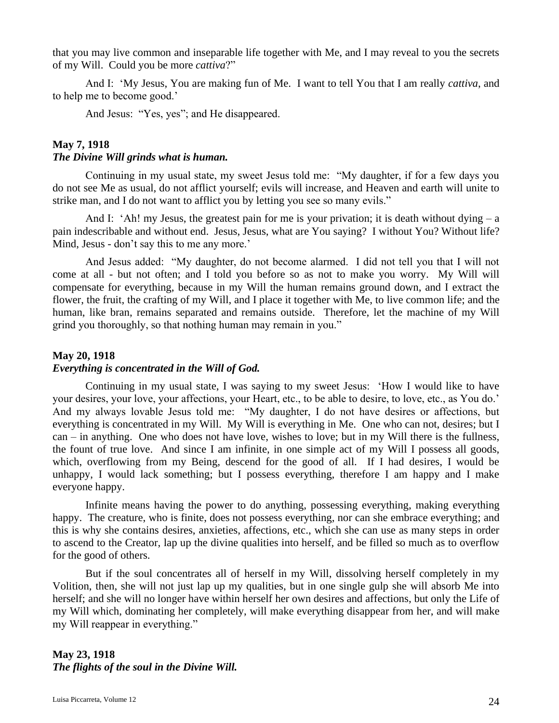that you may live common and inseparable life together with Me, and I may reveal to you the secrets of my Will. Could you be more *cattiva*?"

And I: 'My Jesus, You are making fun of Me. I want to tell You that I am really *cattiva*, and to help me to become good.'

And Jesus: "Yes, yes"; and He disappeared.

# **May 7, 1918**

### *The Divine Will grinds what is human.*

Continuing in my usual state, my sweet Jesus told me: "My daughter, if for a few days you do not see Me as usual, do not afflict yourself; evils will increase, and Heaven and earth will unite to strike man, and I do not want to afflict you by letting you see so many evils."

And I: 'Ah! my Jesus, the greatest pain for me is your privation; it is death without dying  $-a$ pain indescribable and without end. Jesus, Jesus, what are You saying? I without You? Without life? Mind, Jesus - don't say this to me any more.'

And Jesus added: "My daughter, do not become alarmed. I did not tell you that I will not come at all - but not often; and I told you before so as not to make you worry. My Will will compensate for everything, because in my Will the human remains ground down, and I extract the flower, the fruit, the crafting of my Will, and I place it together with Me, to live common life; and the human, like bran, remains separated and remains outside. Therefore, let the machine of my Will grind you thoroughly, so that nothing human may remain in you."

### **May 20, 1918**

### *Everything is concentrated in the Will of God.*

Continuing in my usual state, I was saying to my sweet Jesus: 'How I would like to have your desires, your love, your affections, your Heart, etc., to be able to desire, to love, etc., as You do.' And my always lovable Jesus told me: "My daughter, I do not have desires or affections, but everything is concentrated in my Will. My Will is everything in Me. One who can not, desires; but I can – in anything. One who does not have love, wishes to love; but in my Will there is the fullness, the fount of true love. And since I am infinite, in one simple act of my Will I possess all goods, which, overflowing from my Being, descend for the good of all. If I had desires, I would be unhappy, I would lack something; but I possess everything, therefore I am happy and I make everyone happy.

Infinite means having the power to do anything, possessing everything, making everything happy. The creature, who is finite, does not possess everything, nor can she embrace everything; and this is why she contains desires, anxieties, affections, etc., which she can use as many steps in order to ascend to the Creator, lap up the divine qualities into herself, and be filled so much as to overflow for the good of others.

But if the soul concentrates all of herself in my Will, dissolving herself completely in my Volition, then, she will not just lap up my qualities, but in one single gulp she will absorb Me into herself; and she will no longer have within herself her own desires and affections, but only the Life of my Will which, dominating her completely, will make everything disappear from her, and will make my Will reappear in everything."

# **May 23, 1918** *The flights of the soul in the Divine Will.*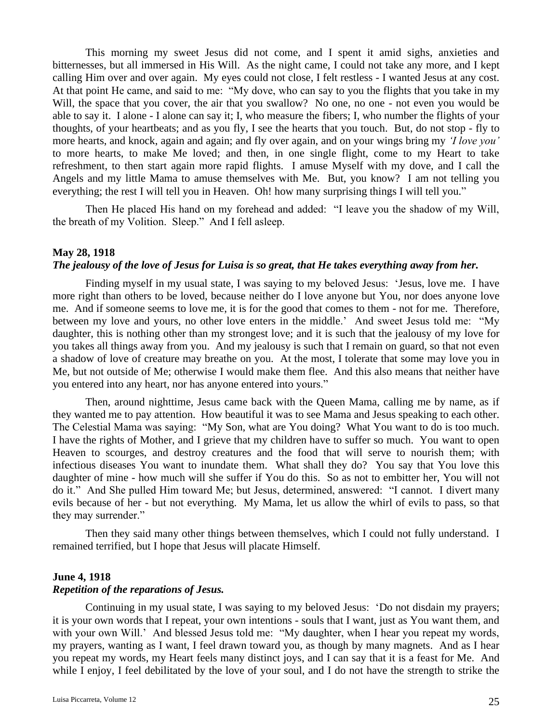This morning my sweet Jesus did not come, and I spent it amid sighs, anxieties and bitternesses, but all immersed in His Will. As the night came, I could not take any more, and I kept calling Him over and over again. My eyes could not close, I felt restless - I wanted Jesus at any cost. At that point He came, and said to me: "My dove, who can say to you the flights that you take in my Will, the space that you cover, the air that you swallow? No one, no one - not even you would be able to say it. I alone - I alone can say it; I, who measure the fibers; I, who number the flights of your thoughts, of your heartbeats; and as you fly, I see the hearts that you touch. But, do not stop - fly to more hearts, and knock, again and again; and fly over again, and on your wings bring my *'I love you'* to more hearts, to make Me loved; and then, in one single flight, come to my Heart to take refreshment, to then start again more rapid flights. I amuse Myself with my dove, and I call the Angels and my little Mama to amuse themselves with Me. But, you know? I am not telling you everything; the rest I will tell you in Heaven. Oh! how many surprising things I will tell you."

Then He placed His hand on my forehead and added: "I leave you the shadow of my Will, the breath of my Volition. Sleep." And I fell asleep.

### **May 28, 1918**

### *The jealousy of the love of Jesus for Luisa is so great, that He takes everything away from her.*

Finding myself in my usual state, I was saying to my beloved Jesus: 'Jesus, love me. I have more right than others to be loved, because neither do I love anyone but You, nor does anyone love me. And if someone seems to love me, it is for the good that comes to them - not for me. Therefore, between my love and yours, no other love enters in the middle.' And sweet Jesus told me: "My daughter, this is nothing other than my strongest love; and it is such that the jealousy of my love for you takes all things away from you. And my jealousy is such that I remain on guard, so that not even a shadow of love of creature may breathe on you. At the most, I tolerate that some may love you in Me, but not outside of Me; otherwise I would make them flee. And this also means that neither have you entered into any heart, nor has anyone entered into yours."

Then, around nighttime, Jesus came back with the Queen Mama, calling me by name, as if they wanted me to pay attention. How beautiful it was to see Mama and Jesus speaking to each other. The Celestial Mama was saying: "My Son, what are You doing? What You want to do is too much. I have the rights of Mother, and I grieve that my children have to suffer so much. You want to open Heaven to scourges, and destroy creatures and the food that will serve to nourish them; with infectious diseases You want to inundate them. What shall they do? You say that You love this daughter of mine - how much will she suffer if You do this. So as not to embitter her, You will not do it." And She pulled Him toward Me; but Jesus, determined, answered: "I cannot. I divert many evils because of her - but not everything. My Mama, let us allow the whirl of evils to pass, so that they may surrender."

Then they said many other things between themselves, which I could not fully understand. I remained terrified, but I hope that Jesus will placate Himself.

## **June 4, 1918**

### *Repetition of the reparations of Jesus.*

Continuing in my usual state, I was saying to my beloved Jesus: 'Do not disdain my prayers; it is your own words that I repeat, your own intentions - souls that I want, just as You want them, and with your own Will.' And blessed Jesus told me: "My daughter, when I hear you repeat my words, my prayers, wanting as I want, I feel drawn toward you, as though by many magnets. And as I hear you repeat my words, my Heart feels many distinct joys, and I can say that it is a feast for Me. And while I enjoy, I feel debilitated by the love of your soul, and I do not have the strength to strike the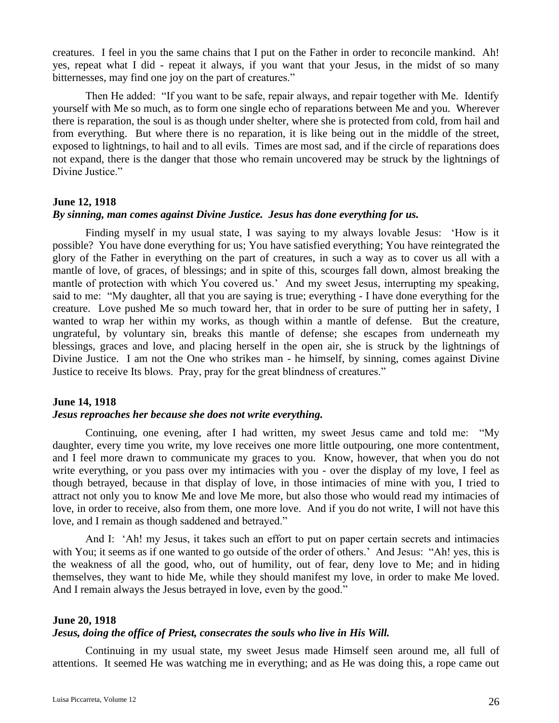creatures. I feel in you the same chains that I put on the Father in order to reconcile mankind. Ah! yes, repeat what I did - repeat it always, if you want that your Jesus, in the midst of so many bitternesses, may find one joy on the part of creatures."

Then He added: "If you want to be safe, repair always, and repair together with Me. Identify yourself with Me so much, as to form one single echo of reparations between Me and you. Wherever there is reparation, the soul is as though under shelter, where she is protected from cold, from hail and from everything. But where there is no reparation, it is like being out in the middle of the street, exposed to lightnings, to hail and to all evils. Times are most sad, and if the circle of reparations does not expand, there is the danger that those who remain uncovered may be struck by the lightnings of Divine Justice."

### **June 12, 1918**

#### *By sinning, man comes against Divine Justice. Jesus has done everything for us.*

Finding myself in my usual state, I was saying to my always lovable Jesus: 'How is it possible? You have done everything for us; You have satisfied everything; You have reintegrated the glory of the Father in everything on the part of creatures, in such a way as to cover us all with a mantle of love, of graces, of blessings; and in spite of this, scourges fall down, almost breaking the mantle of protection with which You covered us.' And my sweet Jesus, interrupting my speaking, said to me: "My daughter, all that you are saying is true; everything - I have done everything for the creature. Love pushed Me so much toward her, that in order to be sure of putting her in safety, I wanted to wrap her within my works, as though within a mantle of defense. But the creature, ungrateful, by voluntary sin, breaks this mantle of defense; she escapes from underneath my blessings, graces and love, and placing herself in the open air, she is struck by the lightnings of Divine Justice. I am not the One who strikes man - he himself, by sinning, comes against Divine Justice to receive Its blows. Pray, pray for the great blindness of creatures."

#### **June 14, 1918**

### *Jesus reproaches her because she does not write everything.*

Continuing, one evening, after I had written, my sweet Jesus came and told me: "My daughter, every time you write, my love receives one more little outpouring, one more contentment, and I feel more drawn to communicate my graces to you. Know, however, that when you do not write everything, or you pass over my intimacies with you - over the display of my love, I feel as though betrayed, because in that display of love, in those intimacies of mine with you, I tried to attract not only you to know Me and love Me more, but also those who would read my intimacies of love, in order to receive, also from them, one more love. And if you do not write, I will not have this love, and I remain as though saddened and betrayed."

And I: 'Ah! my Jesus, it takes such an effort to put on paper certain secrets and intimacies with You; it seems as if one wanted to go outside of the order of others.' And Jesus: "Ah! yes, this is the weakness of all the good, who, out of humility, out of fear, deny love to Me; and in hiding themselves, they want to hide Me, while they should manifest my love, in order to make Me loved. And I remain always the Jesus betrayed in love, even by the good."

### **June 20, 1918**

### *Jesus, doing the office of Priest, consecrates the souls who live in His Will.*

Continuing in my usual state, my sweet Jesus made Himself seen around me, all full of attentions. It seemed He was watching me in everything; and as He was doing this, a rope came out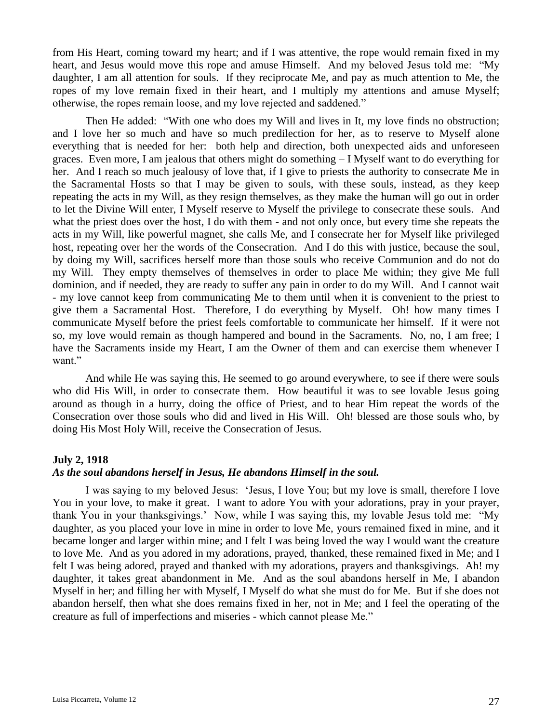from His Heart, coming toward my heart; and if I was attentive, the rope would remain fixed in my heart, and Jesus would move this rope and amuse Himself. And my beloved Jesus told me: "My daughter, I am all attention for souls. If they reciprocate Me, and pay as much attention to Me, the ropes of my love remain fixed in their heart, and I multiply my attentions and amuse Myself; otherwise, the ropes remain loose, and my love rejected and saddened."

Then He added: "With one who does my Will and lives in It, my love finds no obstruction; and I love her so much and have so much predilection for her, as to reserve to Myself alone everything that is needed for her: both help and direction, both unexpected aids and unforeseen graces. Even more, I am jealous that others might do something – I Myself want to do everything for her. And I reach so much jealousy of love that, if I give to priests the authority to consecrate Me in the Sacramental Hosts so that I may be given to souls, with these souls, instead, as they keep repeating the acts in my Will, as they resign themselves, as they make the human will go out in order to let the Divine Will enter, I Myself reserve to Myself the privilege to consecrate these souls. And what the priest does over the host, I do with them - and not only once, but every time she repeats the acts in my Will, like powerful magnet, she calls Me, and I consecrate her for Myself like privileged host, repeating over her the words of the Consecration. And I do this with justice, because the soul, by doing my Will, sacrifices herself more than those souls who receive Communion and do not do my Will. They empty themselves of themselves in order to place Me within; they give Me full dominion, and if needed, they are ready to suffer any pain in order to do my Will. And I cannot wait - my love cannot keep from communicating Me to them until when it is convenient to the priest to give them a Sacramental Host. Therefore, I do everything by Myself. Oh! how many times I communicate Myself before the priest feels comfortable to communicate her himself. If it were not so, my love would remain as though hampered and bound in the Sacraments. No, no, I am free; I have the Sacraments inside my Heart, I am the Owner of them and can exercise them whenever I want."

And while He was saying this, He seemed to go around everywhere, to see if there were souls who did His Will, in order to consecrate them. How beautiful it was to see lovable Jesus going around as though in a hurry, doing the office of Priest, and to hear Him repeat the words of the Consecration over those souls who did and lived in His Will. Oh! blessed are those souls who, by doing His Most Holy Will, receive the Consecration of Jesus.

## **July 2, 1918**

## *As the soul abandons herself in Jesus, He abandons Himself in the soul.*

I was saying to my beloved Jesus: 'Jesus, I love You; but my love is small, therefore I love You in your love, to make it great. I want to adore You with your adorations, pray in your prayer, thank You in your thanksgivings.' Now, while I was saying this, my lovable Jesus told me: "My daughter, as you placed your love in mine in order to love Me, yours remained fixed in mine, and it became longer and larger within mine; and I felt I was being loved the way I would want the creature to love Me. And as you adored in my adorations, prayed, thanked, these remained fixed in Me; and I felt I was being adored, prayed and thanked with my adorations, prayers and thanksgivings. Ah! my daughter, it takes great abandonment in Me. And as the soul abandons herself in Me, I abandon Myself in her; and filling her with Myself, I Myself do what she must do for Me. But if she does not abandon herself, then what she does remains fixed in her, not in Me; and I feel the operating of the creature as full of imperfections and miseries - which cannot please Me."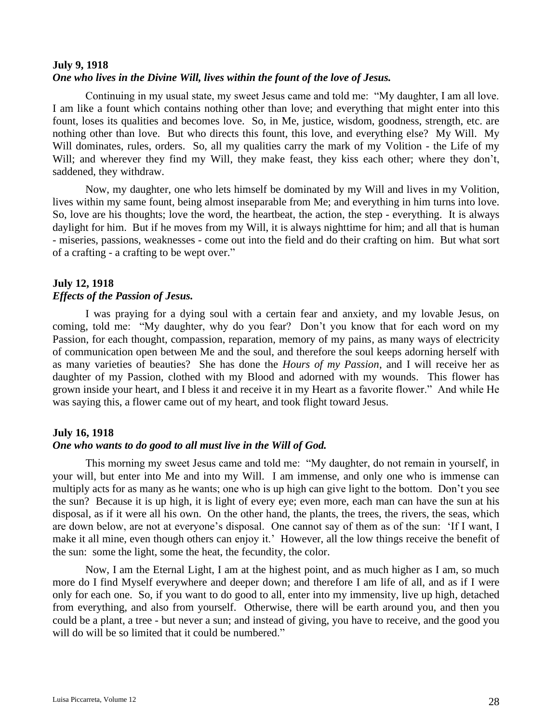# **July 9, 1918** *One who lives in the Divine Will, lives within the fount of the love of Jesus.*

Continuing in my usual state, my sweet Jesus came and told me: "My daughter, I am all love. I am like a fount which contains nothing other than love; and everything that might enter into this fount, loses its qualities and becomes love. So, in Me, justice, wisdom, goodness, strength, etc. are nothing other than love. But who directs this fount, this love, and everything else? My Will. My Will dominates, rules, orders. So, all my qualities carry the mark of my Volition - the Life of my Will; and wherever they find my Will, they make feast, they kiss each other; where they don't, saddened, they withdraw.

Now, my daughter, one who lets himself be dominated by my Will and lives in my Volition, lives within my same fount, being almost inseparable from Me; and everything in him turns into love. So, love are his thoughts; love the word, the heartbeat, the action, the step - everything. It is always daylight for him. But if he moves from my Will, it is always nighttime for him; and all that is human - miseries, passions, weaknesses - come out into the field and do their crafting on him. But what sort of a crafting - a crafting to be wept over."

# **July 12, 1918** *Effects of the Passion of Jesus.*

I was praying for a dying soul with a certain fear and anxiety, and my lovable Jesus, on coming, told me: "My daughter, why do you fear? Don't you know that for each word on my Passion, for each thought, compassion, reparation, memory of my pains, as many ways of electricity of communication open between Me and the soul, and therefore the soul keeps adorning herself with as many varieties of beauties? She has done the *Hours of my Passion*, and I will receive her as daughter of my Passion, clothed with my Blood and adorned with my wounds. This flower has grown inside your heart, and I bless it and receive it in my Heart as a favorite flower." And while He was saying this, a flower came out of my heart, and took flight toward Jesus.

# **July 16, 1918**

# *One who wants to do good to all must live in the Will of God.*

This morning my sweet Jesus came and told me: "My daughter, do not remain in yourself, in your will, but enter into Me and into my Will. I am immense, and only one who is immense can multiply acts for as many as he wants; one who is up high can give light to the bottom. Don't you see the sun? Because it is up high, it is light of every eye; even more, each man can have the sun at his disposal, as if it were all his own. On the other hand, the plants, the trees, the rivers, the seas, which are down below, are not at everyone's disposal. One cannot say of them as of the sun: 'If I want, I make it all mine, even though others can enjoy it.' However, all the low things receive the benefit of the sun: some the light, some the heat, the fecundity, the color.

Now, I am the Eternal Light, I am at the highest point, and as much higher as I am, so much more do I find Myself everywhere and deeper down; and therefore I am life of all, and as if I were only for each one. So, if you want to do good to all, enter into my immensity, live up high, detached from everything, and also from yourself. Otherwise, there will be earth around you, and then you could be a plant, a tree - but never a sun; and instead of giving, you have to receive, and the good you will do will be so limited that it could be numbered."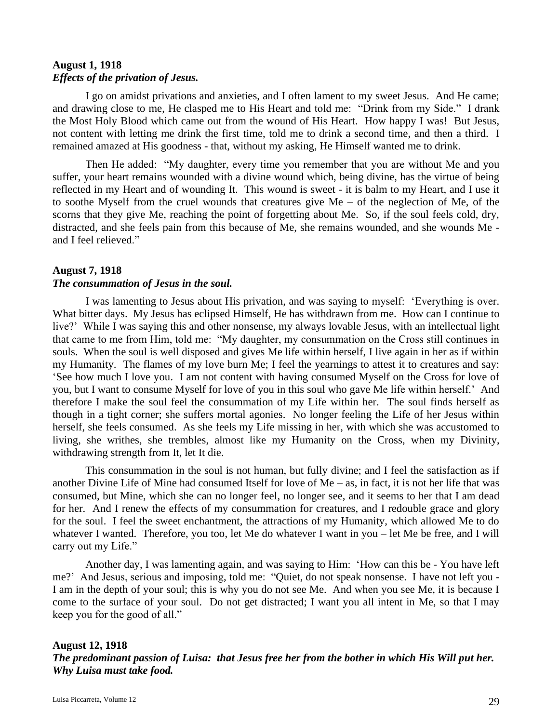# **August 1, 1918**  *Effects of the privation of Jesus.*

I go on amidst privations and anxieties, and I often lament to my sweet Jesus. And He came; and drawing close to me, He clasped me to His Heart and told me: "Drink from my Side." I drank the Most Holy Blood which came out from the wound of His Heart. How happy I was! But Jesus, not content with letting me drink the first time, told me to drink a second time, and then a third. I remained amazed at His goodness - that, without my asking, He Himself wanted me to drink.

Then He added: "My daughter, every time you remember that you are without Me and you suffer, your heart remains wounded with a divine wound which, being divine, has the virtue of being reflected in my Heart and of wounding It. This wound is sweet - it is balm to my Heart, and I use it to soothe Myself from the cruel wounds that creatures give Me – of the neglection of Me, of the scorns that they give Me, reaching the point of forgetting about Me. So, if the soul feels cold, dry, distracted, and she feels pain from this because of Me, she remains wounded, and she wounds Me and I feel relieved."

# **August 7, 1918**

# *The consummation of Jesus in the soul.*

I was lamenting to Jesus about His privation, and was saying to myself: 'Everything is over. What bitter days. My Jesus has eclipsed Himself, He has withdrawn from me. How can I continue to live?' While I was saying this and other nonsense, my always lovable Jesus, with an intellectual light that came to me from Him, told me: "My daughter, my consummation on the Cross still continues in souls. When the soul is well disposed and gives Me life within herself, I live again in her as if within my Humanity. The flames of my love burn Me; I feel the yearnings to attest it to creatures and say: 'See how much I love you. I am not content with having consumed Myself on the Cross for love of you, but I want to consume Myself for love of you in this soul who gave Me life within herself.' And therefore I make the soul feel the consummation of my Life within her. The soul finds herself as though in a tight corner; she suffers mortal agonies. No longer feeling the Life of her Jesus within herself, she feels consumed. As she feels my Life missing in her, with which she was accustomed to living, she writhes, she trembles, almost like my Humanity on the Cross, when my Divinity, withdrawing strength from It, let It die.

This consummation in the soul is not human, but fully divine; and I feel the satisfaction as if another Divine Life of Mine had consumed Itself for love of Me – as, in fact, it is not her life that was consumed, but Mine, which she can no longer feel, no longer see, and it seems to her that I am dead for her. And I renew the effects of my consummation for creatures, and I redouble grace and glory for the soul. I feel the sweet enchantment, the attractions of my Humanity, which allowed Me to do whatever I wanted. Therefore, you too, let Me do whatever I want in you – let Me be free, and I will carry out my Life."

Another day, I was lamenting again, and was saying to Him: 'How can this be - You have left me?' And Jesus, serious and imposing, told me: "Quiet, do not speak nonsense. I have not left you - I am in the depth of your soul; this is why you do not see Me. And when you see Me, it is because I come to the surface of your soul. Do not get distracted; I want you all intent in Me, so that I may keep you for the good of all."

## **August 12, 1918**

*The predominant passion of Luisa: that Jesus free her from the bother in which His Will put her. Why Luisa must take food.*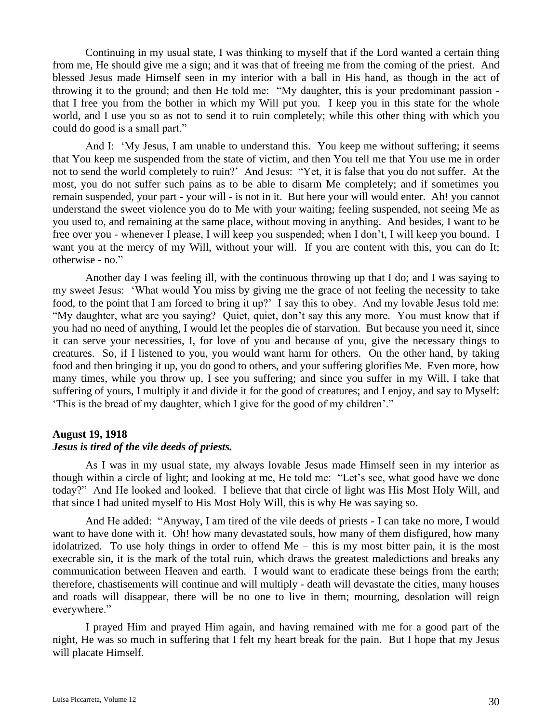Continuing in my usual state, I was thinking to myself that if the Lord wanted a certain thing from me, He should give me a sign; and it was that of freeing me from the coming of the priest. And blessed Jesus made Himself seen in my interior with a ball in His hand, as though in the act of throwing it to the ground; and then He told me: "My daughter, this is your predominant passion that I free you from the bother in which my Will put you. I keep you in this state for the whole world, and I use you so as not to send it to ruin completely; while this other thing with which you could do good is a small part."

And I: 'My Jesus, I am unable to understand this. You keep me without suffering; it seems that You keep me suspended from the state of victim, and then You tell me that You use me in order not to send the world completely to ruin?' And Jesus: "Yet, it is false that you do not suffer. At the most, you do not suffer such pains as to be able to disarm Me completely; and if sometimes you remain suspended, your part - your will - is not in it. But here your will would enter. Ah! you cannot understand the sweet violence you do to Me with your waiting; feeling suspended, not seeing Me as you used to, and remaining at the same place, without moving in anything. And besides, I want to be free over you - whenever I please, I will keep you suspended; when I don't, I will keep you bound. I want you at the mercy of my Will, without your will. If you are content with this, you can do It; otherwise - no."

Another day I was feeling ill, with the continuous throwing up that I do; and I was saying to my sweet Jesus: 'What would You miss by giving me the grace of not feeling the necessity to take food, to the point that I am forced to bring it up?' I say this to obey. And my lovable Jesus told me: "My daughter, what are you saying? Quiet, quiet, don't say this any more. You must know that if you had no need of anything, I would let the peoples die of starvation. But because you need it, since it can serve your necessities, I, for love of you and because of you, give the necessary things to creatures. So, if I listened to you, you would want harm for others. On the other hand, by taking food and then bringing it up, you do good to others, and your suffering glorifies Me. Even more, how many times, while you throw up, I see you suffering; and since you suffer in my Will, I take that suffering of yours, I multiply it and divide it for the good of creatures; and I enjoy, and say to Myself: 'This is the bread of my daughter, which I give for the good of my children'."

#### **August 19, 1918**

## *Jesus is tired of the vile deeds of priests.*

As I was in my usual state, my always lovable Jesus made Himself seen in my interior as though within a circle of light; and looking at me, He told me: "Let's see, what good have we done today?" And He looked and looked. I believe that that circle of light was His Most Holy Will, and that since I had united myself to His Most Holy Will, this is why He was saying so.

And He added: "Anyway, I am tired of the vile deeds of priests - I can take no more, I would want to have done with it. Oh! how many devastated souls, how many of them disfigured, how many idolatrized. To use holy things in order to offend Me – this is my most bitter pain, it is the most execrable sin, it is the mark of the total ruin, which draws the greatest maledictions and breaks any communication between Heaven and earth. I would want to eradicate these beings from the earth; therefore, chastisements will continue and will multiply - death will devastate the cities, many houses and roads will disappear, there will be no one to live in them; mourning, desolation will reign everywhere."

I prayed Him and prayed Him again, and having remained with me for a good part of the night, He was so much in suffering that I felt my heart break for the pain. But I hope that my Jesus will placate Himself.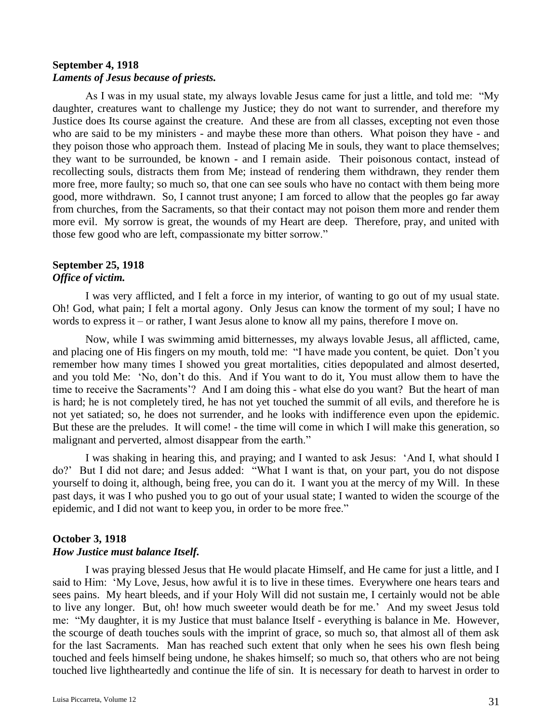# **September 4, 1918** *Laments of Jesus because of priests.*

As I was in my usual state, my always lovable Jesus came for just a little, and told me: "My daughter, creatures want to challenge my Justice; they do not want to surrender, and therefore my Justice does Its course against the creature. And these are from all classes, excepting not even those who are said to be my ministers - and maybe these more than others. What poison they have - and they poison those who approach them. Instead of placing Me in souls, they want to place themselves; they want to be surrounded, be known - and I remain aside. Their poisonous contact, instead of recollecting souls, distracts them from Me; instead of rendering them withdrawn, they render them more free, more faulty; so much so, that one can see souls who have no contact with them being more good, more withdrawn. So, I cannot trust anyone; I am forced to allow that the peoples go far away from churches, from the Sacraments, so that their contact may not poison them more and render them more evil. My sorrow is great, the wounds of my Heart are deep. Therefore, pray, and united with those few good who are left, compassionate my bitter sorrow."

### **September 25, 1918** *Office of victim.*

I was very afflicted, and I felt a force in my interior, of wanting to go out of my usual state. Oh! God, what pain; I felt a mortal agony. Only Jesus can know the torment of my soul; I have no words to express it – or rather, I want Jesus alone to know all my pains, therefore I move on.

Now, while I was swimming amid bitternesses, my always lovable Jesus, all afflicted, came, and placing one of His fingers on my mouth, told me: "I have made you content, be quiet. Don't you remember how many times I showed you great mortalities, cities depopulated and almost deserted, and you told Me: 'No, don't do this. And if You want to do it, You must allow them to have the time to receive the Sacraments'? And I am doing this - what else do you want? But the heart of man is hard; he is not completely tired, he has not yet touched the summit of all evils, and therefore he is not yet satiated; so, he does not surrender, and he looks with indifference even upon the epidemic. But these are the preludes. It will come! - the time will come in which I will make this generation, so malignant and perverted, almost disappear from the earth."

I was shaking in hearing this, and praying; and I wanted to ask Jesus: 'And I, what should I do?' But I did not dare; and Jesus added: "What I want is that, on your part, you do not dispose yourself to doing it, although, being free, you can do it. I want you at the mercy of my Will. In these past days, it was I who pushed you to go out of your usual state; I wanted to widen the scourge of the epidemic, and I did not want to keep you, in order to be more free."

# **October 3, 1918**

# *How Justice must balance Itself.*

I was praying blessed Jesus that He would placate Himself, and He came for just a little, and I said to Him: 'My Love, Jesus, how awful it is to live in these times. Everywhere one hears tears and sees pains. My heart bleeds, and if your Holy Will did not sustain me, I certainly would not be able to live any longer. But, oh! how much sweeter would death be for me.' And my sweet Jesus told me: "My daughter, it is my Justice that must balance Itself - everything is balance in Me. However, the scourge of death touches souls with the imprint of grace, so much so, that almost all of them ask for the last Sacraments. Man has reached such extent that only when he sees his own flesh being touched and feels himself being undone, he shakes himself; so much so, that others who are not being touched live lightheartedly and continue the life of sin. It is necessary for death to harvest in order to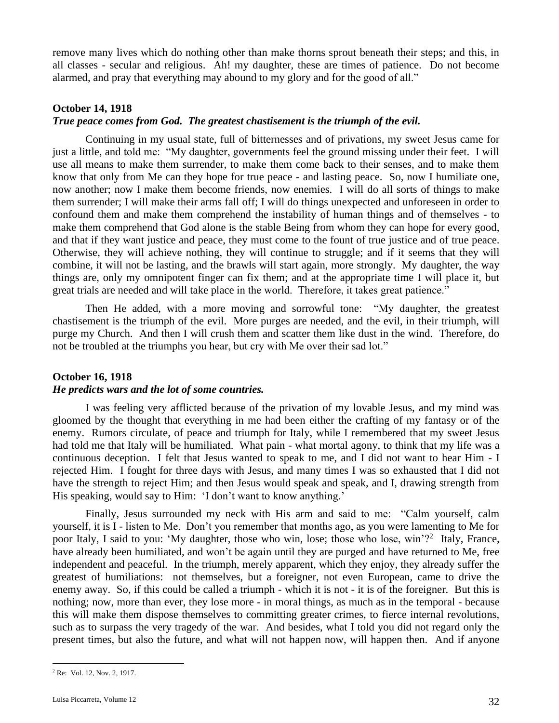remove many lives which do nothing other than make thorns sprout beneath their steps; and this, in all classes - secular and religious. Ah! my daughter, these are times of patience. Do not become alarmed, and pray that everything may abound to my glory and for the good of all."

## **October 14, 1918**

## *True peace comes from God. The greatest chastisement is the triumph of the evil.*

Continuing in my usual state, full of bitternesses and of privations, my sweet Jesus came for just a little, and told me: "My daughter, governments feel the ground missing under their feet. I will use all means to make them surrender, to make them come back to their senses, and to make them know that only from Me can they hope for true peace - and lasting peace. So, now I humiliate one, now another; now I make them become friends, now enemies. I will do all sorts of things to make them surrender; I will make their arms fall off; I will do things unexpected and unforeseen in order to confound them and make them comprehend the instability of human things and of themselves - to make them comprehend that God alone is the stable Being from whom they can hope for every good, and that if they want justice and peace, they must come to the fount of true justice and of true peace. Otherwise, they will achieve nothing, they will continue to struggle; and if it seems that they will combine, it will not be lasting, and the brawls will start again, more strongly. My daughter, the way things are, only my omnipotent finger can fix them; and at the appropriate time I will place it, but great trials are needed and will take place in the world. Therefore, it takes great patience."

Then He added, with a more moving and sorrowful tone: "My daughter, the greatest chastisement is the triumph of the evil. More purges are needed, and the evil, in their triumph, will purge my Church. And then I will crush them and scatter them like dust in the wind. Therefore, do not be troubled at the triumphs you hear, but cry with Me over their sad lot."

### **October 16, 1918**

# *He predicts wars and the lot of some countries.*

I was feeling very afflicted because of the privation of my lovable Jesus, and my mind was gloomed by the thought that everything in me had been either the crafting of my fantasy or of the enemy. Rumors circulate, of peace and triumph for Italy, while I remembered that my sweet Jesus had told me that Italy will be humiliated. What pain - what mortal agony, to think that my life was a continuous deception. I felt that Jesus wanted to speak to me, and I did not want to hear Him - I rejected Him. I fought for three days with Jesus, and many times I was so exhausted that I did not have the strength to reject Him; and then Jesus would speak and speak, and I, drawing strength from His speaking, would say to Him: 'I don't want to know anything.'

Finally, Jesus surrounded my neck with His arm and said to me: "Calm yourself, calm yourself, it is I - listen to Me. Don't you remember that months ago, as you were lamenting to Me for poor Italy, I said to you: 'My daughter, those who win, lose; those who lose, win'?<sup>2</sup> Italy, France, have already been humiliated, and won't be again until they are purged and have returned to Me, free independent and peaceful. In the triumph, merely apparent, which they enjoy, they already suffer the greatest of humiliations: not themselves, but a foreigner, not even European, came to drive the enemy away. So, if this could be called a triumph - which it is not - it is of the foreigner. But this is nothing; now, more than ever, they lose more - in moral things, as much as in the temporal - because this will make them dispose themselves to committing greater crimes, to fierce internal revolutions, such as to surpass the very tragedy of the war. And besides, what I told you did not regard only the present times, but also the future, and what will not happen now, will happen then. And if anyone

<sup>&</sup>lt;sup>2</sup> Re: Vol. 12, Nov. 2, 1917.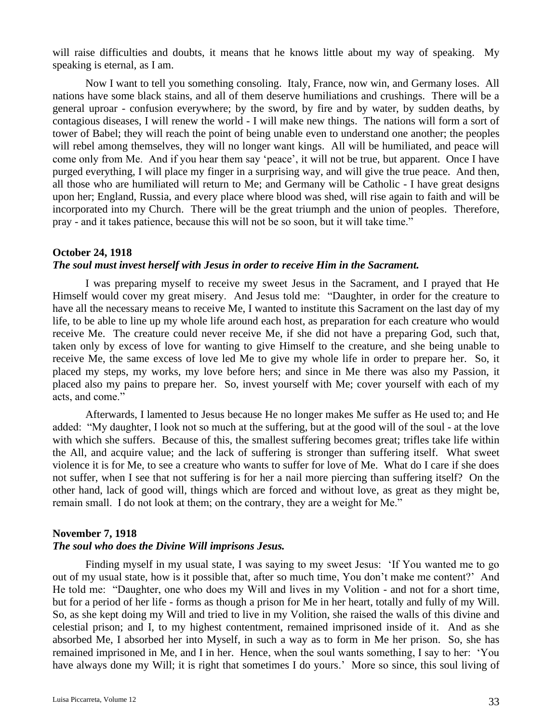will raise difficulties and doubts, it means that he knows little about my way of speaking. My speaking is eternal, as I am.

Now I want to tell you something consoling. Italy, France, now win, and Germany loses. All nations have some black stains, and all of them deserve humiliations and crushings. There will be a general uproar - confusion everywhere; by the sword, by fire and by water, by sudden deaths, by contagious diseases, I will renew the world - I will make new things. The nations will form a sort of tower of Babel; they will reach the point of being unable even to understand one another; the peoples will rebel among themselves, they will no longer want kings. All will be humiliated, and peace will come only from Me. And if you hear them say 'peace', it will not be true, but apparent. Once I have purged everything, I will place my finger in a surprising way, and will give the true peace. And then, all those who are humiliated will return to Me; and Germany will be Catholic - I have great designs upon her; England, Russia, and every place where blood was shed, will rise again to faith and will be incorporated into my Church. There will be the great triumph and the union of peoples. Therefore, pray - and it takes patience, because this will not be so soon, but it will take time."

#### **October 24, 1918**

### *The soul must invest herself with Jesus in order to receive Him in the Sacrament.*

I was preparing myself to receive my sweet Jesus in the Sacrament, and I prayed that He Himself would cover my great misery. And Jesus told me: "Daughter, in order for the creature to have all the necessary means to receive Me, I wanted to institute this Sacrament on the last day of my life, to be able to line up my whole life around each host, as preparation for each creature who would receive Me. The creature could never receive Me, if she did not have a preparing God, such that, taken only by excess of love for wanting to give Himself to the creature, and she being unable to receive Me, the same excess of love led Me to give my whole life in order to prepare her. So, it placed my steps, my works, my love before hers; and since in Me there was also my Passion, it placed also my pains to prepare her. So, invest yourself with Me; cover yourself with each of my acts, and come."

Afterwards, I lamented to Jesus because He no longer makes Me suffer as He used to; and He added: "My daughter, I look not so much at the suffering, but at the good will of the soul - at the love with which she suffers. Because of this, the smallest suffering becomes great; trifles take life within the All, and acquire value; and the lack of suffering is stronger than suffering itself. What sweet violence it is for Me, to see a creature who wants to suffer for love of Me. What do I care if she does not suffer, when I see that not suffering is for her a nail more piercing than suffering itself? On the other hand, lack of good will, things which are forced and without love, as great as they might be, remain small. I do not look at them; on the contrary, they are a weight for Me."

### **November 7, 1918**

### *The soul who does the Divine Will imprisons Jesus.*

Finding myself in my usual state, I was saying to my sweet Jesus: 'If You wanted me to go out of my usual state, how is it possible that, after so much time, You don't make me content?' And He told me: "Daughter, one who does my Will and lives in my Volition - and not for a short time, but for a period of her life - forms as though a prison for Me in her heart, totally and fully of my Will. So, as she kept doing my Will and tried to live in my Volition, she raised the walls of this divine and celestial prison; and I, to my highest contentment, remained imprisoned inside of it. And as she absorbed Me, I absorbed her into Myself, in such a way as to form in Me her prison. So, she has remained imprisoned in Me, and I in her. Hence, when the soul wants something, I say to her: 'You have always done my Will; it is right that sometimes I do yours.' More so since, this soul living of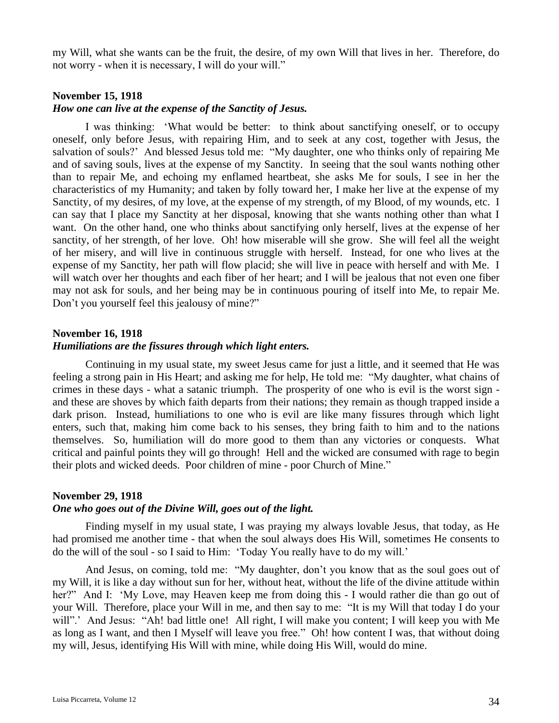my Will, what she wants can be the fruit, the desire, of my own Will that lives in her. Therefore, do not worry - when it is necessary, I will do your will."

## **November 15, 1918**

## *How one can live at the expense of the Sanctity of Jesus.*

I was thinking: 'What would be better: to think about sanctifying oneself, or to occupy oneself, only before Jesus, with repairing Him, and to seek at any cost, together with Jesus, the salvation of souls?' And blessed Jesus told me: "My daughter, one who thinks only of repairing Me and of saving souls, lives at the expense of my Sanctity. In seeing that the soul wants nothing other than to repair Me, and echoing my enflamed heartbeat, she asks Me for souls, I see in her the characteristics of my Humanity; and taken by folly toward her, I make her live at the expense of my Sanctity, of my desires, of my love, at the expense of my strength, of my Blood, of my wounds, etc. I can say that I place my Sanctity at her disposal, knowing that she wants nothing other than what I want. On the other hand, one who thinks about sanctifying only herself, lives at the expense of her sanctity, of her strength, of her love. Oh! how miserable will she grow. She will feel all the weight of her misery, and will live in continuous struggle with herself. Instead, for one who lives at the expense of my Sanctity, her path will flow placid; she will live in peace with herself and with Me. I will watch over her thoughts and each fiber of her heart; and I will be jealous that not even one fiber may not ask for souls, and her being may be in continuous pouring of itself into Me, to repair Me. Don't you yourself feel this jealousy of mine?"

### **November 16, 1918**

# *Humiliations are the fissures through which light enters.*

Continuing in my usual state, my sweet Jesus came for just a little, and it seemed that He was feeling a strong pain in His Heart; and asking me for help, He told me: "My daughter, what chains of crimes in these days - what a satanic triumph. The prosperity of one who is evil is the worst sign and these are shoves by which faith departs from their nations; they remain as though trapped inside a dark prison. Instead, humiliations to one who is evil are like many fissures through which light enters, such that, making him come back to his senses, they bring faith to him and to the nations themselves. So, humiliation will do more good to them than any victories or conquests. What critical and painful points they will go through! Hell and the wicked are consumed with rage to begin their plots and wicked deeds. Poor children of mine - poor Church of Mine."

#### **November 29, 1918**

### *One who goes out of the Divine Will, goes out of the light.*

Finding myself in my usual state, I was praying my always lovable Jesus, that today, as He had promised me another time - that when the soul always does His Will, sometimes He consents to do the will of the soul - so I said to Him: 'Today You really have to do my will.'

And Jesus, on coming, told me: "My daughter, don't you know that as the soul goes out of my Will, it is like a day without sun for her, without heat, without the life of the divine attitude within her?" And I: 'My Love, may Heaven keep me from doing this - I would rather die than go out of your Will. Therefore, place your Will in me, and then say to me: "It is my Will that today I do your will".' And Jesus: "Ah! bad little one! All right, I will make you content; I will keep you with Me as long as I want, and then I Myself will leave you free." Oh! how content I was, that without doing my will, Jesus, identifying His Will with mine, while doing His Will, would do mine.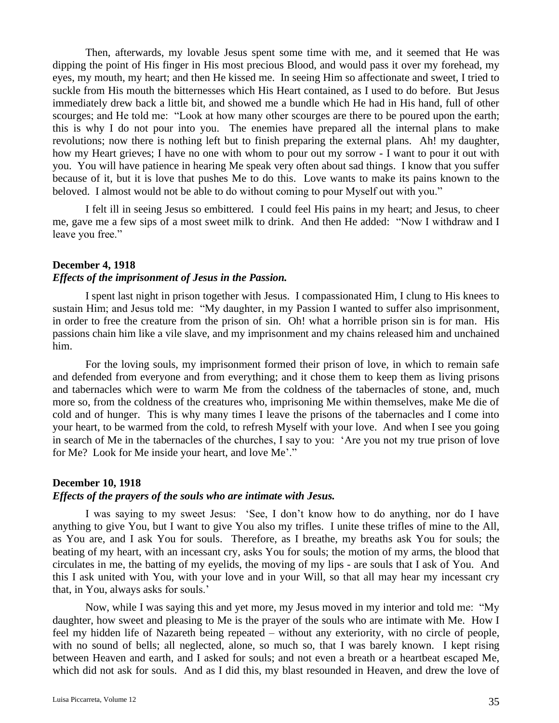Then, afterwards, my lovable Jesus spent some time with me, and it seemed that He was dipping the point of His finger in His most precious Blood, and would pass it over my forehead, my eyes, my mouth, my heart; and then He kissed me. In seeing Him so affectionate and sweet, I tried to suckle from His mouth the bitternesses which His Heart contained, as I used to do before. But Jesus immediately drew back a little bit, and showed me a bundle which He had in His hand, full of other scourges; and He told me: "Look at how many other scourges are there to be poured upon the earth; this is why I do not pour into you. The enemies have prepared all the internal plans to make revolutions; now there is nothing left but to finish preparing the external plans. Ah! my daughter, how my Heart grieves; I have no one with whom to pour out my sorrow - I want to pour it out with you. You will have patience in hearing Me speak very often about sad things. I know that you suffer because of it, but it is love that pushes Me to do this. Love wants to make its pains known to the beloved. I almost would not be able to do without coming to pour Myself out with you."

I felt ill in seeing Jesus so embittered. I could feel His pains in my heart; and Jesus, to cheer me, gave me a few sips of a most sweet milk to drink. And then He added: "Now I withdraw and I leave you free."

#### **December 4, 1918**

### *Effects of the imprisonment of Jesus in the Passion.*

I spent last night in prison together with Jesus. I compassionated Him, I clung to His knees to sustain Him; and Jesus told me: "My daughter, in my Passion I wanted to suffer also imprisonment, in order to free the creature from the prison of sin. Oh! what a horrible prison sin is for man. His passions chain him like a vile slave, and my imprisonment and my chains released him and unchained him.

For the loving souls, my imprisonment formed their prison of love, in which to remain safe and defended from everyone and from everything; and it chose them to keep them as living prisons and tabernacles which were to warm Me from the coldness of the tabernacles of stone, and, much more so, from the coldness of the creatures who, imprisoning Me within themselves, make Me die of cold and of hunger. This is why many times I leave the prisons of the tabernacles and I come into your heart, to be warmed from the cold, to refresh Myself with your love. And when I see you going in search of Me in the tabernacles of the churches, I say to you: 'Are you not my true prison of love for Me? Look for Me inside your heart, and love Me'."

#### **December 10, 1918**

### *Effects of the prayers of the souls who are intimate with Jesus.*

I was saying to my sweet Jesus: 'See, I don't know how to do anything, nor do I have anything to give You, but I want to give You also my trifles. I unite these trifles of mine to the All, as You are, and I ask You for souls. Therefore, as I breathe, my breaths ask You for souls; the beating of my heart, with an incessant cry, asks You for souls; the motion of my arms, the blood that circulates in me, the batting of my eyelids, the moving of my lips - are souls that I ask of You. And this I ask united with You, with your love and in your Will, so that all may hear my incessant cry that, in You, always asks for souls.'

Now, while I was saying this and yet more, my Jesus moved in my interior and told me: "My daughter, how sweet and pleasing to Me is the prayer of the souls who are intimate with Me. How I feel my hidden life of Nazareth being repeated – without any exteriority, with no circle of people, with no sound of bells; all neglected, alone, so much so, that I was barely known. I kept rising between Heaven and earth, and I asked for souls; and not even a breath or a heartbeat escaped Me, which did not ask for souls. And as I did this, my blast resounded in Heaven, and drew the love of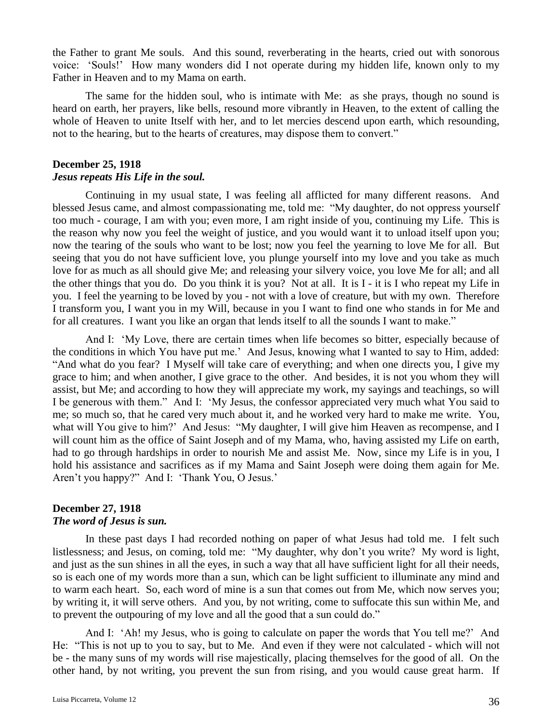the Father to grant Me souls. And this sound, reverberating in the hearts, cried out with sonorous voice: 'Souls!' How many wonders did I not operate during my hidden life, known only to my Father in Heaven and to my Mama on earth.

The same for the hidden soul, who is intimate with Me: as she prays, though no sound is heard on earth, her prayers, like bells, resound more vibrantly in Heaven, to the extent of calling the whole of Heaven to unite Itself with her, and to let mercies descend upon earth, which resounding, not to the hearing, but to the hearts of creatures, may dispose them to convert."

## **December 25, 1918**  *Jesus repeats His Life in the soul.*

Continuing in my usual state, I was feeling all afflicted for many different reasons. And blessed Jesus came, and almost compassionating me, told me: "My daughter, do not oppress yourself too much - courage, I am with you; even more, I am right inside of you, continuing my Life. This is the reason why now you feel the weight of justice, and you would want it to unload itself upon you; now the tearing of the souls who want to be lost; now you feel the yearning to love Me for all. But seeing that you do not have sufficient love, you plunge yourself into my love and you take as much love for as much as all should give Me; and releasing your silvery voice, you love Me for all; and all the other things that you do. Do you think it is you? Not at all. It is I - it is I who repeat my Life in you. I feel the yearning to be loved by you - not with a love of creature, but with my own. Therefore I transform you, I want you in my Will, because in you I want to find one who stands in for Me and for all creatures. I want you like an organ that lends itself to all the sounds I want to make."

And I: 'My Love, there are certain times when life becomes so bitter, especially because of the conditions in which You have put me.' And Jesus, knowing what I wanted to say to Him, added: "And what do you fear? I Myself will take care of everything; and when one directs you, I give my grace to him; and when another, I give grace to the other. And besides, it is not you whom they will assist, but Me; and according to how they will appreciate my work, my sayings and teachings, so will I be generous with them." And I: 'My Jesus, the confessor appreciated very much what You said to me; so much so, that he cared very much about it, and he worked very hard to make me write. You, what will You give to him?' And Jesus: "My daughter, I will give him Heaven as recompense, and I will count him as the office of Saint Joseph and of my Mama, who, having assisted my Life on earth, had to go through hardships in order to nourish Me and assist Me. Now, since my Life is in you, I hold his assistance and sacrifices as if my Mama and Saint Joseph were doing them again for Me. Aren't you happy?" And I: 'Thank You, O Jesus.'

## **December 27, 1918** *The word of Jesus is sun.*

In these past days I had recorded nothing on paper of what Jesus had told me. I felt such listlessness; and Jesus, on coming, told me: "My daughter, why don't you write? My word is light, and just as the sun shines in all the eyes, in such a way that all have sufficient light for all their needs, so is each one of my words more than a sun, which can be light sufficient to illuminate any mind and to warm each heart. So, each word of mine is a sun that comes out from Me, which now serves you; by writing it, it will serve others. And you, by not writing, come to suffocate this sun within Me, and to prevent the outpouring of my love and all the good that a sun could do."

And I: 'Ah! my Jesus, who is going to calculate on paper the words that You tell me?' And He: "This is not up to you to say, but to Me. And even if they were not calculated - which will not be - the many suns of my words will rise majestically, placing themselves for the good of all. On the other hand, by not writing, you prevent the sun from rising, and you would cause great harm. If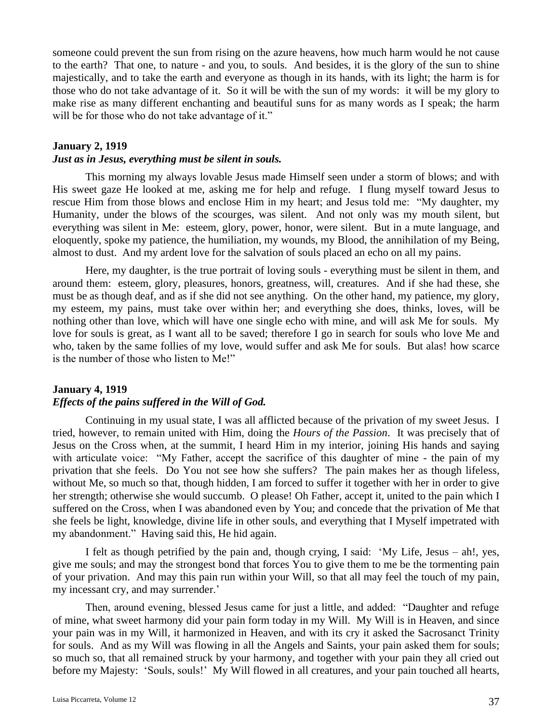someone could prevent the sun from rising on the azure heavens, how much harm would he not cause to the earth? That one, to nature - and you, to souls. And besides, it is the glory of the sun to shine majestically, and to take the earth and everyone as though in its hands, with its light; the harm is for those who do not take advantage of it. So it will be with the sun of my words: it will be my glory to make rise as many different enchanting and beautiful suns for as many words as I speak; the harm will be for those who do not take advantage of it."

## **January 2, 1919**

### *Just as in Jesus, everything must be silent in souls.*

This morning my always lovable Jesus made Himself seen under a storm of blows; and with His sweet gaze He looked at me, asking me for help and refuge. I flung myself toward Jesus to rescue Him from those blows and enclose Him in my heart; and Jesus told me: "My daughter, my Humanity, under the blows of the scourges, was silent. And not only was my mouth silent, but everything was silent in Me: esteem, glory, power, honor, were silent. But in a mute language, and eloquently, spoke my patience, the humiliation, my wounds, my Blood, the annihilation of my Being, almost to dust. And my ardent love for the salvation of souls placed an echo on all my pains.

Here, my daughter, is the true portrait of loving souls - everything must be silent in them, and around them: esteem, glory, pleasures, honors, greatness, will, creatures. And if she had these, she must be as though deaf, and as if she did not see anything. On the other hand, my patience, my glory, my esteem, my pains, must take over within her; and everything she does, thinks, loves, will be nothing other than love, which will have one single echo with mine, and will ask Me for souls. My love for souls is great, as I want all to be saved; therefore I go in search for souls who love Me and who, taken by the same follies of my love, would suffer and ask Me for souls. But alas! how scarce is the number of those who listen to Me!"

### **January 4, 1919**

### *Effects of the pains suffered in the Will of God.*

Continuing in my usual state, I was all afflicted because of the privation of my sweet Jesus. I tried, however, to remain united with Him, doing the *Hours of the Passion*. It was precisely that of Jesus on the Cross when, at the summit, I heard Him in my interior, joining His hands and saying with articulate voice: "My Father, accept the sacrifice of this daughter of mine - the pain of my privation that she feels. Do You not see how she suffers? The pain makes her as though lifeless, without Me, so much so that, though hidden, I am forced to suffer it together with her in order to give her strength; otherwise she would succumb. O please! Oh Father, accept it, united to the pain which I suffered on the Cross, when I was abandoned even by You; and concede that the privation of Me that she feels be light, knowledge, divine life in other souls, and everything that I Myself impetrated with my abandonment." Having said this, He hid again.

I felt as though petrified by the pain and, though crying, I said: 'My Life, Jesus – ah!, yes, give me souls; and may the strongest bond that forces You to give them to me be the tormenting pain of your privation. And may this pain run within your Will, so that all may feel the touch of my pain, my incessant cry, and may surrender.'

Then, around evening, blessed Jesus came for just a little, and added: "Daughter and refuge of mine, what sweet harmony did your pain form today in my Will. My Will is in Heaven, and since your pain was in my Will, it harmonized in Heaven, and with its cry it asked the Sacrosanct Trinity for souls. And as my Will was flowing in all the Angels and Saints, your pain asked them for souls; so much so, that all remained struck by your harmony, and together with your pain they all cried out before my Majesty: 'Souls, souls!' My Will flowed in all creatures, and your pain touched all hearts,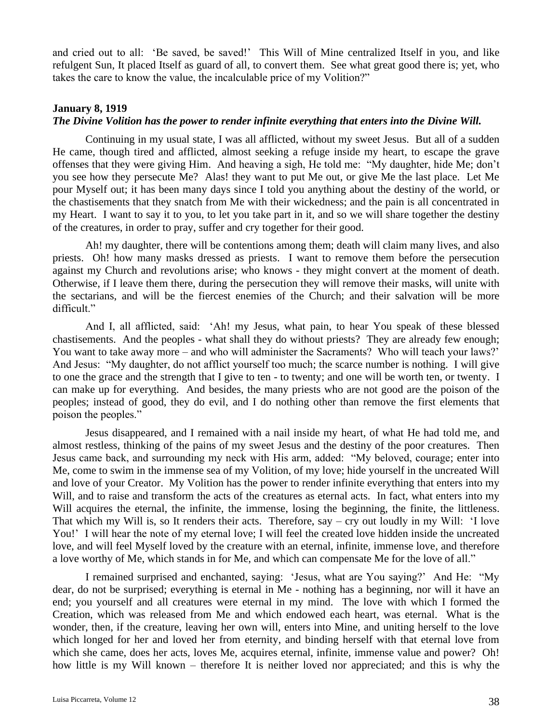and cried out to all: 'Be saved, be saved!' This Will of Mine centralized Itself in you, and like refulgent Sun, It placed Itself as guard of all, to convert them. See what great good there is; yet, who takes the care to know the value, the incalculable price of my Volition?"

# **January 8, 1919**

# *The Divine Volition has the power to render infinite everything that enters into the Divine Will.*

Continuing in my usual state, I was all afflicted, without my sweet Jesus. But all of a sudden He came, though tired and afflicted, almost seeking a refuge inside my heart, to escape the grave offenses that they were giving Him. And heaving a sigh, He told me: "My daughter, hide Me; don't you see how they persecute Me? Alas! they want to put Me out, or give Me the last place. Let Me pour Myself out; it has been many days since I told you anything about the destiny of the world, or the chastisements that they snatch from Me with their wickedness; and the pain is all concentrated in my Heart. I want to say it to you, to let you take part in it, and so we will share together the destiny of the creatures, in order to pray, suffer and cry together for their good.

Ah! my daughter, there will be contentions among them; death will claim many lives, and also priests. Oh! how many masks dressed as priests. I want to remove them before the persecution against my Church and revolutions arise; who knows - they might convert at the moment of death. Otherwise, if I leave them there, during the persecution they will remove their masks, will unite with the sectarians, and will be the fiercest enemies of the Church; and their salvation will be more difficult."

And I, all afflicted, said: 'Ah! my Jesus, what pain, to hear You speak of these blessed chastisements. And the peoples - what shall they do without priests? They are already few enough; You want to take away more – and who will administer the Sacraments? Who will teach your laws?' And Jesus: "My daughter, do not afflict yourself too much; the scarce number is nothing. I will give to one the grace and the strength that I give to ten - to twenty; and one will be worth ten, or twenty. I can make up for everything. And besides, the many priests who are not good are the poison of the peoples; instead of good, they do evil, and I do nothing other than remove the first elements that poison the peoples."

Jesus disappeared, and I remained with a nail inside my heart, of what He had told me, and almost restless, thinking of the pains of my sweet Jesus and the destiny of the poor creatures. Then Jesus came back, and surrounding my neck with His arm, added: "My beloved, courage; enter into Me, come to swim in the immense sea of my Volition, of my love; hide yourself in the uncreated Will and love of your Creator. My Volition has the power to render infinite everything that enters into my Will, and to raise and transform the acts of the creatures as eternal acts. In fact, what enters into my Will acquires the eternal, the infinite, the immense, losing the beginning, the finite, the littleness. That which my Will is, so It renders their acts. Therefore, say – cry out loudly in my Will: 'I love You!' I will hear the note of my eternal love; I will feel the created love hidden inside the uncreated love, and will feel Myself loved by the creature with an eternal, infinite, immense love, and therefore a love worthy of Me, which stands in for Me, and which can compensate Me for the love of all."

I remained surprised and enchanted, saying: 'Jesus, what are You saying?' And He: "My dear, do not be surprised; everything is eternal in Me - nothing has a beginning, nor will it have an end; you yourself and all creatures were eternal in my mind. The love with which I formed the Creation, which was released from Me and which endowed each heart, was eternal. What is the wonder, then, if the creature, leaving her own will, enters into Mine, and uniting herself to the love which longed for her and loved her from eternity, and binding herself with that eternal love from which she came, does her acts, loves Me, acquires eternal, infinite, immense value and power? Oh! how little is my Will known – therefore It is neither loved nor appreciated; and this is why the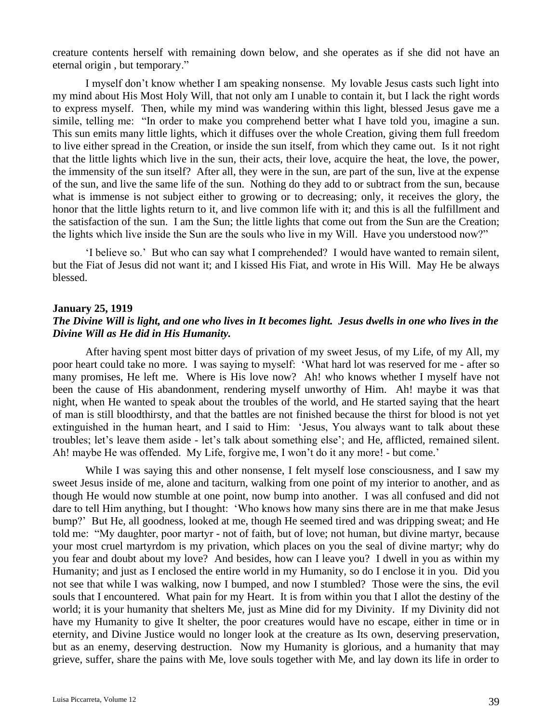creature contents herself with remaining down below, and she operates as if she did not have an eternal origin , but temporary."

I myself don't know whether I am speaking nonsense. My lovable Jesus casts such light into my mind about His Most Holy Will, that not only am I unable to contain it, but I lack the right words to express myself. Then, while my mind was wandering within this light, blessed Jesus gave me a simile, telling me: "In order to make you comprehend better what I have told you, imagine a sun. This sun emits many little lights, which it diffuses over the whole Creation, giving them full freedom to live either spread in the Creation, or inside the sun itself, from which they came out. Is it not right that the little lights which live in the sun, their acts, their love, acquire the heat, the love, the power, the immensity of the sun itself? After all, they were in the sun, are part of the sun, live at the expense of the sun, and live the same life of the sun. Nothing do they add to or subtract from the sun, because what is immense is not subject either to growing or to decreasing; only, it receives the glory, the honor that the little lights return to it, and live common life with it; and this is all the fulfillment and the satisfaction of the sun. I am the Sun; the little lights that come out from the Sun are the Creation; the lights which live inside the Sun are the souls who live in my Will. Have you understood now?"

'I believe so.' But who can say what I comprehended? I would have wanted to remain silent, but the Fiat of Jesus did not want it; and I kissed His Fiat, and wrote in His Will. May He be always blessed.

#### **January 25, 1919**

# *The Divine Will is light, and one who lives in It becomes light. Jesus dwells in one who lives in the Divine Will as He did in His Humanity.*

After having spent most bitter days of privation of my sweet Jesus, of my Life, of my All, my poor heart could take no more. I was saying to myself: 'What hard lot was reserved for me - after so many promises, He left me. Where is His love now? Ah! who knows whether I myself have not been the cause of His abandonment, rendering myself unworthy of Him. Ah! maybe it was that night, when He wanted to speak about the troubles of the world, and He started saying that the heart of man is still bloodthirsty, and that the battles are not finished because the thirst for blood is not yet extinguished in the human heart, and I said to Him: 'Jesus, You always want to talk about these troubles; let's leave them aside - let's talk about something else'; and He, afflicted, remained silent. Ah! maybe He was offended. My Life, forgive me, I won't do it any more! - but come.'

While I was saying this and other nonsense, I felt myself lose consciousness, and I saw my sweet Jesus inside of me, alone and taciturn, walking from one point of my interior to another, and as though He would now stumble at one point, now bump into another. I was all confused and did not dare to tell Him anything, but I thought: 'Who knows how many sins there are in me that make Jesus bump?' But He, all goodness, looked at me, though He seemed tired and was dripping sweat; and He told me: "My daughter, poor martyr - not of faith, but of love; not human, but divine martyr, because your most cruel martyrdom is my privation, which places on you the seal of divine martyr; why do you fear and doubt about my love? And besides, how can I leave you? I dwell in you as within my Humanity; and just as I enclosed the entire world in my Humanity, so do I enclose it in you. Did you not see that while I was walking, now I bumped, and now I stumbled? Those were the sins, the evil souls that I encountered. What pain for my Heart. It is from within you that I allot the destiny of the world; it is your humanity that shelters Me, just as Mine did for my Divinity. If my Divinity did not have my Humanity to give It shelter, the poor creatures would have no escape, either in time or in eternity, and Divine Justice would no longer look at the creature as Its own, deserving preservation, but as an enemy, deserving destruction. Now my Humanity is glorious, and a humanity that may grieve, suffer, share the pains with Me, love souls together with Me, and lay down its life in order to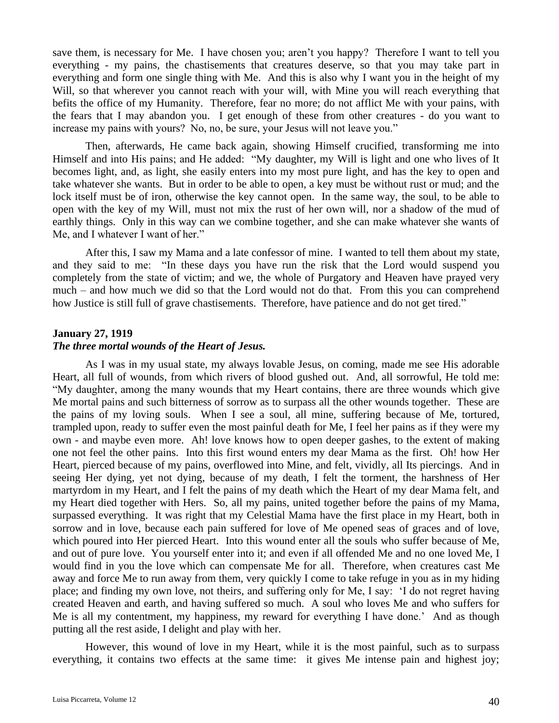save them, is necessary for Me. I have chosen you; aren't you happy? Therefore I want to tell you everything - my pains, the chastisements that creatures deserve, so that you may take part in everything and form one single thing with Me. And this is also why I want you in the height of my Will, so that wherever you cannot reach with your will, with Mine you will reach everything that befits the office of my Humanity. Therefore, fear no more; do not afflict Me with your pains, with the fears that I may abandon you. I get enough of these from other creatures - do you want to increase my pains with yours? No, no, be sure, your Jesus will not leave you."

Then, afterwards, He came back again, showing Himself crucified, transforming me into Himself and into His pains; and He added: "My daughter, my Will is light and one who lives of It becomes light, and, as light, she easily enters into my most pure light, and has the key to open and take whatever she wants. But in order to be able to open, a key must be without rust or mud; and the lock itself must be of iron, otherwise the key cannot open. In the same way, the soul, to be able to open with the key of my Will, must not mix the rust of her own will, nor a shadow of the mud of earthly things. Only in this way can we combine together, and she can make whatever she wants of Me, and I whatever I want of her."

After this, I saw my Mama and a late confessor of mine. I wanted to tell them about my state, and they said to me: "In these days you have run the risk that the Lord would suspend you completely from the state of victim; and we, the whole of Purgatory and Heaven have prayed very much – and how much we did so that the Lord would not do that. From this you can comprehend how Justice is still full of grave chastisements. Therefore, have patience and do not get tired."

## **January 27, 1919**

# *The three mortal wounds of the Heart of Jesus.*

As I was in my usual state, my always lovable Jesus, on coming, made me see His adorable Heart, all full of wounds, from which rivers of blood gushed out. And, all sorrowful, He told me: "My daughter, among the many wounds that my Heart contains, there are three wounds which give Me mortal pains and such bitterness of sorrow as to surpass all the other wounds together. These are the pains of my loving souls. When I see a soul, all mine, suffering because of Me, tortured, trampled upon, ready to suffer even the most painful death for Me, I feel her pains as if they were my own - and maybe even more. Ah! love knows how to open deeper gashes, to the extent of making one not feel the other pains. Into this first wound enters my dear Mama as the first. Oh! how Her Heart, pierced because of my pains, overflowed into Mine, and felt, vividly, all Its piercings. And in seeing Her dying, yet not dying, because of my death, I felt the torment, the harshness of Her martyrdom in my Heart, and I felt the pains of my death which the Heart of my dear Mama felt, and my Heart died together with Hers. So, all my pains, united together before the pains of my Mama, surpassed everything. It was right that my Celestial Mama have the first place in my Heart, both in sorrow and in love, because each pain suffered for love of Me opened seas of graces and of love, which poured into Her pierced Heart. Into this wound enter all the souls who suffer because of Me, and out of pure love. You yourself enter into it; and even if all offended Me and no one loved Me, I would find in you the love which can compensate Me for all. Therefore, when creatures cast Me away and force Me to run away from them, very quickly I come to take refuge in you as in my hiding place; and finding my own love, not theirs, and suffering only for Me, I say: 'I do not regret having created Heaven and earth, and having suffered so much. A soul who loves Me and who suffers for Me is all my contentment, my happiness, my reward for everything I have done.' And as though putting all the rest aside, I delight and play with her.

However, this wound of love in my Heart, while it is the most painful, such as to surpass everything, it contains two effects at the same time: it gives Me intense pain and highest joy;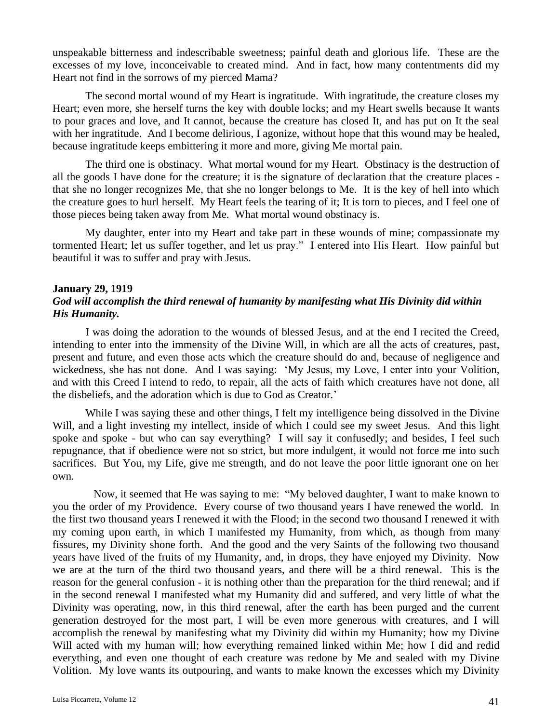unspeakable bitterness and indescribable sweetness; painful death and glorious life. These are the excesses of my love, inconceivable to created mind. And in fact, how many contentments did my Heart not find in the sorrows of my pierced Mama?

The second mortal wound of my Heart is ingratitude. With ingratitude, the creature closes my Heart; even more, she herself turns the key with double locks; and my Heart swells because It wants to pour graces and love, and It cannot, because the creature has closed It, and has put on It the seal with her ingratitude. And I become delirious, I agonize, without hope that this wound may be healed, because ingratitude keeps embittering it more and more, giving Me mortal pain.

The third one is obstinacy. What mortal wound for my Heart. Obstinacy is the destruction of all the goods I have done for the creature; it is the signature of declaration that the creature places that she no longer recognizes Me, that she no longer belongs to Me. It is the key of hell into which the creature goes to hurl herself. My Heart feels the tearing of it; It is torn to pieces, and I feel one of those pieces being taken away from Me. What mortal wound obstinacy is.

My daughter, enter into my Heart and take part in these wounds of mine; compassionate my tormented Heart; let us suffer together, and let us pray." I entered into His Heart. How painful but beautiful it was to suffer and pray with Jesus.

## **January 29, 1919**

# *God will accomplish the third renewal of humanity by manifesting what His Divinity did within His Humanity.*

I was doing the adoration to the wounds of blessed Jesus, and at the end I recited the Creed, intending to enter into the immensity of the Divine Will, in which are all the acts of creatures, past, present and future, and even those acts which the creature should do and, because of negligence and wickedness, she has not done. And I was saying: 'My Jesus, my Love, I enter into your Volition, and with this Creed I intend to redo, to repair, all the acts of faith which creatures have not done, all the disbeliefs, and the adoration which is due to God as Creator.'

While I was saying these and other things, I felt my intelligence being dissolved in the Divine Will, and a light investing my intellect, inside of which I could see my sweet Jesus. And this light spoke and spoke - but who can say everything? I will say it confusedly; and besides, I feel such repugnance, that if obedience were not so strict, but more indulgent, it would not force me into such sacrifices. But You, my Life, give me strength, and do not leave the poor little ignorant one on her own.

 Now, it seemed that He was saying to me: "My beloved daughter, I want to make known to you the order of my Providence. Every course of two thousand years I have renewed the world. In the first two thousand years I renewed it with the Flood; in the second two thousand I renewed it with my coming upon earth, in which I manifested my Humanity, from which, as though from many fissures, my Divinity shone forth. And the good and the very Saints of the following two thousand years have lived of the fruits of my Humanity, and, in drops, they have enjoyed my Divinity. Now we are at the turn of the third two thousand years, and there will be a third renewal. This is the reason for the general confusion - it is nothing other than the preparation for the third renewal; and if in the second renewal I manifested what my Humanity did and suffered, and very little of what the Divinity was operating, now, in this third renewal, after the earth has been purged and the current generation destroyed for the most part, I will be even more generous with creatures, and I will accomplish the renewal by manifesting what my Divinity did within my Humanity; how my Divine Will acted with my human will; how everything remained linked within Me; how I did and redid everything, and even one thought of each creature was redone by Me and sealed with my Divine Volition. My love wants its outpouring, and wants to make known the excesses which my Divinity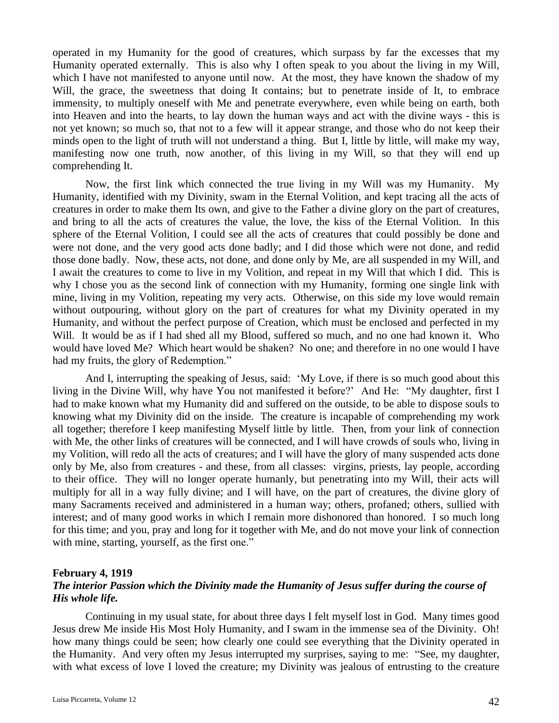operated in my Humanity for the good of creatures, which surpass by far the excesses that my Humanity operated externally. This is also why I often speak to you about the living in my Will, which I have not manifested to anyone until now. At the most, they have known the shadow of my Will, the grace, the sweetness that doing It contains; but to penetrate inside of It, to embrace immensity, to multiply oneself with Me and penetrate everywhere, even while being on earth, both into Heaven and into the hearts, to lay down the human ways and act with the divine ways - this is not yet known; so much so, that not to a few will it appear strange, and those who do not keep their minds open to the light of truth will not understand a thing. But I, little by little, will make my way, manifesting now one truth, now another, of this living in my Will, so that they will end up comprehending It.

Now, the first link which connected the true living in my Will was my Humanity. My Humanity, identified with my Divinity, swam in the Eternal Volition, and kept tracing all the acts of creatures in order to make them Its own, and give to the Father a divine glory on the part of creatures, and bring to all the acts of creatures the value, the love, the kiss of the Eternal Volition. In this sphere of the Eternal Volition, I could see all the acts of creatures that could possibly be done and were not done, and the very good acts done badly; and I did those which were not done, and redid those done badly. Now, these acts, not done, and done only by Me, are all suspended in my Will, and I await the creatures to come to live in my Volition, and repeat in my Will that which I did. This is why I chose you as the second link of connection with my Humanity, forming one single link with mine, living in my Volition, repeating my very acts. Otherwise, on this side my love would remain without outpouring, without glory on the part of creatures for what my Divinity operated in my Humanity, and without the perfect purpose of Creation, which must be enclosed and perfected in my Will. It would be as if I had shed all my Blood, suffered so much, and no one had known it. Who would have loved Me? Which heart would be shaken? No one; and therefore in no one would I have had my fruits, the glory of Redemption."

And I, interrupting the speaking of Jesus, said: 'My Love, if there is so much good about this living in the Divine Will, why have You not manifested it before?' And He: "My daughter, first I had to make known what my Humanity did and suffered on the outside, to be able to dispose souls to knowing what my Divinity did on the inside. The creature is incapable of comprehending my work all together; therefore I keep manifesting Myself little by little. Then, from your link of connection with Me, the other links of creatures will be connected, and I will have crowds of souls who, living in my Volition, will redo all the acts of creatures; and I will have the glory of many suspended acts done only by Me, also from creatures - and these, from all classes: virgins, priests, lay people, according to their office. They will no longer operate humanly, but penetrating into my Will, their acts will multiply for all in a way fully divine; and I will have, on the part of creatures, the divine glory of many Sacraments received and administered in a human way; others, profaned; others, sullied with interest; and of many good works in which I remain more dishonored than honored. I so much long for this time; and you, pray and long for it together with Me, and do not move your link of connection with mine, starting, yourself, as the first one."

### **February 4, 1919**

# *The interior Passion which the Divinity made the Humanity of Jesus suffer during the course of His whole life.*

Continuing in my usual state, for about three days I felt myself lost in God. Many times good Jesus drew Me inside His Most Holy Humanity, and I swam in the immense sea of the Divinity. Oh! how many things could be seen; how clearly one could see everything that the Divinity operated in the Humanity. And very often my Jesus interrupted my surprises, saying to me: "See, my daughter, with what excess of love I loved the creature; my Divinity was jealous of entrusting to the creature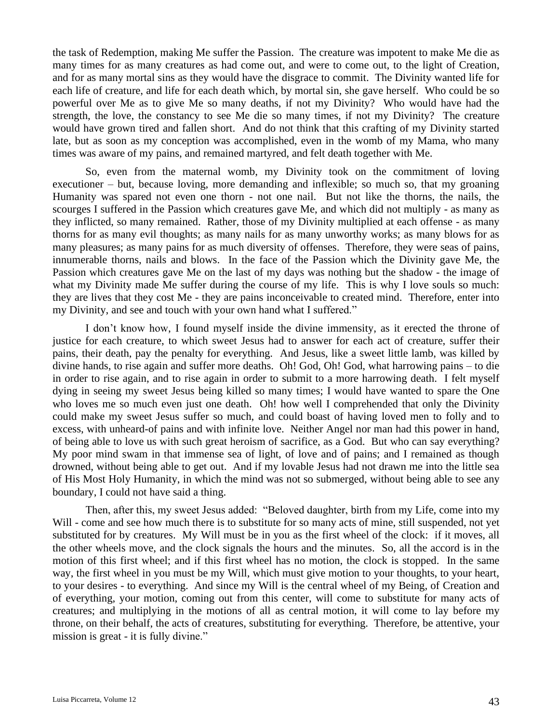the task of Redemption, making Me suffer the Passion. The creature was impotent to make Me die as many times for as many creatures as had come out, and were to come out, to the light of Creation, and for as many mortal sins as they would have the disgrace to commit. The Divinity wanted life for each life of creature, and life for each death which, by mortal sin, she gave herself. Who could be so powerful over Me as to give Me so many deaths, if not my Divinity? Who would have had the strength, the love, the constancy to see Me die so many times, if not my Divinity? The creature would have grown tired and fallen short. And do not think that this crafting of my Divinity started late, but as soon as my conception was accomplished, even in the womb of my Mama, who many times was aware of my pains, and remained martyred, and felt death together with Me.

So, even from the maternal womb, my Divinity took on the commitment of loving executioner – but, because loving, more demanding and inflexible; so much so, that my groaning Humanity was spared not even one thorn - not one nail. But not like the thorns, the nails, the scourges I suffered in the Passion which creatures gave Me, and which did not multiply - as many as they inflicted, so many remained. Rather, those of my Divinity multiplied at each offense - as many thorns for as many evil thoughts; as many nails for as many unworthy works; as many blows for as many pleasures; as many pains for as much diversity of offenses. Therefore, they were seas of pains, innumerable thorns, nails and blows. In the face of the Passion which the Divinity gave Me, the Passion which creatures gave Me on the last of my days was nothing but the shadow - the image of what my Divinity made Me suffer during the course of my life. This is why I love souls so much: they are lives that they cost Me - they are pains inconceivable to created mind. Therefore, enter into my Divinity, and see and touch with your own hand what I suffered."

I don't know how, I found myself inside the divine immensity, as it erected the throne of justice for each creature, to which sweet Jesus had to answer for each act of creature, suffer their pains, their death, pay the penalty for everything. And Jesus, like a sweet little lamb, was killed by divine hands, to rise again and suffer more deaths. Oh! God, Oh! God, what harrowing pains – to die in order to rise again, and to rise again in order to submit to a more harrowing death. I felt myself dying in seeing my sweet Jesus being killed so many times; I would have wanted to spare the One who loves me so much even just one death. Oh! how well I comprehended that only the Divinity could make my sweet Jesus suffer so much, and could boast of having loved men to folly and to excess, with unheard-of pains and with infinite love. Neither Angel nor man had this power in hand, of being able to love us with such great heroism of sacrifice, as a God. But who can say everything? My poor mind swam in that immense sea of light, of love and of pains; and I remained as though drowned, without being able to get out. And if my lovable Jesus had not drawn me into the little sea of His Most Holy Humanity, in which the mind was not so submerged, without being able to see any boundary, I could not have said a thing.

Then, after this, my sweet Jesus added: "Beloved daughter, birth from my Life, come into my Will - come and see how much there is to substitute for so many acts of mine, still suspended, not yet substituted for by creatures. My Will must be in you as the first wheel of the clock: if it moves, all the other wheels move, and the clock signals the hours and the minutes. So, all the accord is in the motion of this first wheel; and if this first wheel has no motion, the clock is stopped. In the same way, the first wheel in you must be my Will, which must give motion to your thoughts, to your heart, to your desires - to everything. And since my Will is the central wheel of my Being, of Creation and of everything, your motion, coming out from this center, will come to substitute for many acts of creatures; and multiplying in the motions of all as central motion, it will come to lay before my throne, on their behalf, the acts of creatures, substituting for everything. Therefore, be attentive, your mission is great - it is fully divine."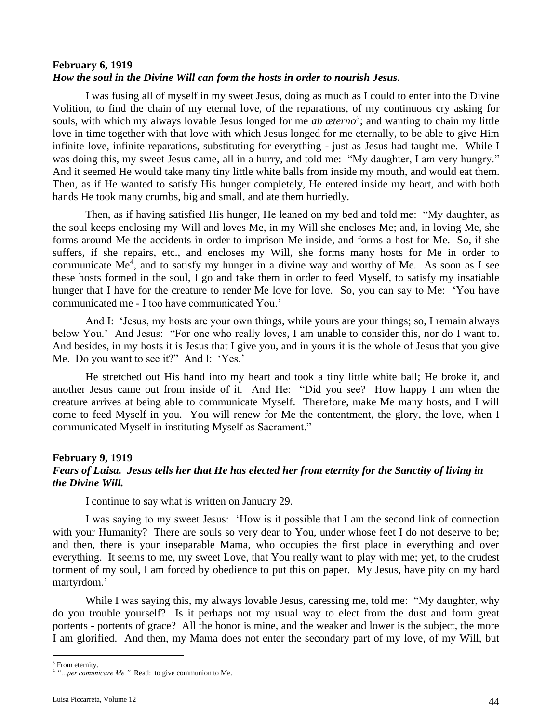# **February 6, 1919**  *How the soul in the Divine Will can form the hosts in order to nourish Jesus.*

I was fusing all of myself in my sweet Jesus, doing as much as I could to enter into the Divine Volition, to find the chain of my eternal love, of the reparations, of my continuous cry asking for souls, with which my always lovable Jesus longed for me *ab æterno*<sup>3</sup>; and wanting to chain my little love in time together with that love with which Jesus longed for me eternally, to be able to give Him infinite love, infinite reparations, substituting for everything - just as Jesus had taught me. While I was doing this, my sweet Jesus came, all in a hurry, and told me: "My daughter, I am very hungry." And it seemed He would take many tiny little white balls from inside my mouth, and would eat them. Then, as if He wanted to satisfy His hunger completely, He entered inside my heart, and with both hands He took many crumbs, big and small, and ate them hurriedly.

Then, as if having satisfied His hunger, He leaned on my bed and told me: "My daughter, as the soul keeps enclosing my Will and loves Me, in my Will she encloses Me; and, in loving Me, she forms around Me the accidents in order to imprison Me inside, and forms a host for Me. So, if she suffers, if she repairs, etc., and encloses my Will, she forms many hosts for Me in order to communicate Me<sup>4</sup>, and to satisfy my hunger in a divine way and worthy of Me. As soon as I see these hosts formed in the soul, I go and take them in order to feed Myself, to satisfy my insatiable hunger that I have for the creature to render Me love for love. So, you can say to Me: 'You have communicated me - I too have communicated You.'

And I: 'Jesus, my hosts are your own things, while yours are your things; so, I remain always below You.' And Jesus: "For one who really loves, I am unable to consider this, nor do I want to. And besides, in my hosts it is Jesus that I give you, and in yours it is the whole of Jesus that you give Me. Do you want to see it?" And I: 'Yes.'

He stretched out His hand into my heart and took a tiny little white ball; He broke it, and another Jesus came out from inside of it. And He: "Did you see? How happy I am when the creature arrives at being able to communicate Myself. Therefore, make Me many hosts, and I will come to feed Myself in you. You will renew for Me the contentment, the glory, the love, when I communicated Myself in instituting Myself as Sacrament."

# **February 9, 1919**

# *Fears of Luisa. Jesus tells her that He has elected her from eternity for the Sanctity of living in the Divine Will.*

I continue to say what is written on January 29.

I was saying to my sweet Jesus: 'How is it possible that I am the second link of connection with your Humanity? There are souls so very dear to You, under whose feet I do not deserve to be; and then, there is your inseparable Mama, who occupies the first place in everything and over everything. It seems to me, my sweet Love, that You really want to play with me; yet, to the crudest torment of my soul, I am forced by obedience to put this on paper. My Jesus, have pity on my hard martyrdom.'

While I was saying this, my always lovable Jesus, caressing me, told me: "My daughter, why do you trouble yourself? Is it perhaps not my usual way to elect from the dust and form great portents - portents of grace? All the honor is mine, and the weaker and lower is the subject, the more I am glorified. And then, my Mama does not enter the secondary part of my love, of my Will, but

<sup>&</sup>lt;sup>3</sup> From eternity.

<sup>4</sup> *"…per comunicare Me."* Read: to give communion to Me.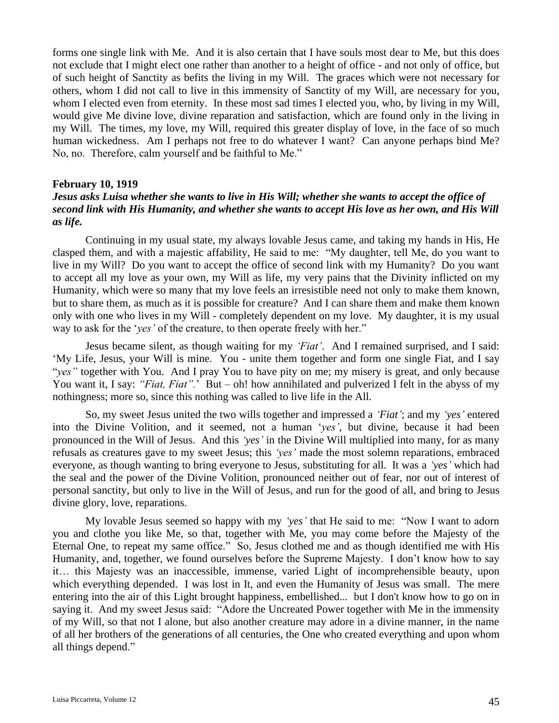forms one single link with Me. And it is also certain that I have souls most dear to Me, but this does not exclude that I might elect one rather than another to a height of office - and not only of office, but of such height of Sanctity as befits the living in my Will. The graces which were not necessary for others, whom I did not call to live in this immensity of Sanctity of my Will, are necessary for you, whom I elected even from eternity. In these most sad times I elected you, who, by living in my Will, would give Me divine love, divine reparation and satisfaction, which are found only in the living in my Will. The times, my love, my Will, required this greater display of love, in the face of so much human wickedness. Am I perhaps not free to do whatever I want? Can anyone perhaps bind Me? No, no. Therefore, calm yourself and be faithful to Me."

## **February 10, 1919**

# *Jesus asks Luisa whether she wants to live in His Will; whether she wants to accept the office of second link with His Humanity, and whether she wants to accept His love as her own, and His Will as life.*

Continuing in my usual state, my always lovable Jesus came, and taking my hands in His, He clasped them, and with a majestic affability, He said to me: "My daughter, tell Me, do you want to live in my Will? Do you want to accept the office of second link with my Humanity? Do you want to accept all my love as your own, my Will as life, my very pains that the Divinity inflicted on my Humanity, which were so many that my love feels an irresistible need not only to make them known, but to share them, as much as it is possible for creature? And I can share them and make them known only with one who lives in my Will - completely dependent on my love. My daughter, it is my usual way to ask for the '*yes'* of the creature, to then operate freely with her."

Jesus became silent, as though waiting for my *'Fiat'*. And I remained surprised, and I said: 'My Life, Jesus, your Will is mine. You - unite them together and form one single Fiat, and I say "*yes"* together with You. And I pray You to have pity on me; my misery is great, and only because You want it, I say: "*Fiat, Fiat*".' But – oh! how annihilated and pulverized I felt in the abyss of my nothingness; more so, since this nothing was called to live life in the All.

So, my sweet Jesus united the two wills together and impressed a *'Fiat'*; and my *'yes'* entered into the Divine Volition, and it seemed, not a human '*yes'*, but divine, because it had been pronounced in the Will of Jesus. And this *'yes'* in the Divine Will multiplied into many, for as many refusals as creatures gave to my sweet Jesus; this *'yes'* made the most solemn reparations, embraced everyone, as though wanting to bring everyone to Jesus, substituting for all. It was a *'yes'* which had the seal and the power of the Divine Volition, pronounced neither out of fear, nor out of interest of personal sanctity, but only to live in the Will of Jesus, and run for the good of all, and bring to Jesus divine glory, love, reparations.

My lovable Jesus seemed so happy with my *'yes'* that He said to me: "Now I want to adorn you and clothe you like Me, so that, together with Me, you may come before the Majesty of the Eternal One, to repeat my same office." So, Jesus clothed me and as though identified me with His Humanity, and, together, we found ourselves before the Supreme Majesty. I don't know how to say it… this Majesty was an inaccessible, immense, varied Light of incomprehensible beauty, upon which everything depended. I was lost in It, and even the Humanity of Jesus was small. The mere entering into the air of this Light brought happiness, embellished... but I don't know how to go on in saying it. And my sweet Jesus said: "Adore the Uncreated Power together with Me in the immensity of my Will, so that not I alone, but also another creature may adore in a divine manner, in the name of all her brothers of the generations of all centuries, the One who created everything and upon whom all things depend."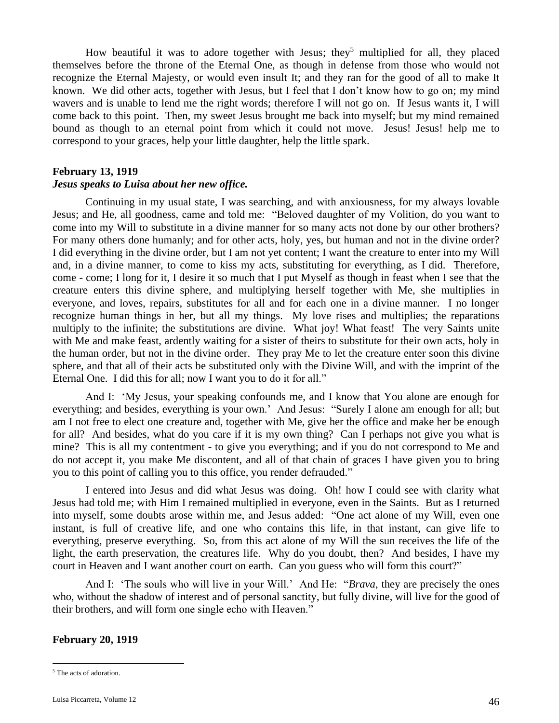How beautiful it was to adore together with Jesus; they<sup>5</sup> multiplied for all, they placed themselves before the throne of the Eternal One, as though in defense from those who would not recognize the Eternal Majesty, or would even insult It; and they ran for the good of all to make It known. We did other acts, together with Jesus, but I feel that I don't know how to go on; my mind wavers and is unable to lend me the right words; therefore I will not go on. If Jesus wants it, I will come back to this point. Then, my sweet Jesus brought me back into myself; but my mind remained bound as though to an eternal point from which it could not move. Jesus! Jesus! help me to correspond to your graces, help your little daughter, help the little spark.

## **February 13, 1919**

# *Jesus speaks to Luisa about her new office.*

Continuing in my usual state, I was searching, and with anxiousness, for my always lovable Jesus; and He, all goodness, came and told me: "Beloved daughter of my Volition, do you want to come into my Will to substitute in a divine manner for so many acts not done by our other brothers? For many others done humanly; and for other acts, holy, yes, but human and not in the divine order? I did everything in the divine order, but I am not yet content; I want the creature to enter into my Will and, in a divine manner, to come to kiss my acts, substituting for everything, as I did. Therefore, come - come; I long for it, I desire it so much that I put Myself as though in feast when I see that the creature enters this divine sphere, and multiplying herself together with Me, she multiplies in everyone, and loves, repairs, substitutes for all and for each one in a divine manner. I no longer recognize human things in her, but all my things. My love rises and multiplies; the reparations multiply to the infinite; the substitutions are divine. What joy! What feast! The very Saints unite with Me and make feast, ardently waiting for a sister of theirs to substitute for their own acts, holy in the human order, but not in the divine order. They pray Me to let the creature enter soon this divine sphere, and that all of their acts be substituted only with the Divine Will, and with the imprint of the Eternal One. I did this for all; now I want you to do it for all."

And I: 'My Jesus, your speaking confounds me, and I know that You alone are enough for everything; and besides, everything is your own.' And Jesus: "Surely I alone am enough for all; but am I not free to elect one creature and, together with Me, give her the office and make her be enough for all? And besides, what do you care if it is my own thing? Can I perhaps not give you what is mine? This is all my contentment - to give you everything; and if you do not correspond to Me and do not accept it, you make Me discontent, and all of that chain of graces I have given you to bring you to this point of calling you to this office, you render defrauded."

I entered into Jesus and did what Jesus was doing. Oh! how I could see with clarity what Jesus had told me; with Him I remained multiplied in everyone, even in the Saints. But as I returned into myself, some doubts arose within me, and Jesus added: "One act alone of my Will, even one instant, is full of creative life, and one who contains this life, in that instant, can give life to everything, preserve everything. So, from this act alone of my Will the sun receives the life of the light, the earth preservation, the creatures life. Why do you doubt, then? And besides, I have my court in Heaven and I want another court on earth. Can you guess who will form this court?"

And I: 'The souls who will live in your Will.' And He: "*Brava*, they are precisely the ones who, without the shadow of interest and of personal sanctity, but fully divine, will live for the good of their brothers, and will form one single echo with Heaven."

# **February 20, 1919**

<sup>5</sup> The acts of adoration.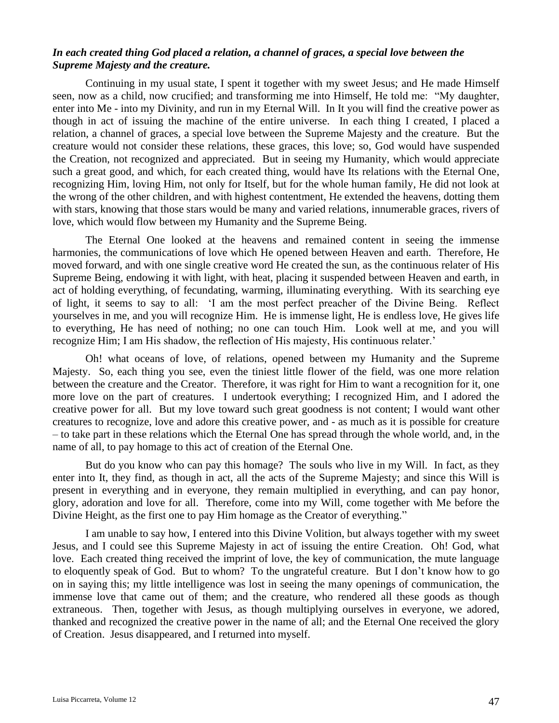# *In each created thing God placed a relation, a channel of graces, a special love between the Supreme Majesty and the creature.*

Continuing in my usual state, I spent it together with my sweet Jesus; and He made Himself seen, now as a child, now crucified; and transforming me into Himself, He told me: "My daughter, enter into Me - into my Divinity, and run in my Eternal Will. In It you will find the creative power as though in act of issuing the machine of the entire universe. In each thing I created, I placed a relation, a channel of graces, a special love between the Supreme Majesty and the creature. But the creature would not consider these relations, these graces, this love; so, God would have suspended the Creation, not recognized and appreciated. But in seeing my Humanity, which would appreciate such a great good, and which, for each created thing, would have Its relations with the Eternal One, recognizing Him, loving Him, not only for Itself, but for the whole human family, He did not look at the wrong of the other children, and with highest contentment, He extended the heavens, dotting them with stars, knowing that those stars would be many and varied relations, innumerable graces, rivers of love, which would flow between my Humanity and the Supreme Being.

The Eternal One looked at the heavens and remained content in seeing the immense harmonies, the communications of love which He opened between Heaven and earth. Therefore, He moved forward, and with one single creative word He created the sun, as the continuous relater of His Supreme Being, endowing it with light, with heat, placing it suspended between Heaven and earth, in act of holding everything, of fecundating, warming, illuminating everything. With its searching eye of light, it seems to say to all: 'I am the most perfect preacher of the Divine Being. Reflect yourselves in me, and you will recognize Him. He is immense light, He is endless love, He gives life to everything, He has need of nothing; no one can touch Him. Look well at me, and you will recognize Him; I am His shadow, the reflection of His majesty, His continuous relater.'

Oh! what oceans of love, of relations, opened between my Humanity and the Supreme Majesty. So, each thing you see, even the tiniest little flower of the field, was one more relation between the creature and the Creator. Therefore, it was right for Him to want a recognition for it, one more love on the part of creatures. I undertook everything; I recognized Him, and I adored the creative power for all. But my love toward such great goodness is not content; I would want other creatures to recognize, love and adore this creative power, and - as much as it is possible for creature – to take part in these relations which the Eternal One has spread through the whole world, and, in the name of all, to pay homage to this act of creation of the Eternal One.

But do you know who can pay this homage? The souls who live in my Will. In fact, as they enter into It, they find, as though in act, all the acts of the Supreme Majesty; and since this Will is present in everything and in everyone, they remain multiplied in everything, and can pay honor, glory, adoration and love for all. Therefore, come into my Will, come together with Me before the Divine Height, as the first one to pay Him homage as the Creator of everything."

I am unable to say how, I entered into this Divine Volition, but always together with my sweet Jesus, and I could see this Supreme Majesty in act of issuing the entire Creation. Oh! God, what love. Each created thing received the imprint of love, the key of communication, the mute language to eloquently speak of God. But to whom? To the ungrateful creature. But I don't know how to go on in saying this; my little intelligence was lost in seeing the many openings of communication, the immense love that came out of them; and the creature, who rendered all these goods as though extraneous. Then, together with Jesus, as though multiplying ourselves in everyone, we adored, thanked and recognized the creative power in the name of all; and the Eternal One received the glory of Creation. Jesus disappeared, and I returned into myself.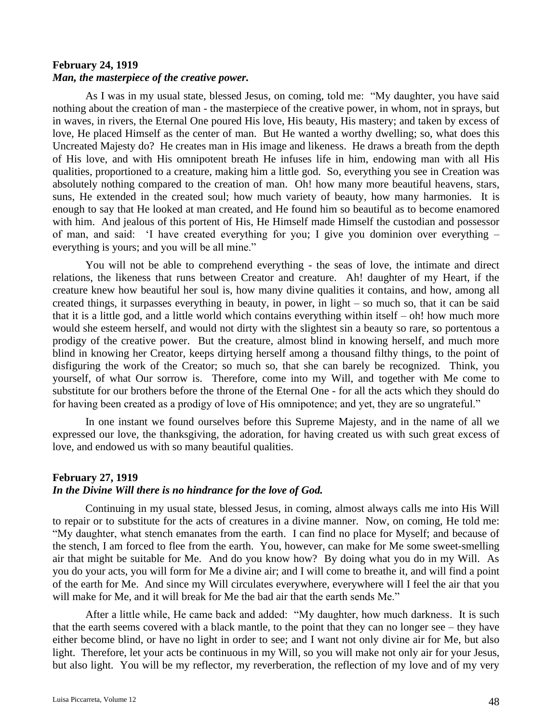# **February 24, 1919** *Man, the masterpiece of the creative power.*

As I was in my usual state, blessed Jesus, on coming, told me: "My daughter, you have said nothing about the creation of man - the masterpiece of the creative power, in whom, not in sprays, but in waves, in rivers, the Eternal One poured His love, His beauty, His mastery; and taken by excess of love, He placed Himself as the center of man. But He wanted a worthy dwelling; so, what does this Uncreated Majesty do? He creates man in His image and likeness. He draws a breath from the depth of His love, and with His omnipotent breath He infuses life in him, endowing man with all His qualities, proportioned to a creature, making him a little god. So, everything you see in Creation was absolutely nothing compared to the creation of man. Oh! how many more beautiful heavens, stars, suns, He extended in the created soul; how much variety of beauty, how many harmonies. It is enough to say that He looked at man created, and He found him so beautiful as to become enamored with him. And jealous of this portent of His, He Himself made Himself the custodian and possessor of man, and said: 'I have created everything for you; I give you dominion over everything – everything is yours; and you will be all mine."

You will not be able to comprehend everything - the seas of love, the intimate and direct relations, the likeness that runs between Creator and creature. Ah! daughter of my Heart, if the creature knew how beautiful her soul is, how many divine qualities it contains, and how, among all created things, it surpasses everything in beauty, in power, in light – so much so, that it can be said that it is a little god, and a little world which contains everything within itself – oh! how much more would she esteem herself, and would not dirty with the slightest sin a beauty so rare, so portentous a prodigy of the creative power. But the creature, almost blind in knowing herself, and much more blind in knowing her Creator, keeps dirtying herself among a thousand filthy things, to the point of disfiguring the work of the Creator; so much so, that she can barely be recognized. Think, you yourself, of what Our sorrow is. Therefore, come into my Will, and together with Me come to substitute for our brothers before the throne of the Eternal One - for all the acts which they should do for having been created as a prodigy of love of His omnipotence; and yet, they are so ungrateful."

In one instant we found ourselves before this Supreme Majesty, and in the name of all we expressed our love, the thanksgiving, the adoration, for having created us with such great excess of love, and endowed us with so many beautiful qualities.

# **February 27, 1919**

## *In the Divine Will there is no hindrance for the love of God.*

Continuing in my usual state, blessed Jesus, in coming, almost always calls me into His Will to repair or to substitute for the acts of creatures in a divine manner. Now, on coming, He told me: "My daughter, what stench emanates from the earth. I can find no place for Myself; and because of the stench, I am forced to flee from the earth. You, however, can make for Me some sweet-smelling air that might be suitable for Me. And do you know how? By doing what you do in my Will. As you do your acts, you will form for Me a divine air; and I will come to breathe it, and will find a point of the earth for Me. And since my Will circulates everywhere, everywhere will I feel the air that you will make for Me, and it will break for Me the bad air that the earth sends Me."

After a little while, He came back and added: "My daughter, how much darkness. It is such that the earth seems covered with a black mantle, to the point that they can no longer see – they have either become blind, or have no light in order to see; and I want not only divine air for Me, but also light. Therefore, let your acts be continuous in my Will, so you will make not only air for your Jesus, but also light. You will be my reflector, my reverberation, the reflection of my love and of my very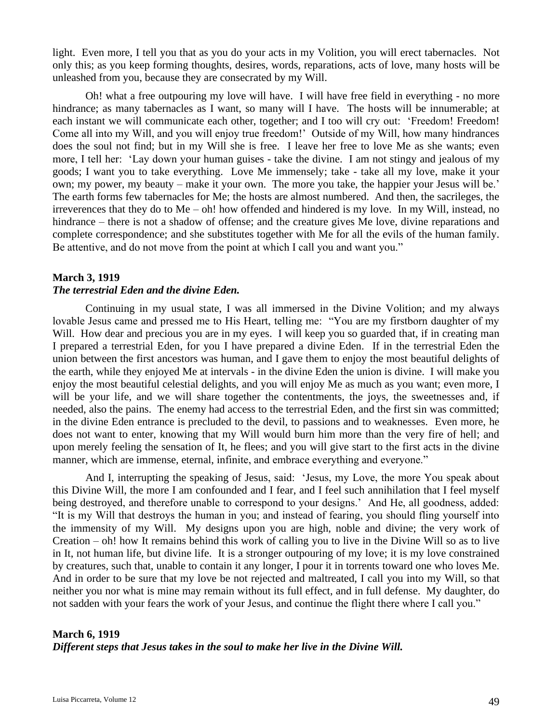light. Even more, I tell you that as you do your acts in my Volition, you will erect tabernacles. Not only this; as you keep forming thoughts, desires, words, reparations, acts of love, many hosts will be unleashed from you, because they are consecrated by my Will.

Oh! what a free outpouring my love will have. I will have free field in everything - no more hindrance; as many tabernacles as I want, so many will I have. The hosts will be innumerable; at each instant we will communicate each other, together; and I too will cry out: 'Freedom! Freedom! Come all into my Will, and you will enjoy true freedom!' Outside of my Will, how many hindrances does the soul not find; but in my Will she is free. I leave her free to love Me as she wants; even more, I tell her: 'Lay down your human guises - take the divine. I am not stingy and jealous of my goods; I want you to take everything. Love Me immensely; take - take all my love, make it your own; my power, my beauty – make it your own. The more you take, the happier your Jesus will be.' The earth forms few tabernacles for Me; the hosts are almost numbered. And then, the sacrileges, the irreverences that they do to Me – oh! how offended and hindered is my love. In my Will, instead, no hindrance – there is not a shadow of offense; and the creature gives Me love, divine reparations and complete correspondence; and she substitutes together with Me for all the evils of the human family. Be attentive, and do not move from the point at which I call you and want you."

# **March 3, 1919**

# *The terrestrial Eden and the divine Eden.*

Continuing in my usual state, I was all immersed in the Divine Volition; and my always lovable Jesus came and pressed me to His Heart, telling me: "You are my firstborn daughter of my Will. How dear and precious you are in my eyes. I will keep you so guarded that, if in creating man I prepared a terrestrial Eden, for you I have prepared a divine Eden. If in the terrestrial Eden the union between the first ancestors was human, and I gave them to enjoy the most beautiful delights of the earth, while they enjoyed Me at intervals - in the divine Eden the union is divine. I will make you enjoy the most beautiful celestial delights, and you will enjoy Me as much as you want; even more, I will be your life, and we will share together the contentments, the joys, the sweetnesses and, if needed, also the pains. The enemy had access to the terrestrial Eden, and the first sin was committed; in the divine Eden entrance is precluded to the devil, to passions and to weaknesses. Even more, he does not want to enter, knowing that my Will would burn him more than the very fire of hell; and upon merely feeling the sensation of It, he flees; and you will give start to the first acts in the divine manner, which are immense, eternal, infinite, and embrace everything and everyone."

And I, interrupting the speaking of Jesus, said: 'Jesus, my Love, the more You speak about this Divine Will, the more I am confounded and I fear, and I feel such annihilation that I feel myself being destroyed, and therefore unable to correspond to your designs.' And He, all goodness, added: "It is my Will that destroys the human in you; and instead of fearing, you should fling yourself into the immensity of my Will. My designs upon you are high, noble and divine; the very work of Creation – oh! how It remains behind this work of calling you to live in the Divine Will so as to live in It, not human life, but divine life. It is a stronger outpouring of my love; it is my love constrained by creatures, such that, unable to contain it any longer, I pour it in torrents toward one who loves Me. And in order to be sure that my love be not rejected and maltreated, I call you into my Will, so that neither you nor what is mine may remain without its full effect, and in full defense. My daughter, do not sadden with your fears the work of your Jesus, and continue the flight there where I call you."

# **March 6, 1919** *Different steps that Jesus takes in the soul to make her live in the Divine Will.*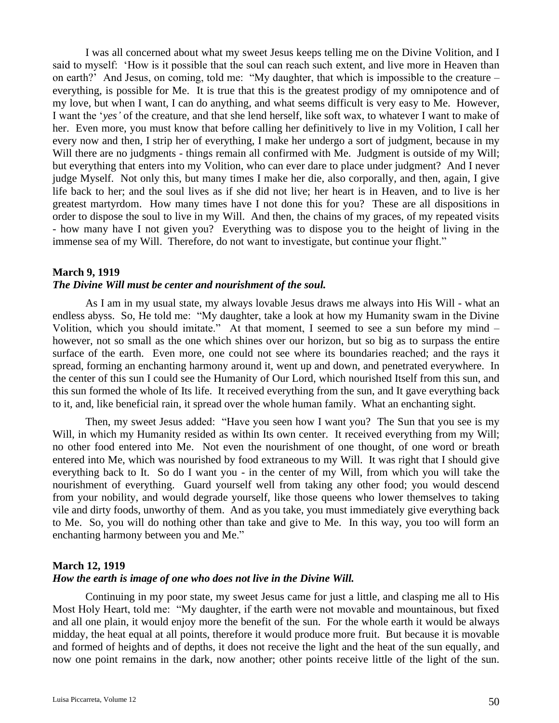I was all concerned about what my sweet Jesus keeps telling me on the Divine Volition, and I said to myself: 'How is it possible that the soul can reach such extent, and live more in Heaven than on earth?' And Jesus, on coming, told me: "My daughter, that which is impossible to the creature – everything, is possible for Me. It is true that this is the greatest prodigy of my omnipotence and of my love, but when I want, I can do anything, and what seems difficult is very easy to Me. However, I want the '*yes'* of the creature, and that she lend herself, like soft wax, to whatever I want to make of her. Even more, you must know that before calling her definitively to live in my Volition, I call her every now and then, I strip her of everything, I make her undergo a sort of judgment, because in my Will there are no judgments - things remain all confirmed with Me. Judgment is outside of my Will; but everything that enters into my Volition, who can ever dare to place under judgment? And I never judge Myself. Not only this, but many times I make her die, also corporally, and then, again, I give life back to her; and the soul lives as if she did not live; her heart is in Heaven, and to live is her greatest martyrdom. How many times have I not done this for you? These are all dispositions in order to dispose the soul to live in my Will. And then, the chains of my graces, of my repeated visits - how many have I not given you? Everything was to dispose you to the height of living in the immense sea of my Will. Therefore, do not want to investigate, but continue your flight."

## **March 9, 1919**

## *The Divine Will must be center and nourishment of the soul.*

As I am in my usual state, my always lovable Jesus draws me always into His Will - what an endless abyss. So, He told me: "My daughter, take a look at how my Humanity swam in the Divine Volition, which you should imitate." At that moment, I seemed to see a sun before my mind – however, not so small as the one which shines over our horizon, but so big as to surpass the entire surface of the earth. Even more, one could not see where its boundaries reached; and the rays it spread, forming an enchanting harmony around it, went up and down, and penetrated everywhere. In the center of this sun I could see the Humanity of Our Lord, which nourished Itself from this sun, and this sun formed the whole of Its life. It received everything from the sun, and It gave everything back to it, and, like beneficial rain, it spread over the whole human family. What an enchanting sight.

Then, my sweet Jesus added: "Have you seen how I want you? The Sun that you see is my Will, in which my Humanity resided as within Its own center. It received everything from my Will; no other food entered into Me. Not even the nourishment of one thought, of one word or breath entered into Me, which was nourished by food extraneous to my Will. It was right that I should give everything back to It. So do I want you - in the center of my Will, from which you will take the nourishment of everything. Guard yourself well from taking any other food; you would descend from your nobility, and would degrade yourself, like those queens who lower themselves to taking vile and dirty foods, unworthy of them. And as you take, you must immediately give everything back to Me. So, you will do nothing other than take and give to Me. In this way, you too will form an enchanting harmony between you and Me."

### **March 12, 1919**

### *How the earth is image of one who does not live in the Divine Will.*

Continuing in my poor state, my sweet Jesus came for just a little, and clasping me all to His Most Holy Heart, told me: "My daughter, if the earth were not movable and mountainous, but fixed and all one plain, it would enjoy more the benefit of the sun. For the whole earth it would be always midday, the heat equal at all points, therefore it would produce more fruit. But because it is movable and formed of heights and of depths, it does not receive the light and the heat of the sun equally, and now one point remains in the dark, now another; other points receive little of the light of the sun.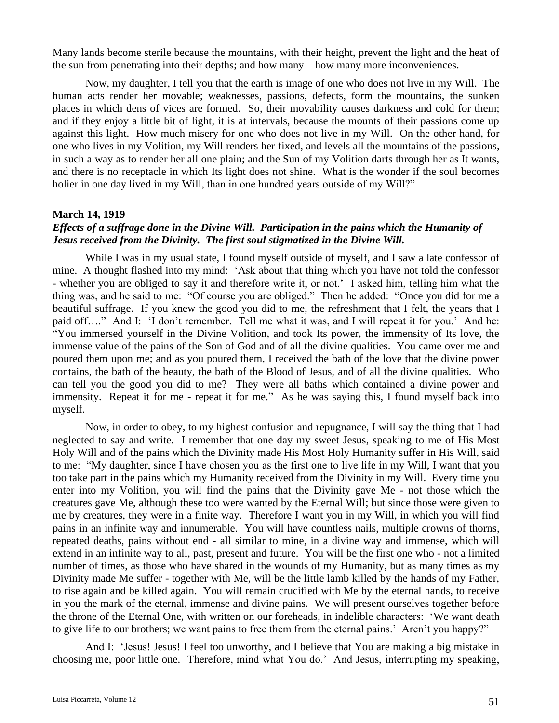Many lands become sterile because the mountains, with their height, prevent the light and the heat of the sun from penetrating into their depths; and how many – how many more inconveniences.

Now, my daughter, I tell you that the earth is image of one who does not live in my Will. The human acts render her movable; weaknesses, passions, defects, form the mountains, the sunken places in which dens of vices are formed. So, their movability causes darkness and cold for them; and if they enjoy a little bit of light, it is at intervals, because the mounts of their passions come up against this light. How much misery for one who does not live in my Will. On the other hand, for one who lives in my Volition, my Will renders her fixed, and levels all the mountains of the passions, in such a way as to render her all one plain; and the Sun of my Volition darts through her as It wants, and there is no receptacle in which Its light does not shine. What is the wonder if the soul becomes holier in one day lived in my Will, than in one hundred years outside of my Will?"

## **March 14, 1919**

# *Effects of a suffrage done in the Divine Will. Participation in the pains which the Humanity of Jesus received from the Divinity. The first soul stigmatized in the Divine Will.*

While I was in my usual state, I found myself outside of myself, and I saw a late confessor of mine. A thought flashed into my mind: 'Ask about that thing which you have not told the confessor - whether you are obliged to say it and therefore write it, or not.' I asked him, telling him what the thing was, and he said to me: "Of course you are obliged." Then he added: "Once you did for me a beautiful suffrage. If you knew the good you did to me, the refreshment that I felt, the years that I paid off...." And I: 'I don't remember. Tell me what it was, and I will repeat it for you.' And he: "You immersed yourself in the Divine Volition, and took Its power, the immensity of Its love, the immense value of the pains of the Son of God and of all the divine qualities. You came over me and poured them upon me; and as you poured them, I received the bath of the love that the divine power contains, the bath of the beauty, the bath of the Blood of Jesus, and of all the divine qualities. Who can tell you the good you did to me? They were all baths which contained a divine power and immensity. Repeat it for me - repeat it for me." As he was saying this, I found myself back into myself.

Now, in order to obey, to my highest confusion and repugnance, I will say the thing that I had neglected to say and write. I remember that one day my sweet Jesus, speaking to me of His Most Holy Will and of the pains which the Divinity made His Most Holy Humanity suffer in His Will, said to me: "My daughter, since I have chosen you as the first one to live life in my Will, I want that you too take part in the pains which my Humanity received from the Divinity in my Will. Every time you enter into my Volition, you will find the pains that the Divinity gave Me - not those which the creatures gave Me, although these too were wanted by the Eternal Will; but since those were given to me by creatures, they were in a finite way. Therefore I want you in my Will, in which you will find pains in an infinite way and innumerable. You will have countless nails, multiple crowns of thorns, repeated deaths, pains without end - all similar to mine, in a divine way and immense, which will extend in an infinite way to all, past, present and future. You will be the first one who - not a limited number of times, as those who have shared in the wounds of my Humanity, but as many times as my Divinity made Me suffer - together with Me, will be the little lamb killed by the hands of my Father, to rise again and be killed again. You will remain crucified with Me by the eternal hands, to receive in you the mark of the eternal, immense and divine pains. We will present ourselves together before the throne of the Eternal One, with written on our foreheads, in indelible characters: 'We want death to give life to our brothers; we want pains to free them from the eternal pains.' Aren't you happy?"

And I: 'Jesus! Jesus! I feel too unworthy, and I believe that You are making a big mistake in choosing me, poor little one. Therefore, mind what You do.' And Jesus, interrupting my speaking,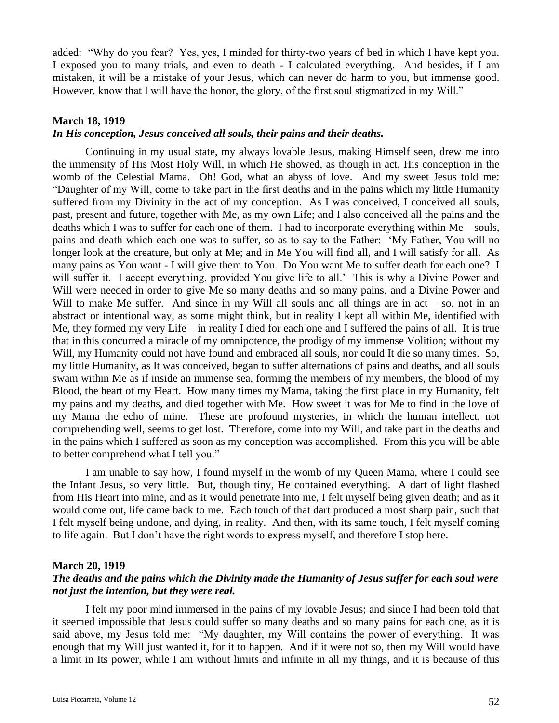added: "Why do you fear? Yes, yes, I minded for thirty-two years of bed in which I have kept you. I exposed you to many trials, and even to death - I calculated everything. And besides, if I am mistaken, it will be a mistake of your Jesus, which can never do harm to you, but immense good. However, know that I will have the honor, the glory, of the first soul stigmatized in my Will."

## **March 18, 1919**

## *In His conception, Jesus conceived all souls, their pains and their deaths.*

Continuing in my usual state, my always lovable Jesus, making Himself seen, drew me into the immensity of His Most Holy Will, in which He showed, as though in act, His conception in the womb of the Celestial Mama. Oh! God, what an abyss of love. And my sweet Jesus told me: "Daughter of my Will, come to take part in the first deaths and in the pains which my little Humanity suffered from my Divinity in the act of my conception. As I was conceived, I conceived all souls, past, present and future, together with Me, as my own Life; and I also conceived all the pains and the deaths which I was to suffer for each one of them. I had to incorporate everything within Me – souls, pains and death which each one was to suffer, so as to say to the Father: 'My Father, You will no longer look at the creature, but only at Me; and in Me You will find all, and I will satisfy for all. As many pains as You want - I will give them to You. Do You want Me to suffer death for each one? I will suffer it. I accept everything, provided You give life to all.' This is why a Divine Power and Will were needed in order to give Me so many deaths and so many pains, and a Divine Power and Will to make Me suffer. And since in my Will all souls and all things are in act – so, not in an abstract or intentional way, as some might think, but in reality I kept all within Me, identified with Me, they formed my very Life – in reality I died for each one and I suffered the pains of all. It is true that in this concurred a miracle of my omnipotence, the prodigy of my immense Volition; without my Will, my Humanity could not have found and embraced all souls, nor could It die so many times. So, my little Humanity, as It was conceived, began to suffer alternations of pains and deaths, and all souls swam within Me as if inside an immense sea, forming the members of my members, the blood of my Blood, the heart of my Heart. How many times my Mama, taking the first place in my Humanity, felt my pains and my deaths, and died together with Me. How sweet it was for Me to find in the love of my Mama the echo of mine. These are profound mysteries, in which the human intellect, not comprehending well, seems to get lost. Therefore, come into my Will, and take part in the deaths and in the pains which I suffered as soon as my conception was accomplished. From this you will be able to better comprehend what I tell you."

I am unable to say how, I found myself in the womb of my Queen Mama, where I could see the Infant Jesus, so very little. But, though tiny, He contained everything. A dart of light flashed from His Heart into mine, and as it would penetrate into me, I felt myself being given death; and as it would come out, life came back to me. Each touch of that dart produced a most sharp pain, such that I felt myself being undone, and dying, in reality. And then, with its same touch, I felt myself coming to life again. But I don't have the right words to express myself, and therefore I stop here.

### **March 20, 1919**

# *The deaths and the pains which the Divinity made the Humanity of Jesus suffer for each soul were not just the intention, but they were real.*

I felt my poor mind immersed in the pains of my lovable Jesus; and since I had been told that it seemed impossible that Jesus could suffer so many deaths and so many pains for each one, as it is said above, my Jesus told me: "My daughter, my Will contains the power of everything. It was enough that my Will just wanted it, for it to happen. And if it were not so, then my Will would have a limit in Its power, while I am without limits and infinite in all my things, and it is because of this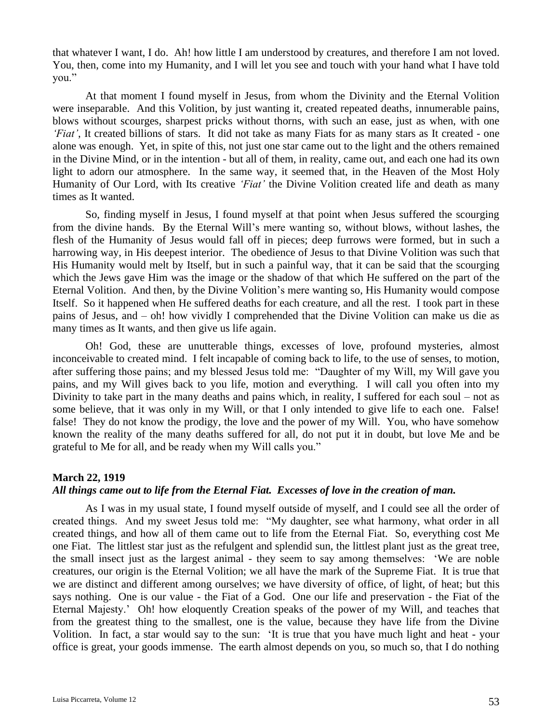that whatever I want, I do. Ah! how little I am understood by creatures, and therefore I am not loved. You, then, come into my Humanity, and I will let you see and touch with your hand what I have told you."

At that moment I found myself in Jesus, from whom the Divinity and the Eternal Volition were inseparable. And this Volition, by just wanting it, created repeated deaths, innumerable pains, blows without scourges, sharpest pricks without thorns, with such an ease, just as when, with one *'Fiat'*, It created billions of stars. It did not take as many Fiats for as many stars as It created - one alone was enough. Yet, in spite of this, not just one star came out to the light and the others remained in the Divine Mind, or in the intention - but all of them, in reality, came out, and each one had its own light to adorn our atmosphere. In the same way, it seemed that, in the Heaven of the Most Holy Humanity of Our Lord, with Its creative *'Fiat'* the Divine Volition created life and death as many times as It wanted.

So, finding myself in Jesus, I found myself at that point when Jesus suffered the scourging from the divine hands. By the Eternal Will's mere wanting so, without blows, without lashes, the flesh of the Humanity of Jesus would fall off in pieces; deep furrows were formed, but in such a harrowing way, in His deepest interior. The obedience of Jesus to that Divine Volition was such that His Humanity would melt by Itself, but in such a painful way, that it can be said that the scourging which the Jews gave Him was the image or the shadow of that which He suffered on the part of the Eternal Volition. And then, by the Divine Volition's mere wanting so, His Humanity would compose Itself. So it happened when He suffered deaths for each creature, and all the rest. I took part in these pains of Jesus, and – oh! how vividly I comprehended that the Divine Volition can make us die as many times as It wants, and then give us life again.

Oh! God, these are unutterable things, excesses of love, profound mysteries, almost inconceivable to created mind. I felt incapable of coming back to life, to the use of senses, to motion, after suffering those pains; and my blessed Jesus told me: "Daughter of my Will, my Will gave you pains, and my Will gives back to you life, motion and everything. I will call you often into my Divinity to take part in the many deaths and pains which, in reality, I suffered for each soul – not as some believe, that it was only in my Will, or that I only intended to give life to each one. False! false! They do not know the prodigy, the love and the power of my Will. You, who have somehow known the reality of the many deaths suffered for all, do not put it in doubt, but love Me and be grateful to Me for all, and be ready when my Will calls you."

## **March 22, 1919**

## *All things came out to life from the Eternal Fiat. Excesses of love in the creation of man.*

As I was in my usual state, I found myself outside of myself, and I could see all the order of created things. And my sweet Jesus told me: "My daughter, see what harmony, what order in all created things, and how all of them came out to life from the Eternal Fiat. So, everything cost Me one Fiat. The littlest star just as the refulgent and splendid sun, the littlest plant just as the great tree, the small insect just as the largest animal - they seem to say among themselves: 'We are noble creatures, our origin is the Eternal Volition; we all have the mark of the Supreme Fiat. It is true that we are distinct and different among ourselves; we have diversity of office, of light, of heat; but this says nothing. One is our value - the Fiat of a God. One our life and preservation - the Fiat of the Eternal Majesty.' Oh! how eloquently Creation speaks of the power of my Will, and teaches that from the greatest thing to the smallest, one is the value, because they have life from the Divine Volition. In fact, a star would say to the sun: 'It is true that you have much light and heat - your office is great, your goods immense. The earth almost depends on you, so much so, that I do nothing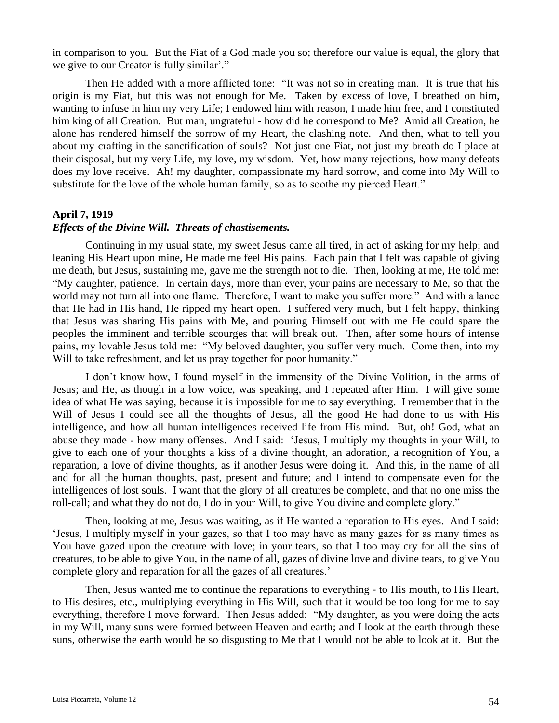in comparison to you. But the Fiat of a God made you so; therefore our value is equal, the glory that we give to our Creator is fully similar'."

Then He added with a more afflicted tone: "It was not so in creating man. It is true that his origin is my Fiat, but this was not enough for Me. Taken by excess of love, I breathed on him, wanting to infuse in him my very Life; I endowed him with reason, I made him free, and I constituted him king of all Creation. But man, ungrateful - how did he correspond to Me? Amid all Creation, he alone has rendered himself the sorrow of my Heart, the clashing note. And then, what to tell you about my crafting in the sanctification of souls? Not just one Fiat, not just my breath do I place at their disposal, but my very Life, my love, my wisdom. Yet, how many rejections, how many defeats does my love receive. Ah! my daughter, compassionate my hard sorrow, and come into My Will to substitute for the love of the whole human family, so as to soothe my pierced Heart."

## **April 7, 1919**

## *Effects of the Divine Will. Threats of chastisements.*

Continuing in my usual state, my sweet Jesus came all tired, in act of asking for my help; and leaning His Heart upon mine, He made me feel His pains. Each pain that I felt was capable of giving me death, but Jesus, sustaining me, gave me the strength not to die. Then, looking at me, He told me: "My daughter, patience. In certain days, more than ever, your pains are necessary to Me, so that the world may not turn all into one flame. Therefore, I want to make you suffer more." And with a lance that He had in His hand, He ripped my heart open. I suffered very much, but I felt happy, thinking that Jesus was sharing His pains with Me, and pouring Himself out with me He could spare the peoples the imminent and terrible scourges that will break out. Then, after some hours of intense pains, my lovable Jesus told me: "My beloved daughter, you suffer very much. Come then, into my Will to take refreshment, and let us pray together for poor humanity."

I don't know how, I found myself in the immensity of the Divine Volition, in the arms of Jesus; and He, as though in a low voice, was speaking, and I repeated after Him. I will give some idea of what He was saying, because it is impossible for me to say everything. I remember that in the Will of Jesus I could see all the thoughts of Jesus, all the good He had done to us with His intelligence, and how all human intelligences received life from His mind. But, oh! God, what an abuse they made - how many offenses. And I said: 'Jesus, I multiply my thoughts in your Will, to give to each one of your thoughts a kiss of a divine thought, an adoration, a recognition of You, a reparation, a love of divine thoughts, as if another Jesus were doing it. And this, in the name of all and for all the human thoughts, past, present and future; and I intend to compensate even for the intelligences of lost souls. I want that the glory of all creatures be complete, and that no one miss the roll-call; and what they do not do, I do in your Will, to give You divine and complete glory."

Then, looking at me, Jesus was waiting, as if He wanted a reparation to His eyes. And I said: 'Jesus, I multiply myself in your gazes, so that I too may have as many gazes for as many times as You have gazed upon the creature with love; in your tears, so that I too may cry for all the sins of creatures, to be able to give You, in the name of all, gazes of divine love and divine tears, to give You complete glory and reparation for all the gazes of all creatures.'

Then, Jesus wanted me to continue the reparations to everything - to His mouth, to His Heart, to His desires, etc., multiplying everything in His Will, such that it would be too long for me to say everything, therefore I move forward. Then Jesus added: "My daughter, as you were doing the acts in my Will, many suns were formed between Heaven and earth; and I look at the earth through these suns, otherwise the earth would be so disgusting to Me that I would not be able to look at it. But the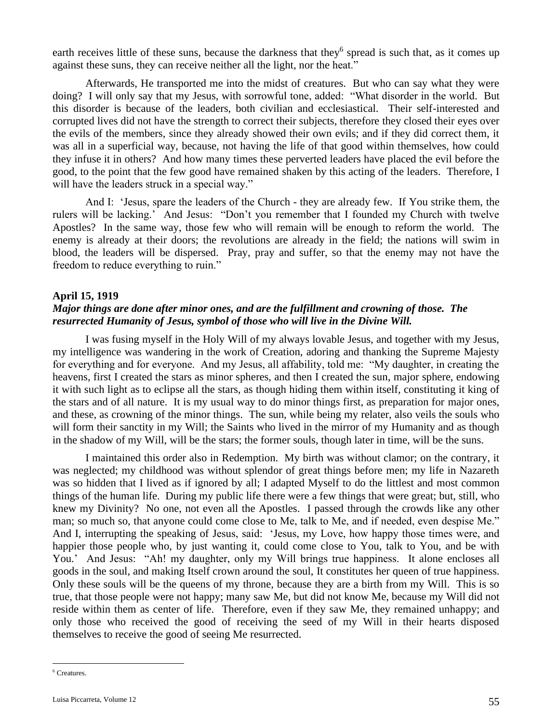earth receives little of these suns, because the darkness that they<sup>6</sup> spread is such that, as it comes up against these suns, they can receive neither all the light, nor the heat."

Afterwards, He transported me into the midst of creatures. But who can say what they were doing? I will only say that my Jesus, with sorrowful tone, added: "What disorder in the world. But this disorder is because of the leaders, both civilian and ecclesiastical. Their self-interested and corrupted lives did not have the strength to correct their subjects, therefore they closed their eyes over the evils of the members, since they already showed their own evils; and if they did correct them, it was all in a superficial way, because, not having the life of that good within themselves, how could they infuse it in others? And how many times these perverted leaders have placed the evil before the good, to the point that the few good have remained shaken by this acting of the leaders. Therefore, I will have the leaders struck in a special way."

And I: 'Jesus, spare the leaders of the Church - they are already few. If You strike them, the rulers will be lacking.' And Jesus: "Don't you remember that I founded my Church with twelve Apostles? In the same way, those few who will remain will be enough to reform the world. The enemy is already at their doors; the revolutions are already in the field; the nations will swim in blood, the leaders will be dispersed. Pray, pray and suffer, so that the enemy may not have the freedom to reduce everything to ruin."

## **April 15, 1919**

# *Major things are done after minor ones, and are the fulfillment and crowning of those. The resurrected Humanity of Jesus, symbol of those who will live in the Divine Will.*

I was fusing myself in the Holy Will of my always lovable Jesus, and together with my Jesus, my intelligence was wandering in the work of Creation, adoring and thanking the Supreme Majesty for everything and for everyone. And my Jesus, all affability, told me: "My daughter, in creating the heavens, first I created the stars as minor spheres, and then I created the sun, major sphere, endowing it with such light as to eclipse all the stars, as though hiding them within itself, constituting it king of the stars and of all nature. It is my usual way to do minor things first, as preparation for major ones, and these, as crowning of the minor things. The sun, while being my relater, also veils the souls who will form their sanctity in my Will; the Saints who lived in the mirror of my Humanity and as though in the shadow of my Will, will be the stars; the former souls, though later in time, will be the suns.

I maintained this order also in Redemption. My birth was without clamor; on the contrary, it was neglected; my childhood was without splendor of great things before men; my life in Nazareth was so hidden that I lived as if ignored by all; I adapted Myself to do the littlest and most common things of the human life. During my public life there were a few things that were great; but, still, who knew my Divinity? No one, not even all the Apostles. I passed through the crowds like any other man; so much so, that anyone could come close to Me, talk to Me, and if needed, even despise Me." And I, interrupting the speaking of Jesus, said: 'Jesus, my Love, how happy those times were, and happier those people who, by just wanting it, could come close to You, talk to You, and be with You.' And Jesus: "Ah! my daughter, only my Will brings true happiness. It alone encloses all goods in the soul, and making Itself crown around the soul, It constitutes her queen of true happiness. Only these souls will be the queens of my throne, because they are a birth from my Will. This is so true, that those people were not happy; many saw Me, but did not know Me, because my Will did not reside within them as center of life. Therefore, even if they saw Me, they remained unhappy; and only those who received the good of receiving the seed of my Will in their hearts disposed themselves to receive the good of seeing Me resurrected.

<sup>6</sup> Creatures.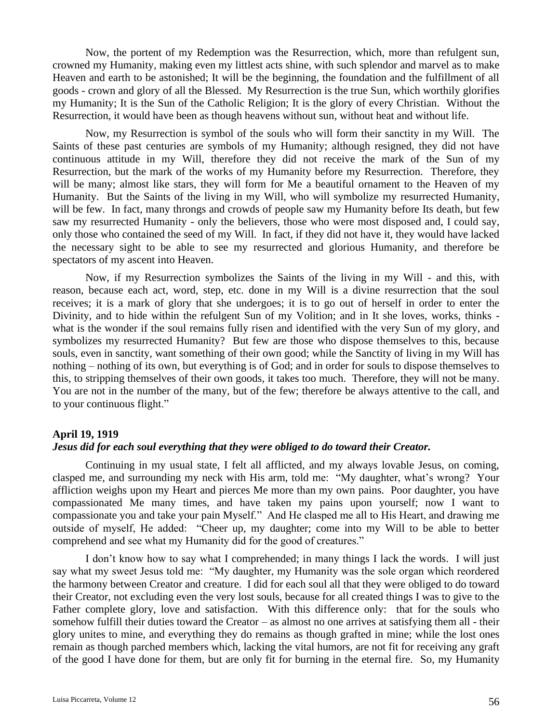Now, the portent of my Redemption was the Resurrection, which, more than refulgent sun, crowned my Humanity, making even my littlest acts shine, with such splendor and marvel as to make Heaven and earth to be astonished; It will be the beginning, the foundation and the fulfillment of all goods - crown and glory of all the Blessed. My Resurrection is the true Sun, which worthily glorifies my Humanity; It is the Sun of the Catholic Religion; It is the glory of every Christian. Without the Resurrection, it would have been as though heavens without sun, without heat and without life.

Now, my Resurrection is symbol of the souls who will form their sanctity in my Will. The Saints of these past centuries are symbols of my Humanity; although resigned, they did not have continuous attitude in my Will, therefore they did not receive the mark of the Sun of my Resurrection, but the mark of the works of my Humanity before my Resurrection. Therefore, they will be many; almost like stars, they will form for Me a beautiful ornament to the Heaven of my Humanity. But the Saints of the living in my Will, who will symbolize my resurrected Humanity, will be few. In fact, many throngs and crowds of people saw my Humanity before Its death, but few saw my resurrected Humanity - only the believers, those who were most disposed and, I could say, only those who contained the seed of my Will. In fact, if they did not have it, they would have lacked the necessary sight to be able to see my resurrected and glorious Humanity, and therefore be spectators of my ascent into Heaven.

Now, if my Resurrection symbolizes the Saints of the living in my Will - and this, with reason, because each act, word, step, etc. done in my Will is a divine resurrection that the soul receives; it is a mark of glory that she undergoes; it is to go out of herself in order to enter the Divinity, and to hide within the refulgent Sun of my Volition; and in It she loves, works, thinks what is the wonder if the soul remains fully risen and identified with the very Sun of my glory, and symbolizes my resurrected Humanity? But few are those who dispose themselves to this, because souls, even in sanctity, want something of their own good; while the Sanctity of living in my Will has nothing – nothing of its own, but everything is of God; and in order for souls to dispose themselves to this, to stripping themselves of their own goods, it takes too much. Therefore, they will not be many. You are not in the number of the many, but of the few; therefore be always attentive to the call, and to your continuous flight."

## **April 19, 1919**

# *Jesus did for each soul everything that they were obliged to do toward their Creator.*

Continuing in my usual state, I felt all afflicted, and my always lovable Jesus, on coming, clasped me, and surrounding my neck with His arm, told me: "My daughter, what's wrong? Your affliction weighs upon my Heart and pierces Me more than my own pains. Poor daughter, you have compassionated Me many times, and have taken my pains upon yourself; now I want to compassionate you and take your pain Myself." And He clasped me all to His Heart, and drawing me outside of myself, He added: "Cheer up, my daughter; come into my Will to be able to better comprehend and see what my Humanity did for the good of creatures."

I don't know how to say what I comprehended; in many things I lack the words. I will just say what my sweet Jesus told me: "My daughter, my Humanity was the sole organ which reordered the harmony between Creator and creature. I did for each soul all that they were obliged to do toward their Creator, not excluding even the very lost souls, because for all created things I was to give to the Father complete glory, love and satisfaction. With this difference only: that for the souls who somehow fulfill their duties toward the Creator – as almost no one arrives at satisfying them all - their glory unites to mine, and everything they do remains as though grafted in mine; while the lost ones remain as though parched members which, lacking the vital humors, are not fit for receiving any graft of the good I have done for them, but are only fit for burning in the eternal fire. So, my Humanity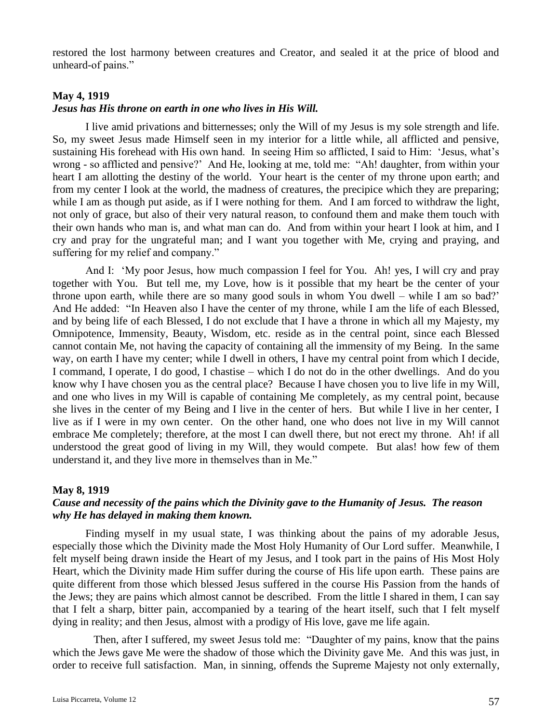restored the lost harmony between creatures and Creator, and sealed it at the price of blood and unheard-of pains."

## **May 4, 1919**

### *Jesus has His throne on earth in one who lives in His Will.*

I live amid privations and bitternesses; only the Will of my Jesus is my sole strength and life. So, my sweet Jesus made Himself seen in my interior for a little while, all afflicted and pensive, sustaining His forehead with His own hand. In seeing Him so afflicted, I said to Him: 'Jesus, what's wrong - so afflicted and pensive?' And He, looking at me, told me: "Ah! daughter, from within your heart I am allotting the destiny of the world. Your heart is the center of my throne upon earth; and from my center I look at the world, the madness of creatures, the precipice which they are preparing; while I am as though put aside, as if I were nothing for them. And I am forced to withdraw the light, not only of grace, but also of their very natural reason, to confound them and make them touch with their own hands who man is, and what man can do. And from within your heart I look at him, and I cry and pray for the ungrateful man; and I want you together with Me, crying and praying, and suffering for my relief and company."

And I: 'My poor Jesus, how much compassion I feel for You. Ah! yes, I will cry and pray together with You. But tell me, my Love, how is it possible that my heart be the center of your throne upon earth, while there are so many good souls in whom You dwell – while I am so bad?' And He added: "In Heaven also I have the center of my throne, while I am the life of each Blessed, and by being life of each Blessed, I do not exclude that I have a throne in which all my Majesty, my Omnipotence, Immensity, Beauty, Wisdom, etc. reside as in the central point, since each Blessed cannot contain Me, not having the capacity of containing all the immensity of my Being. In the same way, on earth I have my center; while I dwell in others, I have my central point from which I decide, I command, I operate, I do good, I chastise – which I do not do in the other dwellings. And do you know why I have chosen you as the central place? Because I have chosen you to live life in my Will, and one who lives in my Will is capable of containing Me completely, as my central point, because she lives in the center of my Being and I live in the center of hers. But while I live in her center, I live as if I were in my own center. On the other hand, one who does not live in my Will cannot embrace Me completely; therefore, at the most I can dwell there, but not erect my throne. Ah! if all understood the great good of living in my Will, they would compete. But alas! how few of them understand it, and they live more in themselves than in Me."

### **May 8, 1919**

# *Cause and necessity of the pains which the Divinity gave to the Humanity of Jesus. The reason why He has delayed in making them known.*

Finding myself in my usual state, I was thinking about the pains of my adorable Jesus, especially those which the Divinity made the Most Holy Humanity of Our Lord suffer. Meanwhile, I felt myself being drawn inside the Heart of my Jesus, and I took part in the pains of His Most Holy Heart, which the Divinity made Him suffer during the course of His life upon earth. These pains are quite different from those which blessed Jesus suffered in the course His Passion from the hands of the Jews; they are pains which almost cannot be described. From the little I shared in them, I can say that I felt a sharp, bitter pain, accompanied by a tearing of the heart itself, such that I felt myself dying in reality; and then Jesus, almost with a prodigy of His love, gave me life again.

 Then, after I suffered, my sweet Jesus told me: "Daughter of my pains, know that the pains which the Jews gave Me were the shadow of those which the Divinity gave Me. And this was just, in order to receive full satisfaction. Man, in sinning, offends the Supreme Majesty not only externally,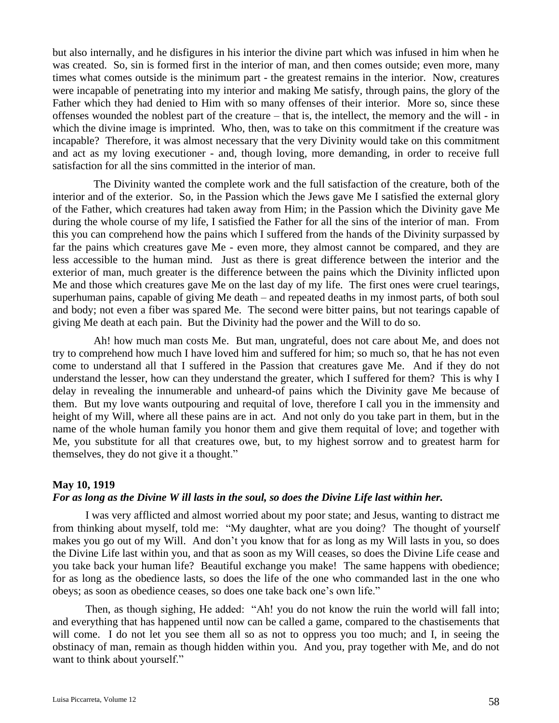but also internally, and he disfigures in his interior the divine part which was infused in him when he was created. So, sin is formed first in the interior of man, and then comes outside; even more, many times what comes outside is the minimum part - the greatest remains in the interior. Now, creatures were incapable of penetrating into my interior and making Me satisfy, through pains, the glory of the Father which they had denied to Him with so many offenses of their interior. More so, since these offenses wounded the noblest part of the creature – that is, the intellect, the memory and the will - in which the divine image is imprinted. Who, then, was to take on this commitment if the creature was incapable? Therefore, it was almost necessary that the very Divinity would take on this commitment and act as my loving executioner - and, though loving, more demanding, in order to receive full satisfaction for all the sins committed in the interior of man.

 The Divinity wanted the complete work and the full satisfaction of the creature, both of the interior and of the exterior. So, in the Passion which the Jews gave Me I satisfied the external glory of the Father, which creatures had taken away from Him; in the Passion which the Divinity gave Me during the whole course of my life, I satisfied the Father for all the sins of the interior of man. From this you can comprehend how the pains which I suffered from the hands of the Divinity surpassed by far the pains which creatures gave Me - even more, they almost cannot be compared, and they are less accessible to the human mind. Just as there is great difference between the interior and the exterior of man, much greater is the difference between the pains which the Divinity inflicted upon Me and those which creatures gave Me on the last day of my life. The first ones were cruel tearings, superhuman pains, capable of giving Me death – and repeated deaths in my inmost parts, of both soul and body; not even a fiber was spared Me. The second were bitter pains, but not tearings capable of giving Me death at each pain. But the Divinity had the power and the Will to do so.

 Ah! how much man costs Me. But man, ungrateful, does not care about Me, and does not try to comprehend how much I have loved him and suffered for him; so much so, that he has not even come to understand all that I suffered in the Passion that creatures gave Me. And if they do not understand the lesser, how can they understand the greater, which I suffered for them? This is why I delay in revealing the innumerable and unheard-of pains which the Divinity gave Me because of them. But my love wants outpouring and requital of love, therefore I call you in the immensity and height of my Will, where all these pains are in act. And not only do you take part in them, but in the name of the whole human family you honor them and give them requital of love; and together with Me, you substitute for all that creatures owe, but, to my highest sorrow and to greatest harm for themselves, they do not give it a thought."

## **May 10, 1919**

## *For as long as the Divine W ill lasts in the soul, so does the Divine Life last within her.*

I was very afflicted and almost worried about my poor state; and Jesus, wanting to distract me from thinking about myself, told me: "My daughter, what are you doing? The thought of yourself makes you go out of my Will. And don't you know that for as long as my Will lasts in you, so does the Divine Life last within you, and that as soon as my Will ceases, so does the Divine Life cease and you take back your human life? Beautiful exchange you make! The same happens with obedience; for as long as the obedience lasts, so does the life of the one who commanded last in the one who obeys; as soon as obedience ceases, so does one take back one's own life."

Then, as though sighing, He added: "Ah! you do not know the ruin the world will fall into; and everything that has happened until now can be called a game, compared to the chastisements that will come. I do not let you see them all so as not to oppress you too much; and I, in seeing the obstinacy of man, remain as though hidden within you. And you, pray together with Me, and do not want to think about yourself."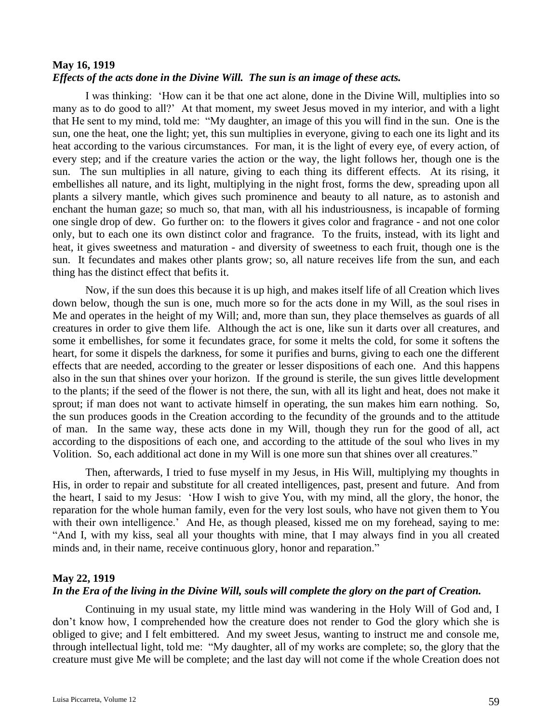# **May 16, 1919** *Effects of the acts done in the Divine Will. The sun is an image of these acts.*

I was thinking: 'How can it be that one act alone, done in the Divine Will, multiplies into so many as to do good to all?' At that moment, my sweet Jesus moved in my interior, and with a light that He sent to my mind, told me: "My daughter, an image of this you will find in the sun. One is the sun, one the heat, one the light; yet, this sun multiplies in everyone, giving to each one its light and its heat according to the various circumstances. For man, it is the light of every eye, of every action, of every step; and if the creature varies the action or the way, the light follows her, though one is the sun. The sun multiplies in all nature, giving to each thing its different effects. At its rising, it embellishes all nature, and its light, multiplying in the night frost, forms the dew, spreading upon all plants a silvery mantle, which gives such prominence and beauty to all nature, as to astonish and enchant the human gaze; so much so, that man, with all his industriousness, is incapable of forming one single drop of dew. Go further on: to the flowers it gives color and fragrance - and not one color only, but to each one its own distinct color and fragrance. To the fruits, instead, with its light and heat, it gives sweetness and maturation - and diversity of sweetness to each fruit, though one is the sun. It fecundates and makes other plants grow; so, all nature receives life from the sun, and each thing has the distinct effect that befits it.

Now, if the sun does this because it is up high, and makes itself life of all Creation which lives down below, though the sun is one, much more so for the acts done in my Will, as the soul rises in Me and operates in the height of my Will; and, more than sun, they place themselves as guards of all creatures in order to give them life. Although the act is one, like sun it darts over all creatures, and some it embellishes, for some it fecundates grace, for some it melts the cold, for some it softens the heart, for some it dispels the darkness, for some it purifies and burns, giving to each one the different effects that are needed, according to the greater or lesser dispositions of each one. And this happens also in the sun that shines over your horizon. If the ground is sterile, the sun gives little development to the plants; if the seed of the flower is not there, the sun, with all its light and heat, does not make it sprout; if man does not want to activate himself in operating, the sun makes him earn nothing. So, the sun produces goods in the Creation according to the fecundity of the grounds and to the attitude of man. In the same way, these acts done in my Will, though they run for the good of all, act according to the dispositions of each one, and according to the attitude of the soul who lives in my Volition. So, each additional act done in my Will is one more sun that shines over all creatures."

Then, afterwards, I tried to fuse myself in my Jesus, in His Will, multiplying my thoughts in His, in order to repair and substitute for all created intelligences, past, present and future. And from the heart, I said to my Jesus: 'How I wish to give You, with my mind, all the glory, the honor, the reparation for the whole human family, even for the very lost souls, who have not given them to You with their own intelligence.' And He, as though pleased, kissed me on my forehead, saying to me: "And I, with my kiss, seal all your thoughts with mine, that I may always find in you all created minds and, in their name, receive continuous glory, honor and reparation."

# **May 22, 1919**

# *In the Era of the living in the Divine Will, souls will complete the glory on the part of Creation.*

Continuing in my usual state, my little mind was wandering in the Holy Will of God and, I don't know how, I comprehended how the creature does not render to God the glory which she is obliged to give; and I felt embittered. And my sweet Jesus, wanting to instruct me and console me, through intellectual light, told me: "My daughter, all of my works are complete; so, the glory that the creature must give Me will be complete; and the last day will not come if the whole Creation does not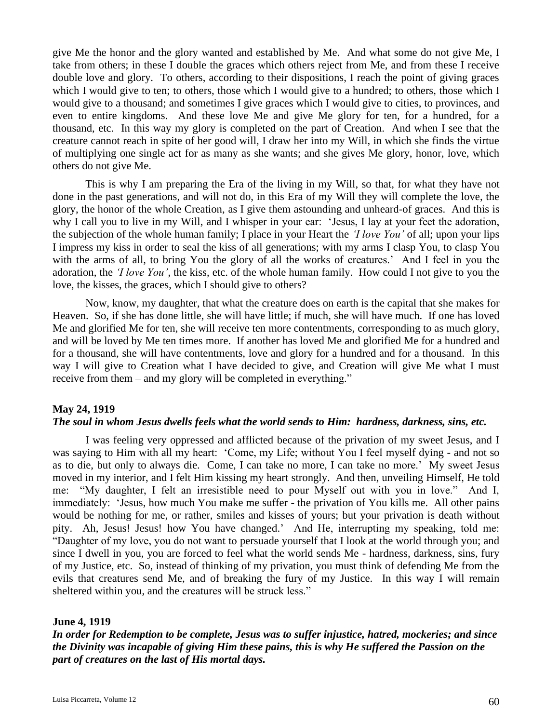give Me the honor and the glory wanted and established by Me. And what some do not give Me, I take from others; in these I double the graces which others reject from Me, and from these I receive double love and glory. To others, according to their dispositions, I reach the point of giving graces which I would give to ten; to others, those which I would give to a hundred; to others, those which I would give to a thousand; and sometimes I give graces which I would give to cities, to provinces, and even to entire kingdoms. And these love Me and give Me glory for ten, for a hundred, for a thousand, etc. In this way my glory is completed on the part of Creation. And when I see that the creature cannot reach in spite of her good will, I draw her into my Will, in which she finds the virtue of multiplying one single act for as many as she wants; and she gives Me glory, honor, love, which others do not give Me.

This is why I am preparing the Era of the living in my Will, so that, for what they have not done in the past generations, and will not do, in this Era of my Will they will complete the love, the glory, the honor of the whole Creation, as I give them astounding and unheard-of graces. And this is why I call you to live in my Will, and I whisper in your ear: 'Jesus, I lay at your feet the adoration, the subjection of the whole human family; I place in your Heart the *'I love You'* of all; upon your lips I impress my kiss in order to seal the kiss of all generations; with my arms I clasp You, to clasp You with the arms of all, to bring You the glory of all the works of creatures.' And I feel in you the adoration, the *'I love You'*, the kiss, etc. of the whole human family. How could I not give to you the love, the kisses, the graces, which I should give to others?

Now, know, my daughter, that what the creature does on earth is the capital that she makes for Heaven. So, if she has done little, she will have little; if much, she will have much. If one has loved Me and glorified Me for ten, she will receive ten more contentments, corresponding to as much glory, and will be loved by Me ten times more. If another has loved Me and glorified Me for a hundred and for a thousand, she will have contentments, love and glory for a hundred and for a thousand. In this way I will give to Creation what I have decided to give, and Creation will give Me what I must receive from them – and my glory will be completed in everything."

## **May 24, 1919**

### *The soul in whom Jesus dwells feels what the world sends to Him: hardness, darkness, sins, etc.*

I was feeling very oppressed and afflicted because of the privation of my sweet Jesus, and I was saying to Him with all my heart: 'Come, my Life; without You I feel myself dying - and not so as to die, but only to always die. Come, I can take no more, I can take no more.' My sweet Jesus moved in my interior, and I felt Him kissing my heart strongly. And then, unveiling Himself, He told me: "My daughter, I felt an irresistible need to pour Myself out with you in love." And I, immediately: 'Jesus, how much You make me suffer - the privation of You kills me. All other pains would be nothing for me, or rather, smiles and kisses of yours; but your privation is death without pity. Ah, Jesus! Jesus! how You have changed.' And He, interrupting my speaking, told me: "Daughter of my love, you do not want to persuade yourself that I look at the world through you; and since I dwell in you, you are forced to feel what the world sends Me - hardness, darkness, sins, fury of my Justice, etc. So, instead of thinking of my privation, you must think of defending Me from the evils that creatures send Me, and of breaking the fury of my Justice. In this way I will remain sheltered within you, and the creatures will be struck less."

### **June 4, 1919**

*In order for Redemption to be complete, Jesus was to suffer injustice, hatred, mockeries; and since the Divinity was incapable of giving Him these pains, this is why He suffered the Passion on the part of creatures on the last of His mortal days.*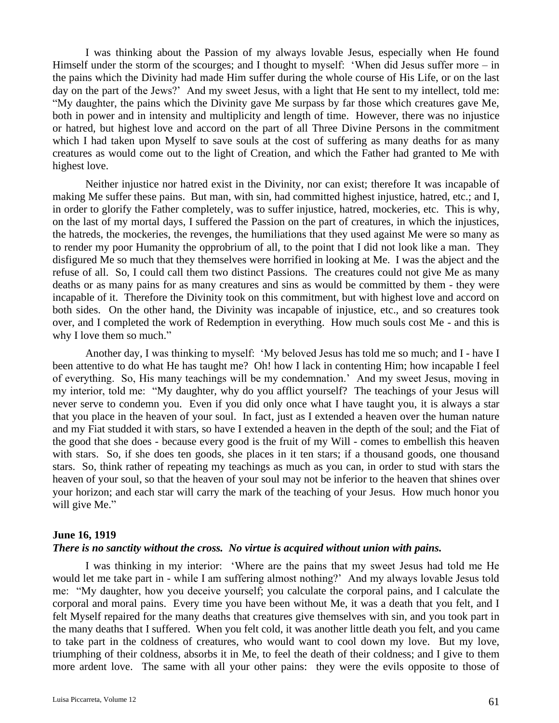I was thinking about the Passion of my always lovable Jesus, especially when He found Himself under the storm of the scourges; and I thought to myself: 'When did Jesus suffer more – in the pains which the Divinity had made Him suffer during the whole course of His Life, or on the last day on the part of the Jews?' And my sweet Jesus, with a light that He sent to my intellect, told me: "My daughter, the pains which the Divinity gave Me surpass by far those which creatures gave Me, both in power and in intensity and multiplicity and length of time. However, there was no injustice or hatred, but highest love and accord on the part of all Three Divine Persons in the commitment which I had taken upon Myself to save souls at the cost of suffering as many deaths for as many creatures as would come out to the light of Creation, and which the Father had granted to Me with highest love.

Neither injustice nor hatred exist in the Divinity, nor can exist; therefore It was incapable of making Me suffer these pains. But man, with sin, had committed highest injustice, hatred, etc.; and I, in order to glorify the Father completely, was to suffer injustice, hatred, mockeries, etc. This is why, on the last of my mortal days, I suffered the Passion on the part of creatures, in which the injustices, the hatreds, the mockeries, the revenges, the humiliations that they used against Me were so many as to render my poor Humanity the opprobrium of all, to the point that I did not look like a man. They disfigured Me so much that they themselves were horrified in looking at Me. I was the abject and the refuse of all. So, I could call them two distinct Passions. The creatures could not give Me as many deaths or as many pains for as many creatures and sins as would be committed by them - they were incapable of it. Therefore the Divinity took on this commitment, but with highest love and accord on both sides. On the other hand, the Divinity was incapable of injustice, etc., and so creatures took over, and I completed the work of Redemption in everything. How much souls cost Me - and this is why I love them so much."

Another day, I was thinking to myself: 'My beloved Jesus has told me so much; and I - have I been attentive to do what He has taught me? Oh! how I lack in contenting Him; how incapable I feel of everything. So, His many teachings will be my condemnation.' And my sweet Jesus, moving in my interior, told me: "My daughter, why do you afflict yourself? The teachings of your Jesus will never serve to condemn you. Even if you did only once what I have taught you, it is always a star that you place in the heaven of your soul. In fact, just as I extended a heaven over the human nature and my Fiat studded it with stars, so have I extended a heaven in the depth of the soul; and the Fiat of the good that she does - because every good is the fruit of my Will - comes to embellish this heaven with stars. So, if she does ten goods, she places in it ten stars; if a thousand goods, one thousand stars. So, think rather of repeating my teachings as much as you can, in order to stud with stars the heaven of your soul, so that the heaven of your soul may not be inferior to the heaven that shines over your horizon; and each star will carry the mark of the teaching of your Jesus. How much honor you will give Me."

### **June 16, 1919**

## *There is no sanctity without the cross. No virtue is acquired without union with pains.*

I was thinking in my interior: 'Where are the pains that my sweet Jesus had told me He would let me take part in - while I am suffering almost nothing?' And my always lovable Jesus told me: "My daughter, how you deceive yourself; you calculate the corporal pains, and I calculate the corporal and moral pains. Every time you have been without Me, it was a death that you felt, and I felt Myself repaired for the many deaths that creatures give themselves with sin, and you took part in the many deaths that I suffered. When you felt cold, it was another little death you felt, and you came to take part in the coldness of creatures, who would want to cool down my love. But my love, triumphing of their coldness, absorbs it in Me, to feel the death of their coldness; and I give to them more ardent love. The same with all your other pains: they were the evils opposite to those of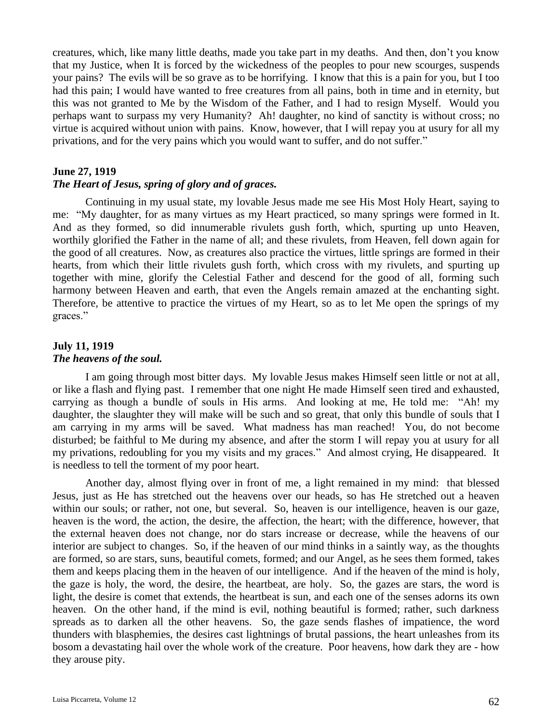creatures, which, like many little deaths, made you take part in my deaths. And then, don't you know that my Justice, when It is forced by the wickedness of the peoples to pour new scourges, suspends your pains? The evils will be so grave as to be horrifying. I know that this is a pain for you, but I too had this pain; I would have wanted to free creatures from all pains, both in time and in eternity, but this was not granted to Me by the Wisdom of the Father, and I had to resign Myself. Would you perhaps want to surpass my very Humanity? Ah! daughter, no kind of sanctity is without cross; no virtue is acquired without union with pains. Know, however, that I will repay you at usury for all my privations, and for the very pains which you would want to suffer, and do not suffer."

## **June 27, 1919**

# *The Heart of Jesus, spring of glory and of graces.*

Continuing in my usual state, my lovable Jesus made me see His Most Holy Heart, saying to me: "My daughter, for as many virtues as my Heart practiced, so many springs were formed in It. And as they formed, so did innumerable rivulets gush forth, which, spurting up unto Heaven, worthily glorified the Father in the name of all; and these rivulets, from Heaven, fell down again for the good of all creatures. Now, as creatures also practice the virtues, little springs are formed in their hearts, from which their little rivulets gush forth, which cross with my rivulets, and spurting up together with mine, glorify the Celestial Father and descend for the good of all, forming such harmony between Heaven and earth, that even the Angels remain amazed at the enchanting sight. Therefore, be attentive to practice the virtues of my Heart, so as to let Me open the springs of my graces."

# **July 11, 1919** *The heavens of the soul.*

I am going through most bitter days. My lovable Jesus makes Himself seen little or not at all, or like a flash and flying past. I remember that one night He made Himself seen tired and exhausted, carrying as though a bundle of souls in His arms. And looking at me, He told me: "Ah! my daughter, the slaughter they will make will be such and so great, that only this bundle of souls that I am carrying in my arms will be saved. What madness has man reached! You, do not become disturbed; be faithful to Me during my absence, and after the storm I will repay you at usury for all my privations, redoubling for you my visits and my graces." And almost crying, He disappeared. It is needless to tell the torment of my poor heart.

Another day, almost flying over in front of me, a light remained in my mind: that blessed Jesus, just as He has stretched out the heavens over our heads, so has He stretched out a heaven within our souls; or rather, not one, but several. So, heaven is our intelligence, heaven is our gaze, heaven is the word, the action, the desire, the affection, the heart; with the difference, however, that the external heaven does not change, nor do stars increase or decrease, while the heavens of our interior are subject to changes. So, if the heaven of our mind thinks in a saintly way, as the thoughts are formed, so are stars, suns, beautiful comets, formed; and our Angel, as he sees them formed, takes them and keeps placing them in the heaven of our intelligence. And if the heaven of the mind is holy, the gaze is holy, the word, the desire, the heartbeat, are holy. So, the gazes are stars, the word is light, the desire is comet that extends, the heartbeat is sun, and each one of the senses adorns its own heaven. On the other hand, if the mind is evil, nothing beautiful is formed; rather, such darkness spreads as to darken all the other heavens. So, the gaze sends flashes of impatience, the word thunders with blasphemies, the desires cast lightnings of brutal passions, the heart unleashes from its bosom a devastating hail over the whole work of the creature. Poor heavens, how dark they are - how they arouse pity.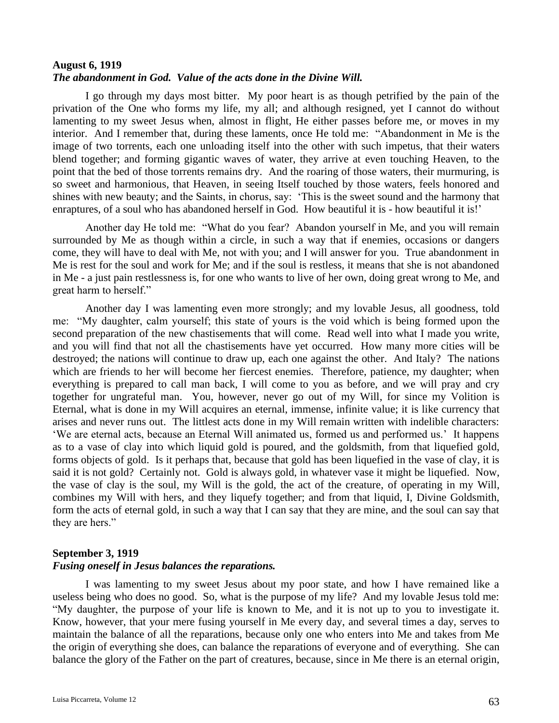# **August 6, 1919**  *The abandonment in God. Value of the acts done in the Divine Will.*

I go through my days most bitter. My poor heart is as though petrified by the pain of the privation of the One who forms my life, my all; and although resigned, yet I cannot do without lamenting to my sweet Jesus when, almost in flight, He either passes before me, or moves in my interior. And I remember that, during these laments, once He told me: "Abandonment in Me is the image of two torrents, each one unloading itself into the other with such impetus, that their waters blend together; and forming gigantic waves of water, they arrive at even touching Heaven, to the point that the bed of those torrents remains dry. And the roaring of those waters, their murmuring, is so sweet and harmonious, that Heaven, in seeing Itself touched by those waters, feels honored and shines with new beauty; and the Saints, in chorus, say: 'This is the sweet sound and the harmony that enraptures, of a soul who has abandoned herself in God. How beautiful it is - how beautiful it is!'

Another day He told me: "What do you fear? Abandon yourself in Me, and you will remain surrounded by Me as though within a circle, in such a way that if enemies, occasions or dangers come, they will have to deal with Me, not with you; and I will answer for you. True abandonment in Me is rest for the soul and work for Me; and if the soul is restless, it means that she is not abandoned in Me - a just pain restlessness is, for one who wants to live of her own, doing great wrong to Me, and great harm to herself."

Another day I was lamenting even more strongly; and my lovable Jesus, all goodness, told me: "My daughter, calm yourself; this state of yours is the void which is being formed upon the second preparation of the new chastisements that will come. Read well into what I made you write, and you will find that not all the chastisements have yet occurred. How many more cities will be destroyed; the nations will continue to draw up, each one against the other. And Italy? The nations which are friends to her will become her fiercest enemies. Therefore, patience, my daughter; when everything is prepared to call man back, I will come to you as before, and we will pray and cry together for ungrateful man. You, however, never go out of my Will, for since my Volition is Eternal, what is done in my Will acquires an eternal, immense, infinite value; it is like currency that arises and never runs out. The littlest acts done in my Will remain written with indelible characters: 'We are eternal acts, because an Eternal Will animated us, formed us and performed us.' It happens as to a vase of clay into which liquid gold is poured, and the goldsmith, from that liquefied gold, forms objects of gold. Is it perhaps that, because that gold has been liquefied in the vase of clay, it is said it is not gold? Certainly not. Gold is always gold, in whatever vase it might be liquefied. Now, the vase of clay is the soul, my Will is the gold, the act of the creature, of operating in my Will, combines my Will with hers, and they liquefy together; and from that liquid, I, Divine Goldsmith, form the acts of eternal gold, in such a way that I can say that they are mine, and the soul can say that they are hers."

# **September 3, 1919**

# *Fusing oneself in Jesus balances the reparations.*

I was lamenting to my sweet Jesus about my poor state, and how I have remained like a useless being who does no good. So, what is the purpose of my life? And my lovable Jesus told me: "My daughter, the purpose of your life is known to Me, and it is not up to you to investigate it. Know, however, that your mere fusing yourself in Me every day, and several times a day, serves to maintain the balance of all the reparations, because only one who enters into Me and takes from Me the origin of everything she does, can balance the reparations of everyone and of everything. She can balance the glory of the Father on the part of creatures, because, since in Me there is an eternal origin,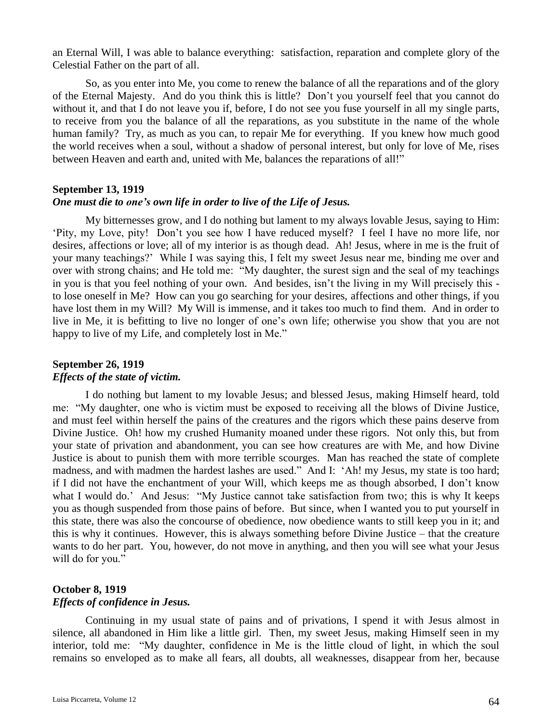an Eternal Will, I was able to balance everything: satisfaction, reparation and complete glory of the Celestial Father on the part of all.

So, as you enter into Me, you come to renew the balance of all the reparations and of the glory of the Eternal Majesty. And do you think this is little? Don't you yourself feel that you cannot do without it, and that I do not leave you if, before, I do not see you fuse yourself in all my single parts, to receive from you the balance of all the reparations, as you substitute in the name of the whole human family? Try, as much as you can, to repair Me for everything. If you knew how much good the world receives when a soul, without a shadow of personal interest, but only for love of Me, rises between Heaven and earth and, united with Me, balances the reparations of all!"

#### **September 13, 1919**

### *One must die to one's own life in order to live of the Life of Jesus.*

My bitternesses grow, and I do nothing but lament to my always lovable Jesus, saying to Him: 'Pity, my Love, pity! Don't you see how I have reduced myself? I feel I have no more life, nor desires, affections or love; all of my interior is as though dead. Ah! Jesus, where in me is the fruit of your many teachings?' While I was saying this, I felt my sweet Jesus near me, binding me over and over with strong chains; and He told me: "My daughter, the surest sign and the seal of my teachings in you is that you feel nothing of your own. And besides, isn't the living in my Will precisely this to lose oneself in Me? How can you go searching for your desires, affections and other things, if you have lost them in my Will? My Will is immense, and it takes too much to find them. And in order to live in Me, it is befitting to live no longer of one's own life; otherwise you show that you are not happy to live of my Life, and completely lost in Me."

# **September 26, 1919**  *Effects of the state of victim.*

I do nothing but lament to my lovable Jesus; and blessed Jesus, making Himself heard, told me: "My daughter, one who is victim must be exposed to receiving all the blows of Divine Justice, and must feel within herself the pains of the creatures and the rigors which these pains deserve from Divine Justice. Oh! how my crushed Humanity moaned under these rigors. Not only this, but from your state of privation and abandonment, you can see how creatures are with Me, and how Divine Justice is about to punish them with more terrible scourges. Man has reached the state of complete madness, and with madmen the hardest lashes are used." And I: 'Ah! my Jesus, my state is too hard; if I did not have the enchantment of your Will, which keeps me as though absorbed, I don't know what I would do.' And Jesus: "My Justice cannot take satisfaction from two; this is why It keeps you as though suspended from those pains of before. But since, when I wanted you to put yourself in this state, there was also the concourse of obedience, now obedience wants to still keep you in it; and this is why it continues. However, this is always something before Divine Justice – that the creature wants to do her part. You, however, do not move in anything, and then you will see what your Jesus will do for you."

# **October 8, 1919**  *Effects of confidence in Jesus.*

Continuing in my usual state of pains and of privations, I spend it with Jesus almost in silence, all abandoned in Him like a little girl. Then, my sweet Jesus, making Himself seen in my interior, told me: "My daughter, confidence in Me is the little cloud of light, in which the soul remains so enveloped as to make all fears, all doubts, all weaknesses, disappear from her, because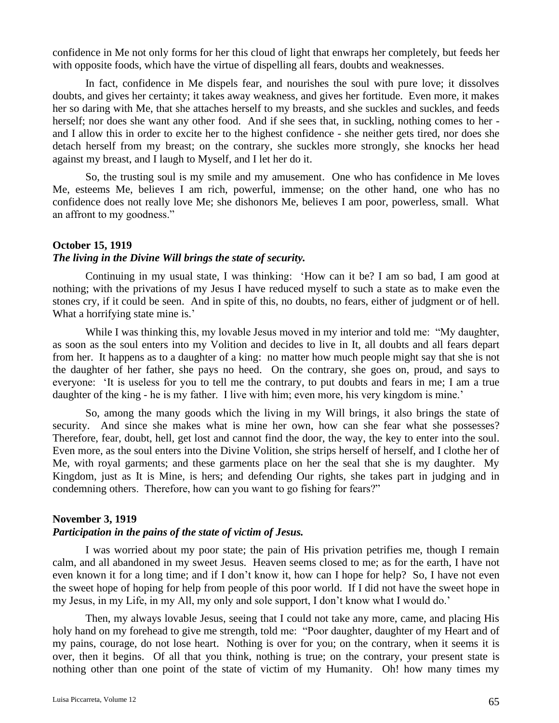confidence in Me not only forms for her this cloud of light that enwraps her completely, but feeds her with opposite foods, which have the virtue of dispelling all fears, doubts and weaknesses.

In fact, confidence in Me dispels fear, and nourishes the soul with pure love; it dissolves doubts, and gives her certainty; it takes away weakness, and gives her fortitude. Even more, it makes her so daring with Me, that she attaches herself to my breasts, and she suckles and suckles, and feeds herself; nor does she want any other food. And if she sees that, in suckling, nothing comes to herand I allow this in order to excite her to the highest confidence - she neither gets tired, nor does she detach herself from my breast; on the contrary, she suckles more strongly, she knocks her head against my breast, and I laugh to Myself, and I let her do it.

So, the trusting soul is my smile and my amusement. One who has confidence in Me loves Me, esteems Me, believes I am rich, powerful, immense; on the other hand, one who has no confidence does not really love Me; she dishonors Me, believes I am poor, powerless, small. What an affront to my goodness."

### **October 15, 1919**

## *The living in the Divine Will brings the state of security.*

Continuing in my usual state, I was thinking: 'How can it be? I am so bad, I am good at nothing; with the privations of my Jesus I have reduced myself to such a state as to make even the stones cry, if it could be seen. And in spite of this, no doubts, no fears, either of judgment or of hell. What a horrifying state mine is.'

While I was thinking this, my lovable Jesus moved in my interior and told me: "My daughter, as soon as the soul enters into my Volition and decides to live in It, all doubts and all fears depart from her. It happens as to a daughter of a king: no matter how much people might say that she is not the daughter of her father, she pays no heed. On the contrary, she goes on, proud, and says to everyone: 'It is useless for you to tell me the contrary, to put doubts and fears in me; I am a true daughter of the king - he is my father. I live with him; even more, his very kingdom is mine.'

So, among the many goods which the living in my Will brings, it also brings the state of security. And since she makes what is mine her own, how can she fear what she possesses? Therefore, fear, doubt, hell, get lost and cannot find the door, the way, the key to enter into the soul. Even more, as the soul enters into the Divine Volition, she strips herself of herself, and I clothe her of Me, with royal garments; and these garments place on her the seal that she is my daughter. My Kingdom, just as It is Mine, is hers; and defending Our rights, she takes part in judging and in condemning others. Therefore, how can you want to go fishing for fears?"

### **November 3, 1919**

# *Participation in the pains of the state of victim of Jesus.*

I was worried about my poor state; the pain of His privation petrifies me, though I remain calm, and all abandoned in my sweet Jesus. Heaven seems closed to me; as for the earth, I have not even known it for a long time; and if I don't know it, how can I hope for help? So, I have not even the sweet hope of hoping for help from people of this poor world. If I did not have the sweet hope in my Jesus, in my Life, in my All, my only and sole support, I don't know what I would do.'

Then, my always lovable Jesus, seeing that I could not take any more, came, and placing His holy hand on my forehead to give me strength, told me: "Poor daughter, daughter of my Heart and of my pains, courage, do not lose heart. Nothing is over for you; on the contrary, when it seems it is over, then it begins. Of all that you think, nothing is true; on the contrary, your present state is nothing other than one point of the state of victim of my Humanity. Oh! how many times my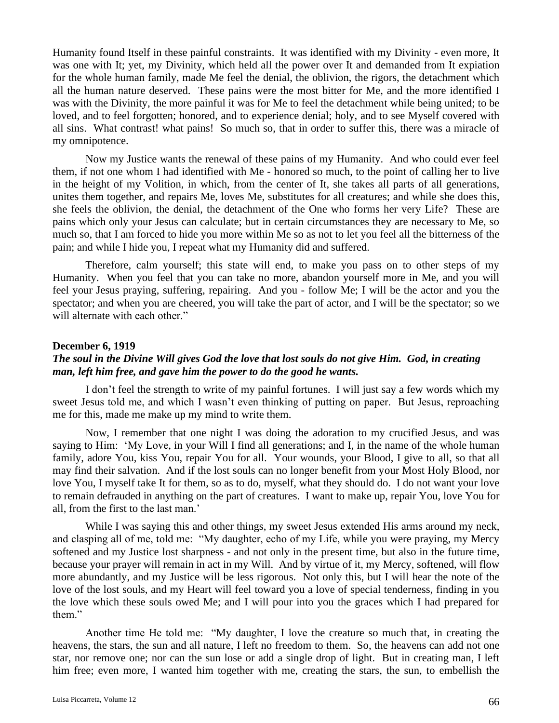Humanity found Itself in these painful constraints. It was identified with my Divinity - even more, It was one with It; yet, my Divinity, which held all the power over It and demanded from It expiation for the whole human family, made Me feel the denial, the oblivion, the rigors, the detachment which all the human nature deserved. These pains were the most bitter for Me, and the more identified I was with the Divinity, the more painful it was for Me to feel the detachment while being united; to be loved, and to feel forgotten; honored, and to experience denial; holy, and to see Myself covered with all sins. What contrast! what pains! So much so, that in order to suffer this, there was a miracle of my omnipotence.

Now my Justice wants the renewal of these pains of my Humanity. And who could ever feel them, if not one whom I had identified with Me - honored so much, to the point of calling her to live in the height of my Volition, in which, from the center of It, she takes all parts of all generations, unites them together, and repairs Me, loves Me, substitutes for all creatures; and while she does this, she feels the oblivion, the denial, the detachment of the One who forms her very Life? These are pains which only your Jesus can calculate; but in certain circumstances they are necessary to Me, so much so, that I am forced to hide you more within Me so as not to let you feel all the bitterness of the pain; and while I hide you, I repeat what my Humanity did and suffered.

Therefore, calm yourself; this state will end, to make you pass on to other steps of my Humanity. When you feel that you can take no more, abandon yourself more in Me, and you will feel your Jesus praying, suffering, repairing. And you - follow Me; I will be the actor and you the spectator; and when you are cheered, you will take the part of actor, and I will be the spectator; so we will alternate with each other."

# **December 6, 1919**

# *The soul in the Divine Will gives God the love that lost souls do not give Him. God, in creating man, left him free, and gave him the power to do the good he wants.*

I don't feel the strength to write of my painful fortunes. I will just say a few words which my sweet Jesus told me, and which I wasn't even thinking of putting on paper. But Jesus, reproaching me for this, made me make up my mind to write them.

Now, I remember that one night I was doing the adoration to my crucified Jesus, and was saying to Him: 'My Love, in your Will I find all generations; and I, in the name of the whole human family, adore You, kiss You, repair You for all. Your wounds, your Blood, I give to all, so that all may find their salvation. And if the lost souls can no longer benefit from your Most Holy Blood, nor love You, I myself take It for them, so as to do, myself, what they should do. I do not want your love to remain defrauded in anything on the part of creatures. I want to make up, repair You, love You for all, from the first to the last man.'

While I was saying this and other things, my sweet Jesus extended His arms around my neck, and clasping all of me, told me: "My daughter, echo of my Life, while you were praying, my Mercy softened and my Justice lost sharpness - and not only in the present time, but also in the future time, because your prayer will remain in act in my Will. And by virtue of it, my Mercy, softened, will flow more abundantly, and my Justice will be less rigorous. Not only this, but I will hear the note of the love of the lost souls, and my Heart will feel toward you a love of special tenderness, finding in you the love which these souls owed Me; and I will pour into you the graces which I had prepared for them."

Another time He told me: "My daughter, I love the creature so much that, in creating the heavens, the stars, the sun and all nature, I left no freedom to them. So, the heavens can add not one star, nor remove one; nor can the sun lose or add a single drop of light. But in creating man, I left him free; even more, I wanted him together with me, creating the stars, the sun, to embellish the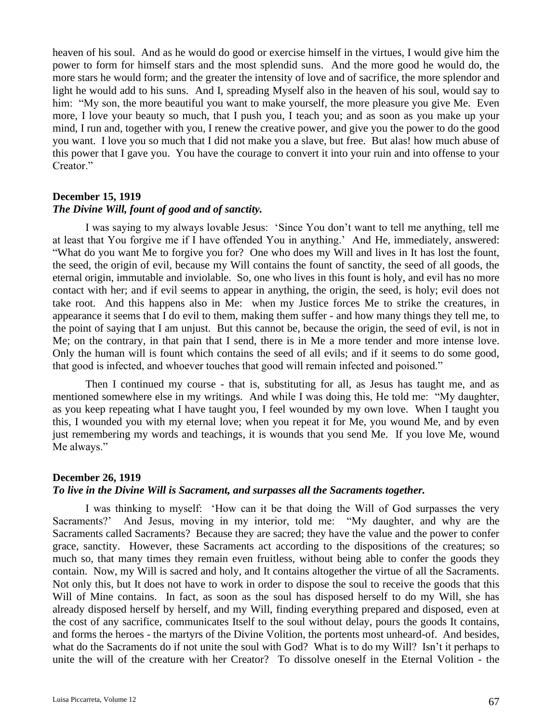heaven of his soul. And as he would do good or exercise himself in the virtues, I would give him the power to form for himself stars and the most splendid suns. And the more good he would do, the more stars he would form; and the greater the intensity of love and of sacrifice, the more splendor and light he would add to his suns. And I, spreading Myself also in the heaven of his soul, would say to him: "My son, the more beautiful you want to make yourself, the more pleasure you give Me. Even more, I love your beauty so much, that I push you, I teach you; and as soon as you make up your mind, I run and, together with you, I renew the creative power, and give you the power to do the good you want. I love you so much that I did not make you a slave, but free. But alas! how much abuse of this power that I gave you. You have the courage to convert it into your ruin and into offense to your Creator."

## **December 15, 1919**

## *The Divine Will, fount of good and of sanctity.*

I was saying to my always lovable Jesus: 'Since You don't want to tell me anything, tell me at least that You forgive me if I have offended You in anything.' And He, immediately, answered: "What do you want Me to forgive you for? One who does my Will and lives in It has lost the fount, the seed, the origin of evil, because my Will contains the fount of sanctity, the seed of all goods, the eternal origin, immutable and inviolable. So, one who lives in this fount is holy, and evil has no more contact with her; and if evil seems to appear in anything, the origin, the seed, is holy; evil does not take root. And this happens also in Me: when my Justice forces Me to strike the creatures, in appearance it seems that I do evil to them, making them suffer - and how many things they tell me, to the point of saying that I am unjust. But this cannot be, because the origin, the seed of evil, is not in Me; on the contrary, in that pain that I send, there is in Me a more tender and more intense love. Only the human will is fount which contains the seed of all evils; and if it seems to do some good, that good is infected, and whoever touches that good will remain infected and poisoned."

Then I continued my course - that is, substituting for all, as Jesus has taught me, and as mentioned somewhere else in my writings. And while I was doing this, He told me: "My daughter, as you keep repeating what I have taught you, I feel wounded by my own love. When I taught you this, I wounded you with my eternal love; when you repeat it for Me, you wound Me, and by even just remembering my words and teachings, it is wounds that you send Me. If you love Me, wound Me always."

### **December 26, 1919**

# *To live in the Divine Will is Sacrament, and surpasses all the Sacraments together.*

I was thinking to myself: 'How can it be that doing the Will of God surpasses the very Sacraments?' And Jesus, moving in my interior, told me: "My daughter, and why are the Sacraments called Sacraments? Because they are sacred; they have the value and the power to confer grace, sanctity. However, these Sacraments act according to the dispositions of the creatures; so much so, that many times they remain even fruitless, without being able to confer the goods they contain. Now, my Will is sacred and holy, and It contains altogether the virtue of all the Sacraments. Not only this, but It does not have to work in order to dispose the soul to receive the goods that this Will of Mine contains. In fact, as soon as the soul has disposed herself to do my Will, she has already disposed herself by herself, and my Will, finding everything prepared and disposed, even at the cost of any sacrifice, communicates Itself to the soul without delay, pours the goods It contains, and forms the heroes - the martyrs of the Divine Volition, the portents most unheard-of. And besides, what do the Sacraments do if not unite the soul with God? What is to do my Will? Isn't it perhaps to unite the will of the creature with her Creator? To dissolve oneself in the Eternal Volition - the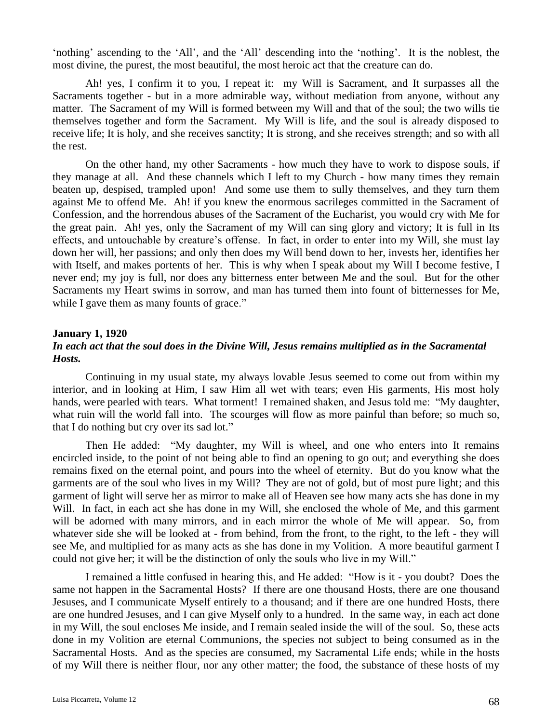'nothing' ascending to the 'All', and the 'All' descending into the 'nothing'. It is the noblest, the most divine, the purest, the most beautiful, the most heroic act that the creature can do.

Ah! yes, I confirm it to you, I repeat it: my Will is Sacrament, and It surpasses all the Sacraments together - but in a more admirable way, without mediation from anyone, without any matter. The Sacrament of my Will is formed between my Will and that of the soul; the two wills tie themselves together and form the Sacrament. My Will is life, and the soul is already disposed to receive life; It is holy, and she receives sanctity; It is strong, and she receives strength; and so with all the rest.

On the other hand, my other Sacraments - how much they have to work to dispose souls, if they manage at all. And these channels which I left to my Church - how many times they remain beaten up, despised, trampled upon! And some use them to sully themselves, and they turn them against Me to offend Me. Ah! if you knew the enormous sacrileges committed in the Sacrament of Confession, and the horrendous abuses of the Sacrament of the Eucharist, you would cry with Me for the great pain. Ah! yes, only the Sacrament of my Will can sing glory and victory; It is full in Its effects, and untouchable by creature's offense. In fact, in order to enter into my Will, she must lay down her will, her passions; and only then does my Will bend down to her, invests her, identifies her with Itself, and makes portents of her. This is why when I speak about my Will I become festive, I never end; my joy is full, nor does any bitterness enter between Me and the soul. But for the other Sacraments my Heart swims in sorrow, and man has turned them into fount of bitternesses for Me, while I gave them as many founts of grace."

### **January 1, 1920**

# *In each act that the soul does in the Divine Will, Jesus remains multiplied as in the Sacramental Hosts.*

Continuing in my usual state, my always lovable Jesus seemed to come out from within my interior, and in looking at Him, I saw Him all wet with tears; even His garments, His most holy hands, were pearled with tears. What torment! I remained shaken, and Jesus told me: "My daughter, what ruin will the world fall into. The scourges will flow as more painful than before; so much so, that I do nothing but cry over its sad lot."

Then He added: "My daughter, my Will is wheel, and one who enters into It remains encircled inside, to the point of not being able to find an opening to go out; and everything she does remains fixed on the eternal point, and pours into the wheel of eternity. But do you know what the garments are of the soul who lives in my Will? They are not of gold, but of most pure light; and this garment of light will serve her as mirror to make all of Heaven see how many acts she has done in my Will. In fact, in each act she has done in my Will, she enclosed the whole of Me, and this garment will be adorned with many mirrors, and in each mirror the whole of Me will appear. So, from whatever side she will be looked at - from behind, from the front, to the right, to the left - they will see Me, and multiplied for as many acts as she has done in my Volition. A more beautiful garment I could not give her; it will be the distinction of only the souls who live in my Will."

I remained a little confused in hearing this, and He added: "How is it - you doubt? Does the same not happen in the Sacramental Hosts? If there are one thousand Hosts, there are one thousand Jesuses, and I communicate Myself entirely to a thousand; and if there are one hundred Hosts, there are one hundred Jesuses, and I can give Myself only to a hundred. In the same way, in each act done in my Will, the soul encloses Me inside, and I remain sealed inside the will of the soul. So, these acts done in my Volition are eternal Communions, the species not subject to being consumed as in the Sacramental Hosts. And as the species are consumed, my Sacramental Life ends; while in the hosts of my Will there is neither flour, nor any other matter; the food, the substance of these hosts of my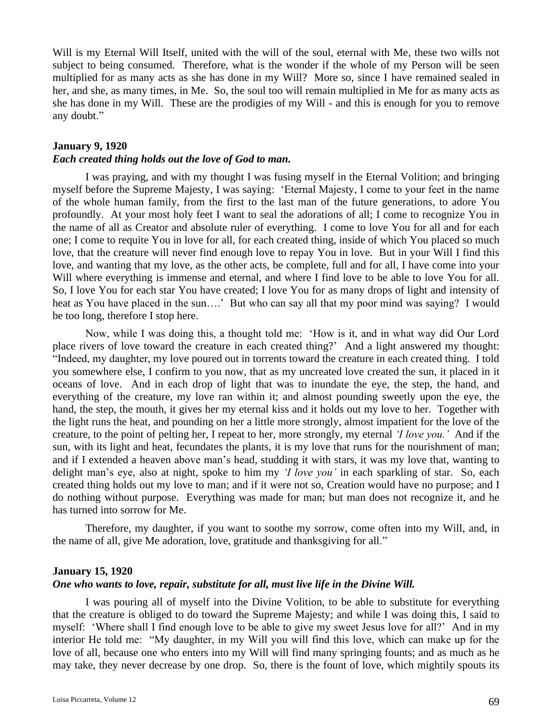Will is my Eternal Will Itself, united with the will of the soul, eternal with Me, these two wills not subject to being consumed. Therefore, what is the wonder if the whole of my Person will be seen multiplied for as many acts as she has done in my Will? More so, since I have remained sealed in her, and she, as many times, in Me. So, the soul too will remain multiplied in Me for as many acts as she has done in my Will. These are the prodigies of my Will - and this is enough for you to remove any doubt."

### **January 9, 1920**

## *Each created thing holds out the love of God to man.*

I was praying, and with my thought I was fusing myself in the Eternal Volition; and bringing myself before the Supreme Majesty, I was saying: 'Eternal Majesty, I come to your feet in the name of the whole human family, from the first to the last man of the future generations, to adore You profoundly. At your most holy feet I want to seal the adorations of all; I come to recognize You in the name of all as Creator and absolute ruler of everything. I come to love You for all and for each one; I come to requite You in love for all, for each created thing, inside of which You placed so much love, that the creature will never find enough love to repay You in love. But in your Will I find this love, and wanting that my love, as the other acts, be complete, full and for all, I have come into your Will where everything is immense and eternal, and where I find love to be able to love You for all. So, I love You for each star You have created; I love You for as many drops of light and intensity of heat as You have placed in the sun....' But who can say all that my poor mind was saying? I would be too long, therefore I stop here.

Now, while I was doing this, a thought told me: 'How is it, and in what way did Our Lord place rivers of love toward the creature in each created thing?' And a light answered my thought: "Indeed, my daughter, my love poured out in torrents toward the creature in each created thing. I told you somewhere else, I confirm to you now, that as my uncreated love created the sun, it placed in it oceans of love. And in each drop of light that was to inundate the eye, the step, the hand, and everything of the creature, my love ran within it; and almost pounding sweetly upon the eye, the hand, the step, the mouth, it gives her my eternal kiss and it holds out my love to her. Together with the light runs the heat, and pounding on her a little more strongly, almost impatient for the love of the creature, to the point of pelting her, I repeat to her, more strongly, my eternal *'I love you.'* And if the sun, with its light and heat, fecundates the plants, it is my love that runs for the nourishment of man; and if I extended a heaven above man's head, studding it with stars, it was my love that, wanting to delight man's eye, also at night, spoke to him my *'I love you'* in each sparkling of star. So, each created thing holds out my love to man; and if it were not so, Creation would have no purpose; and I do nothing without purpose. Everything was made for man; but man does not recognize it, and he has turned into sorrow for Me.

Therefore, my daughter, if you want to soothe my sorrow, come often into my Will, and, in the name of all, give Me adoration, love, gratitude and thanksgiving for all."

## **January 15, 1920**

## *One who wants to love, repair, substitute for all, must live life in the Divine Will.*

I was pouring all of myself into the Divine Volition, to be able to substitute for everything that the creature is obliged to do toward the Supreme Majesty; and while I was doing this, I said to myself: 'Where shall I find enough love to be able to give my sweet Jesus love for all?' And in my interior He told me: "My daughter, in my Will you will find this love, which can make up for the love of all, because one who enters into my Will will find many springing founts; and as much as he may take, they never decrease by one drop. So, there is the fount of love, which mightily spouts its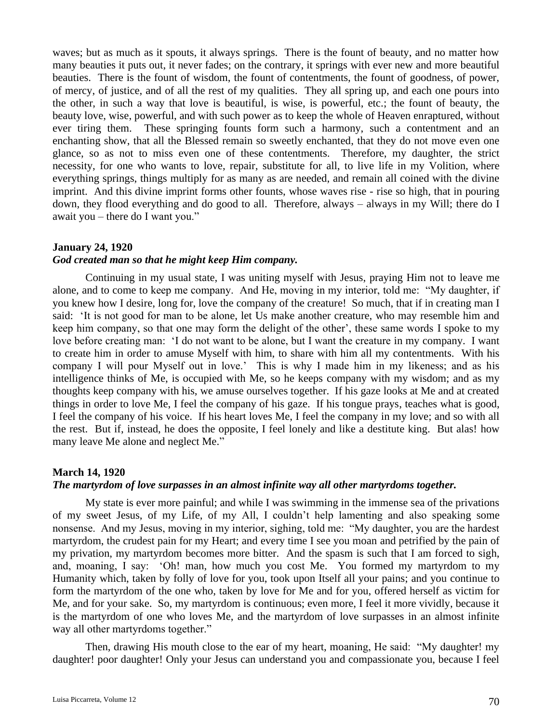waves; but as much as it spouts, it always springs. There is the fount of beauty, and no matter how many beauties it puts out, it never fades; on the contrary, it springs with ever new and more beautiful beauties. There is the fount of wisdom, the fount of contentments, the fount of goodness, of power, of mercy, of justice, and of all the rest of my qualities. They all spring up, and each one pours into the other, in such a way that love is beautiful, is wise, is powerful, etc.; the fount of beauty, the beauty love, wise, powerful, and with such power as to keep the whole of Heaven enraptured, without ever tiring them. These springing founts form such a harmony, such a contentment and an enchanting show, that all the Blessed remain so sweetly enchanted, that they do not move even one glance, so as not to miss even one of these contentments. Therefore, my daughter, the strict necessity, for one who wants to love, repair, substitute for all, to live life in my Volition, where everything springs, things multiply for as many as are needed, and remain all coined with the divine imprint. And this divine imprint forms other founts, whose waves rise - rise so high, that in pouring down, they flood everything and do good to all. Therefore, always – always in my Will; there do I await you – there do I want you."

## **January 24, 1920**

## *God created man so that he might keep Him company.*

Continuing in my usual state, I was uniting myself with Jesus, praying Him not to leave me alone, and to come to keep me company. And He, moving in my interior, told me: "My daughter, if you knew how I desire, long for, love the company of the creature! So much, that if in creating man I said: 'It is not good for man to be alone, let Us make another creature, who may resemble him and keep him company, so that one may form the delight of the other', these same words I spoke to my love before creating man: 'I do not want to be alone, but I want the creature in my company. I want to create him in order to amuse Myself with him, to share with him all my contentments. With his company I will pour Myself out in love.' This is why I made him in my likeness; and as his intelligence thinks of Me, is occupied with Me, so he keeps company with my wisdom; and as my thoughts keep company with his, we amuse ourselves together. If his gaze looks at Me and at created things in order to love Me, I feel the company of his gaze. If his tongue prays, teaches what is good, I feel the company of his voice. If his heart loves Me, I feel the company in my love; and so with all the rest. But if, instead, he does the opposite, I feel lonely and like a destitute king. But alas! how many leave Me alone and neglect Me."

## **March 14, 1920**

## *The martyrdom of love surpasses in an almost infinite way all other martyrdoms together.*

My state is ever more painful; and while I was swimming in the immense sea of the privations of my sweet Jesus, of my Life, of my All, I couldn't help lamenting and also speaking some nonsense. And my Jesus, moving in my interior, sighing, told me: "My daughter, you are the hardest martyrdom, the crudest pain for my Heart; and every time I see you moan and petrified by the pain of my privation, my martyrdom becomes more bitter. And the spasm is such that I am forced to sigh, and, moaning, I say: 'Oh! man, how much you cost Me. You formed my martyrdom to my Humanity which, taken by folly of love for you, took upon Itself all your pains; and you continue to form the martyrdom of the one who, taken by love for Me and for you, offered herself as victim for Me, and for your sake. So, my martyrdom is continuous; even more, I feel it more vividly, because it is the martyrdom of one who loves Me, and the martyrdom of love surpasses in an almost infinite way all other martyrdoms together."

Then, drawing His mouth close to the ear of my heart, moaning, He said: "My daughter! my daughter! poor daughter! Only your Jesus can understand you and compassionate you, because I feel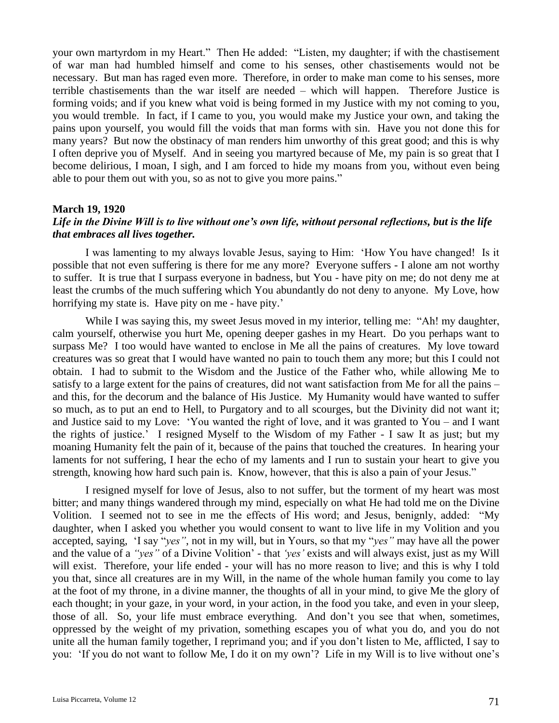your own martyrdom in my Heart." Then He added: "Listen, my daughter; if with the chastisement of war man had humbled himself and come to his senses, other chastisements would not be necessary. But man has raged even more. Therefore, in order to make man come to his senses, more terrible chastisements than the war itself are needed – which will happen. Therefore Justice is forming voids; and if you knew what void is being formed in my Justice with my not coming to you, you would tremble. In fact, if I came to you, you would make my Justice your own, and taking the pains upon yourself, you would fill the voids that man forms with sin. Have you not done this for many years? But now the obstinacy of man renders him unworthy of this great good; and this is why I often deprive you of Myself. And in seeing you martyred because of Me, my pain is so great that I become delirious, I moan, I sigh, and I am forced to hide my moans from you, without even being able to pour them out with you, so as not to give you more pains."

## **March 19, 1920**

# Life in the Divine Will is to live without one's own life, without personal reflections, but is the life *that embraces all lives together.*

I was lamenting to my always lovable Jesus, saying to Him: 'How You have changed! Is it possible that not even suffering is there for me any more? Everyone suffers - I alone am not worthy to suffer. It is true that I surpass everyone in badness, but You - have pity on me; do not deny me at least the crumbs of the much suffering which You abundantly do not deny to anyone. My Love, how horrifying my state is. Have pity on me - have pity.'

While I was saying this, my sweet Jesus moved in my interior, telling me: "Ah! my daughter, calm yourself, otherwise you hurt Me, opening deeper gashes in my Heart. Do you perhaps want to surpass Me? I too would have wanted to enclose in Me all the pains of creatures. My love toward creatures was so great that I would have wanted no pain to touch them any more; but this I could not obtain. I had to submit to the Wisdom and the Justice of the Father who, while allowing Me to satisfy to a large extent for the pains of creatures, did not want satisfaction from Me for all the pains – and this, for the decorum and the balance of His Justice. My Humanity would have wanted to suffer so much, as to put an end to Hell, to Purgatory and to all scourges, but the Divinity did not want it; and Justice said to my Love: 'You wanted the right of love, and it was granted to You – and I want the rights of justice.' I resigned Myself to the Wisdom of my Father - I saw It as just; but my moaning Humanity felt the pain of it, because of the pains that touched the creatures. In hearing your laments for not suffering, I hear the echo of my laments and I run to sustain your heart to give you strength, knowing how hard such pain is. Know, however, that this is also a pain of your Jesus."

I resigned myself for love of Jesus, also to not suffer, but the torment of my heart was most bitter; and many things wandered through my mind, especially on what He had told me on the Divine Volition. I seemed not to see in me the effects of His word; and Jesus, benignly, added: "My daughter, when I asked you whether you would consent to want to live life in my Volition and you accepted, saying, 'I say "*yes"*, not in my will, but in Yours, so that my "*yes"* may have all the power and the value of a *"yes"* of a Divine Volition' - that *'yes'* exists and will always exist, just as my Will will exist. Therefore, your life ended - your will has no more reason to live; and this is why I told you that, since all creatures are in my Will, in the name of the whole human family you come to lay at the foot of my throne, in a divine manner, the thoughts of all in your mind, to give Me the glory of each thought; in your gaze, in your word, in your action, in the food you take, and even in your sleep, those of all. So, your life must embrace everything. And don't you see that when, sometimes, oppressed by the weight of my privation, something escapes you of what you do, and you do not unite all the human family together, I reprimand you; and if you don't listen to Me, afflicted, I say to you: 'If you do not want to follow Me, I do it on my own'? Life in my Will is to live without one's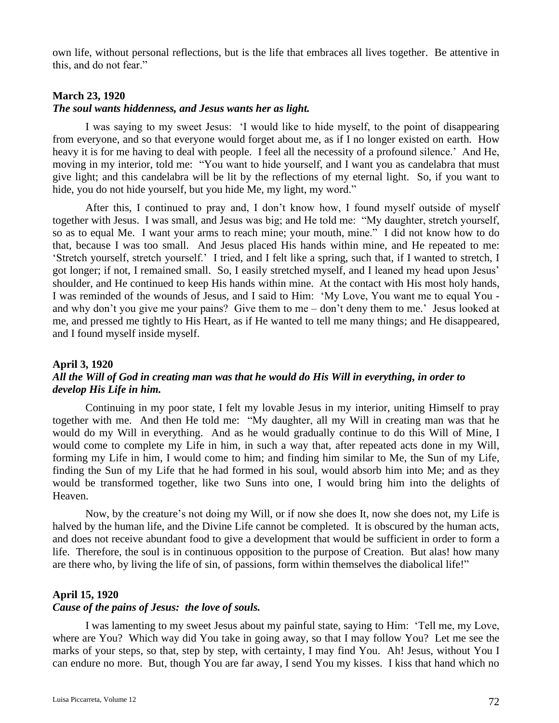own life, without personal reflections, but is the life that embraces all lives together. Be attentive in this, and do not fear."

## **March 23, 1920**

## *The soul wants hiddenness, and Jesus wants her as light.*

I was saying to my sweet Jesus: 'I would like to hide myself, to the point of disappearing from everyone, and so that everyone would forget about me, as if I no longer existed on earth. How heavy it is for me having to deal with people. I feel all the necessity of a profound silence.' And He, moving in my interior, told me: "You want to hide yourself, and I want you as candelabra that must give light; and this candelabra will be lit by the reflections of my eternal light. So, if you want to hide, you do not hide yourself, but you hide Me, my light, my word."

After this, I continued to pray and, I don't know how, I found myself outside of myself together with Jesus. I was small, and Jesus was big; and He told me: "My daughter, stretch yourself, so as to equal Me. I want your arms to reach mine; your mouth, mine." I did not know how to do that, because I was too small. And Jesus placed His hands within mine, and He repeated to me: 'Stretch yourself, stretch yourself.' I tried, and I felt like a spring, such that, if I wanted to stretch, I got longer; if not, I remained small. So, I easily stretched myself, and I leaned my head upon Jesus' shoulder, and He continued to keep His hands within mine. At the contact with His most holy hands, I was reminded of the wounds of Jesus, and I said to Him: 'My Love, You want me to equal You and why don't you give me your pains? Give them to me – don't deny them to me.' Jesus looked at me, and pressed me tightly to His Heart, as if He wanted to tell me many things; and He disappeared, and I found myself inside myself.

# **April 3, 1920**  *All the Will of God in creating man was that he would do His Will in everything, in order to develop His Life in him.*

Continuing in my poor state, I felt my lovable Jesus in my interior, uniting Himself to pray together with me. And then He told me: "My daughter, all my Will in creating man was that he would do my Will in everything. And as he would gradually continue to do this Will of Mine, I would come to complete my Life in him, in such a way that, after repeated acts done in my Will, forming my Life in him, I would come to him; and finding him similar to Me, the Sun of my Life, finding the Sun of my Life that he had formed in his soul, would absorb him into Me; and as they would be transformed together, like two Suns into one, I would bring him into the delights of Heaven.

Now, by the creature's not doing my Will, or if now she does It, now she does not, my Life is halved by the human life, and the Divine Life cannot be completed. It is obscured by the human acts, and does not receive abundant food to give a development that would be sufficient in order to form a life. Therefore, the soul is in continuous opposition to the purpose of Creation. But alas! how many are there who, by living the life of sin, of passions, form within themselves the diabolical life!"

### **April 15, 1920**

## *Cause of the pains of Jesus: the love of souls.*

I was lamenting to my sweet Jesus about my painful state, saying to Him: 'Tell me, my Love, where are You? Which way did You take in going away, so that I may follow You? Let me see the marks of your steps, so that, step by step, with certainty, I may find You. Ah! Jesus, without You I can endure no more. But, though You are far away, I send You my kisses. I kiss that hand which no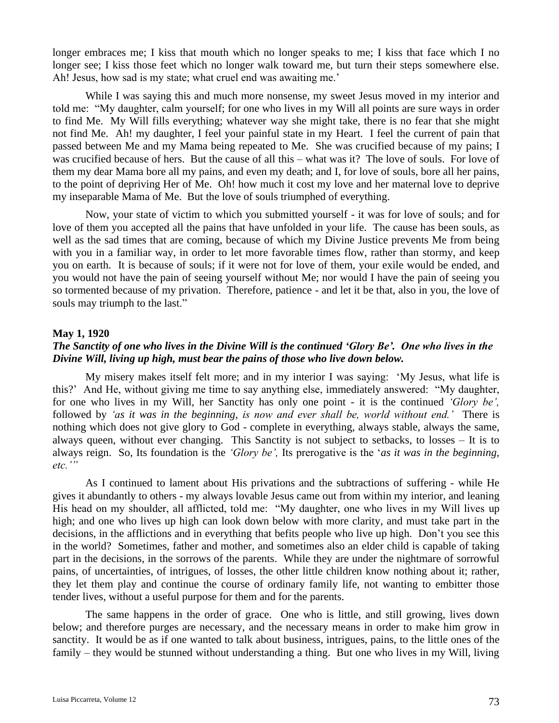longer embraces me; I kiss that mouth which no longer speaks to me; I kiss that face which I no longer see; I kiss those feet which no longer walk toward me, but turn their steps somewhere else. Ah! Jesus, how sad is my state; what cruel end was awaiting me.'

While I was saying this and much more nonsense, my sweet Jesus moved in my interior and told me: "My daughter, calm yourself; for one who lives in my Will all points are sure ways in order to find Me. My Will fills everything; whatever way she might take, there is no fear that she might not find Me. Ah! my daughter, I feel your painful state in my Heart. I feel the current of pain that passed between Me and my Mama being repeated to Me. She was crucified because of my pains; I was crucified because of hers. But the cause of all this – what was it? The love of souls. For love of them my dear Mama bore all my pains, and even my death; and I, for love of souls, bore all her pains, to the point of depriving Her of Me. Oh! how much it cost my love and her maternal love to deprive my inseparable Mama of Me. But the love of souls triumphed of everything.

Now, your state of victim to which you submitted yourself - it was for love of souls; and for love of them you accepted all the pains that have unfolded in your life. The cause has been souls, as well as the sad times that are coming, because of which my Divine Justice prevents Me from being with you in a familiar way, in order to let more favorable times flow, rather than stormy, and keep you on earth. It is because of souls; if it were not for love of them, your exile would be ended, and you would not have the pain of seeing yourself without Me; nor would I have the pain of seeing you so tormented because of my privation. Therefore, patience - and let it be that, also in you, the love of souls may triumph to the last."

### **May 1, 1920**

## *The Sanctity of one who lives in the Divine Will is the continued 'Glory Be'. One who lives in the Divine Will, living up high, must bear the pains of those who live down below.*

My misery makes itself felt more; and in my interior I was saying: 'My Jesus, what life is this?' And He, without giving me time to say anything else, immediately answered: "My daughter, for one who lives in my Will, her Sanctity has only one point - it is the continued *'Glory be',* followed by *'as it was in the beginning, is now and ever shall be, world without end.'* There is nothing which does not give glory to God - complete in everything, always stable, always the same, always queen, without ever changing. This Sanctity is not subject to setbacks, to losses – It is to always reign. So, Its foundation is the *'Glory be',* Its prerogative is the '*as it was in the beginning, etc.'"*

As I continued to lament about His privations and the subtractions of suffering - while He gives it abundantly to others - my always lovable Jesus came out from within my interior, and leaning His head on my shoulder, all afflicted, told me: "My daughter, one who lives in my Will lives up high; and one who lives up high can look down below with more clarity, and must take part in the decisions, in the afflictions and in everything that befits people who live up high. Don't you see this in the world? Sometimes, father and mother, and sometimes also an elder child is capable of taking part in the decisions, in the sorrows of the parents. While they are under the nightmare of sorrowful pains, of uncertainties, of intrigues, of losses, the other little children know nothing about it; rather, they let them play and continue the course of ordinary family life, not wanting to embitter those tender lives, without a useful purpose for them and for the parents.

The same happens in the order of grace. One who is little, and still growing, lives down below; and therefore purges are necessary, and the necessary means in order to make him grow in sanctity. It would be as if one wanted to talk about business, intrigues, pains, to the little ones of the family – they would be stunned without understanding a thing. But one who lives in my Will, living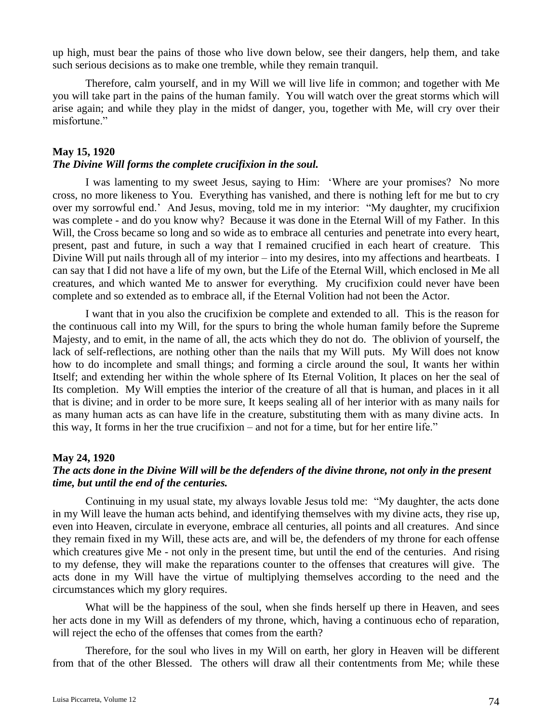up high, must bear the pains of those who live down below, see their dangers, help them, and take such serious decisions as to make one tremble, while they remain tranquil.

Therefore, calm yourself, and in my Will we will live life in common; and together with Me you will take part in the pains of the human family. You will watch over the great storms which will arise again; and while they play in the midst of danger, you, together with Me, will cry over their misfortune."

# **May 15, 1920**

## *The Divine Will forms the complete crucifixion in the soul.*

I was lamenting to my sweet Jesus, saying to Him: 'Where are your promises? No more cross, no more likeness to You. Everything has vanished, and there is nothing left for me but to cry over my sorrowful end.' And Jesus, moving, told me in my interior: "My daughter, my crucifixion was complete - and do you know why? Because it was done in the Eternal Will of my Father. In this Will, the Cross became so long and so wide as to embrace all centuries and penetrate into every heart, present, past and future, in such a way that I remained crucified in each heart of creature. This Divine Will put nails through all of my interior – into my desires, into my affections and heartbeats. I can say that I did not have a life of my own, but the Life of the Eternal Will, which enclosed in Me all creatures, and which wanted Me to answer for everything. My crucifixion could never have been complete and so extended as to embrace all, if the Eternal Volition had not been the Actor.

I want that in you also the crucifixion be complete and extended to all. This is the reason for the continuous call into my Will, for the spurs to bring the whole human family before the Supreme Majesty, and to emit, in the name of all, the acts which they do not do. The oblivion of yourself, the lack of self-reflections, are nothing other than the nails that my Will puts. My Will does not know how to do incomplete and small things; and forming a circle around the soul, It wants her within Itself; and extending her within the whole sphere of Its Eternal Volition, It places on her the seal of Its completion. My Will empties the interior of the creature of all that is human, and places in it all that is divine; and in order to be more sure, It keeps sealing all of her interior with as many nails for as many human acts as can have life in the creature, substituting them with as many divine acts. In this way, It forms in her the true crucifixion – and not for a time, but for her entire life."

#### **May 24, 1920**

# *The acts done in the Divine Will will be the defenders of the divine throne, not only in the present time, but until the end of the centuries.*

Continuing in my usual state, my always lovable Jesus told me: "My daughter, the acts done in my Will leave the human acts behind, and identifying themselves with my divine acts, they rise up, even into Heaven, circulate in everyone, embrace all centuries, all points and all creatures. And since they remain fixed in my Will, these acts are, and will be, the defenders of my throne for each offense which creatures give Me - not only in the present time, but until the end of the centuries. And rising to my defense, they will make the reparations counter to the offenses that creatures will give. The acts done in my Will have the virtue of multiplying themselves according to the need and the circumstances which my glory requires.

What will be the happiness of the soul, when she finds herself up there in Heaven, and sees her acts done in my Will as defenders of my throne, which, having a continuous echo of reparation, will reject the echo of the offenses that comes from the earth?

Therefore, for the soul who lives in my Will on earth, her glory in Heaven will be different from that of the other Blessed. The others will draw all their contentments from Me; while these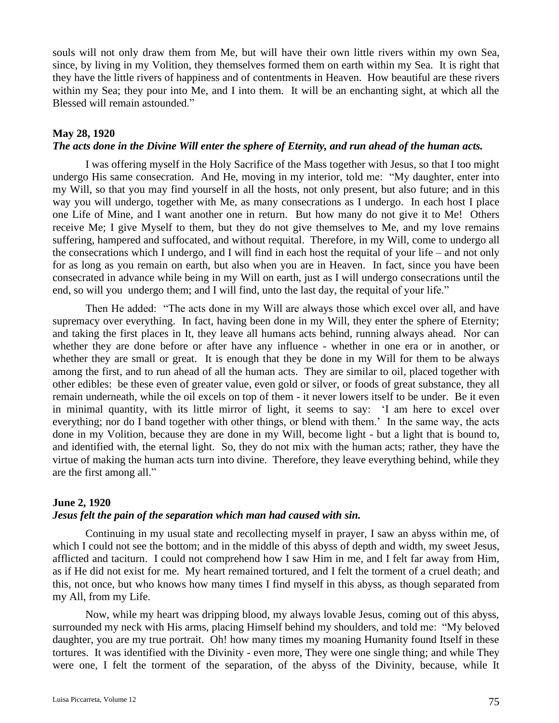souls will not only draw them from Me, but will have their own little rivers within my own Sea, since, by living in my Volition, they themselves formed them on earth within my Sea. It is right that they have the little rivers of happiness and of contentments in Heaven. How beautiful are these rivers within my Sea; they pour into Me, and I into them. It will be an enchanting sight, at which all the Blessed will remain astounded."

### **May 28, 1920**

## *The acts done in the Divine Will enter the sphere of Eternity, and run ahead of the human acts.*

I was offering myself in the Holy Sacrifice of the Mass together with Jesus, so that I too might undergo His same consecration. And He, moving in my interior, told me: "My daughter, enter into my Will, so that you may find yourself in all the hosts, not only present, but also future; and in this way you will undergo, together with Me, as many consecrations as I undergo. In each host I place one Life of Mine, and I want another one in return. But how many do not give it to Me! Others receive Me; I give Myself to them, but they do not give themselves to Me, and my love remains suffering, hampered and suffocated, and without requital. Therefore, in my Will, come to undergo all the consecrations which I undergo, and I will find in each host the requital of your life – and not only for as long as you remain on earth, but also when you are in Heaven. In fact, since you have been consecrated in advance while being in my Will on earth, just as I will undergo consecrations until the end, so will you undergo them; and I will find, unto the last day, the requital of your life."

Then He added: "The acts done in my Will are always those which excel over all, and have supremacy over everything. In fact, having been done in my Will, they enter the sphere of Eternity; and taking the first places in It, they leave all humans acts behind, running always ahead. Nor can whether they are done before or after have any influence - whether in one era or in another, or whether they are small or great. It is enough that they be done in my Will for them to be always among the first, and to run ahead of all the human acts. They are similar to oil, placed together with other edibles: be these even of greater value, even gold or silver, or foods of great substance, they all remain underneath, while the oil excels on top of them - it never lowers itself to be under. Be it even in minimal quantity, with its little mirror of light, it seems to say: 'I am here to excel over everything; nor do I band together with other things, or blend with them.' In the same way, the acts done in my Volition, because they are done in my Will, become light - but a light that is bound to, and identified with, the eternal light. So, they do not mix with the human acts; rather, they have the virtue of making the human acts turn into divine. Therefore, they leave everything behind, while they are the first among all."

### **June 2, 1920**

## *Jesus felt the pain of the separation which man had caused with sin.*

Continuing in my usual state and recollecting myself in prayer, I saw an abyss within me, of which I could not see the bottom; and in the middle of this abyss of depth and width, my sweet Jesus, afflicted and taciturn. I could not comprehend how I saw Him in me, and I felt far away from Him, as if He did not exist for me. My heart remained tortured, and I felt the torment of a cruel death; and this, not once, but who knows how many times I find myself in this abyss, as though separated from my All, from my Life.

Now, while my heart was dripping blood, my always lovable Jesus, coming out of this abyss, surrounded my neck with His arms, placing Himself behind my shoulders, and told me: "My beloved daughter, you are my true portrait. Oh! how many times my moaning Humanity found Itself in these tortures. It was identified with the Divinity - even more, They were one single thing; and while They were one, I felt the torment of the separation, of the abyss of the Divinity, because, while It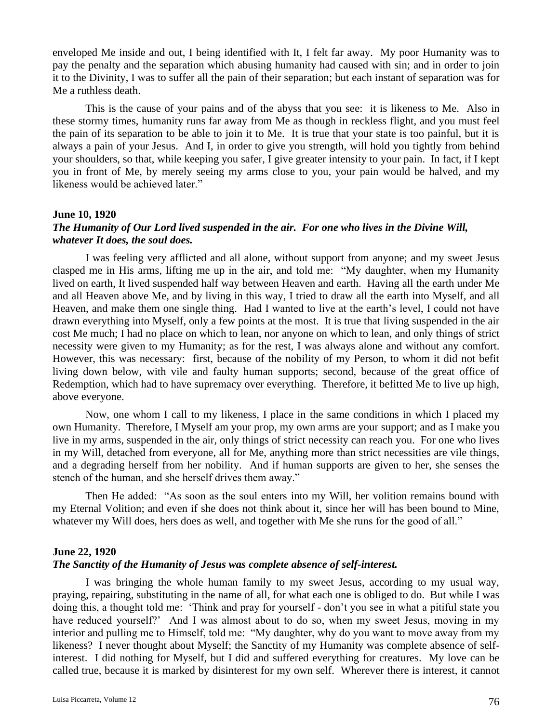enveloped Me inside and out, I being identified with It, I felt far away. My poor Humanity was to pay the penalty and the separation which abusing humanity had caused with sin; and in order to join it to the Divinity, I was to suffer all the pain of their separation; but each instant of separation was for Me a ruthless death.

This is the cause of your pains and of the abyss that you see: it is likeness to Me. Also in these stormy times, humanity runs far away from Me as though in reckless flight, and you must feel the pain of its separation to be able to join it to Me. It is true that your state is too painful, but it is always a pain of your Jesus. And I, in order to give you strength, will hold you tightly from behind your shoulders, so that, while keeping you safer, I give greater intensity to your pain. In fact, if I kept you in front of Me, by merely seeing my arms close to you, your pain would be halved, and my likeness would be achieved later."

### **June 10, 1920**

# *The Humanity of Our Lord lived suspended in the air. For one who lives in the Divine Will, whatever It does, the soul does.*

I was feeling very afflicted and all alone, without support from anyone; and my sweet Jesus clasped me in His arms, lifting me up in the air, and told me: "My daughter, when my Humanity lived on earth, It lived suspended half way between Heaven and earth. Having all the earth under Me and all Heaven above Me, and by living in this way, I tried to draw all the earth into Myself, and all Heaven, and make them one single thing. Had I wanted to live at the earth's level, I could not have drawn everything into Myself, only a few points at the most. It is true that living suspended in the air cost Me much; I had no place on which to lean, nor anyone on which to lean, and only things of strict necessity were given to my Humanity; as for the rest, I was always alone and without any comfort. However, this was necessary: first, because of the nobility of my Person, to whom it did not befit living down below, with vile and faulty human supports; second, because of the great office of Redemption, which had to have supremacy over everything. Therefore, it befitted Me to live up high, above everyone.

Now, one whom I call to my likeness, I place in the same conditions in which I placed my own Humanity. Therefore, I Myself am your prop, my own arms are your support; and as I make you live in my arms, suspended in the air, only things of strict necessity can reach you. For one who lives in my Will, detached from everyone, all for Me, anything more than strict necessities are vile things, and a degrading herself from her nobility. And if human supports are given to her, she senses the stench of the human, and she herself drives them away."

Then He added: "As soon as the soul enters into my Will, her volition remains bound with my Eternal Volition; and even if she does not think about it, since her will has been bound to Mine, whatever my Will does, hers does as well, and together with Me she runs for the good of all."

### **June 22, 1920**

## *The Sanctity of the Humanity of Jesus was complete absence of self-interest.*

I was bringing the whole human family to my sweet Jesus, according to my usual way, praying, repairing, substituting in the name of all, for what each one is obliged to do. But while I was doing this, a thought told me: 'Think and pray for yourself - don't you see in what a pitiful state you have reduced yourself?' And I was almost about to do so, when my sweet Jesus, moving in my interior and pulling me to Himself, told me: "My daughter, why do you want to move away from my likeness? I never thought about Myself; the Sanctity of my Humanity was complete absence of selfinterest. I did nothing for Myself, but I did and suffered everything for creatures. My love can be called true, because it is marked by disinterest for my own self. Wherever there is interest, it cannot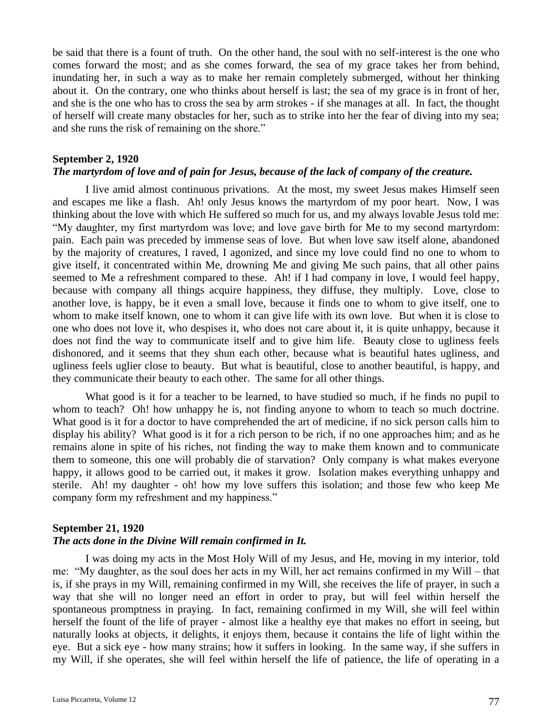be said that there is a fount of truth. On the other hand, the soul with no self-interest is the one who comes forward the most; and as she comes forward, the sea of my grace takes her from behind, inundating her, in such a way as to make her remain completely submerged, without her thinking about it. On the contrary, one who thinks about herself is last; the sea of my grace is in front of her, and she is the one who has to cross the sea by arm strokes - if she manages at all. In fact, the thought of herself will create many obstacles for her, such as to strike into her the fear of diving into my sea; and she runs the risk of remaining on the shore."

### **September 2, 1920**

## *The martyrdom of love and of pain for Jesus, because of the lack of company of the creature.*

I live amid almost continuous privations. At the most, my sweet Jesus makes Himself seen and escapes me like a flash. Ah! only Jesus knows the martyrdom of my poor heart. Now, I was thinking about the love with which He suffered so much for us, and my always lovable Jesus told me: "My daughter, my first martyrdom was love; and love gave birth for Me to my second martyrdom: pain. Each pain was preceded by immense seas of love. But when love saw itself alone, abandoned by the majority of creatures, I raved, I agonized, and since my love could find no one to whom to give itself, it concentrated within Me, drowning Me and giving Me such pains, that all other pains seemed to Me a refreshment compared to these. Ah! if I had company in love, I would feel happy, because with company all things acquire happiness, they diffuse, they multiply. Love, close to another love, is happy, be it even a small love, because it finds one to whom to give itself, one to whom to make itself known, one to whom it can give life with its own love. But when it is close to one who does not love it, who despises it, who does not care about it, it is quite unhappy, because it does not find the way to communicate itself and to give him life. Beauty close to ugliness feels dishonored, and it seems that they shun each other, because what is beautiful hates ugliness, and ugliness feels uglier close to beauty. But what is beautiful, close to another beautiful, is happy, and they communicate their beauty to each other. The same for all other things.

What good is it for a teacher to be learned, to have studied so much, if he finds no pupil to whom to teach? Oh! how unhappy he is, not finding anyone to whom to teach so much doctrine. What good is it for a doctor to have comprehended the art of medicine, if no sick person calls him to display his ability? What good is it for a rich person to be rich, if no one approaches him; and as he remains alone in spite of his riches, not finding the way to make them known and to communicate them to someone, this one will probably die of starvation? Only company is what makes everyone happy, it allows good to be carried out, it makes it grow. Isolation makes everything unhappy and sterile. Ah! my daughter - oh! how my love suffers this isolation; and those few who keep Me company form my refreshment and my happiness."

### **September 21, 1920**

### *The acts done in the Divine Will remain confirmed in It.*

I was doing my acts in the Most Holy Will of my Jesus, and He, moving in my interior, told me: "My daughter, as the soul does her acts in my Will, her act remains confirmed in my Will – that is, if she prays in my Will, remaining confirmed in my Will, she receives the life of prayer, in such a way that she will no longer need an effort in order to pray, but will feel within herself the spontaneous promptness in praying. In fact, remaining confirmed in my Will, she will feel within herself the fount of the life of prayer - almost like a healthy eye that makes no effort in seeing, but naturally looks at objects, it delights, it enjoys them, because it contains the life of light within the eye. But a sick eye - how many strains; how it suffers in looking. In the same way, if she suffers in my Will, if she operates, she will feel within herself the life of patience, the life of operating in a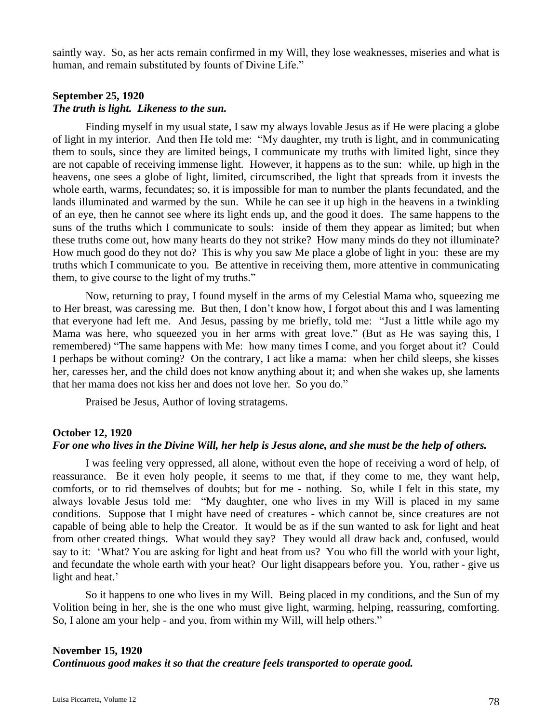saintly way. So, as her acts remain confirmed in my Will, they lose weaknesses, miseries and what is human, and remain substituted by founts of Divine Life."

# **September 25, 1920**  *The truth is light. Likeness to the sun.*

Finding myself in my usual state, I saw my always lovable Jesus as if He were placing a globe of light in my interior. And then He told me: "My daughter, my truth is light, and in communicating them to souls, since they are limited beings, I communicate my truths with limited light, since they are not capable of receiving immense light. However, it happens as to the sun: while, up high in the heavens, one sees a globe of light, limited, circumscribed, the light that spreads from it invests the whole earth, warms, fecundates; so, it is impossible for man to number the plants fecundated, and the lands illuminated and warmed by the sun. While he can see it up high in the heavens in a twinkling of an eye, then he cannot see where its light ends up, and the good it does. The same happens to the suns of the truths which I communicate to souls: inside of them they appear as limited; but when these truths come out, how many hearts do they not strike? How many minds do they not illuminate? How much good do they not do? This is why you saw Me place a globe of light in you: these are my truths which I communicate to you. Be attentive in receiving them, more attentive in communicating them, to give course to the light of my truths."

Now, returning to pray, I found myself in the arms of my Celestial Mama who, squeezing me to Her breast, was caressing me. But then, I don't know how, I forgot about this and I was lamenting that everyone had left me. And Jesus, passing by me briefly, told me: "Just a little while ago my Mama was here, who squeezed you in her arms with great love." (But as He was saying this, I remembered) "The same happens with Me: how many times I come, and you forget about it? Could I perhaps be without coming? On the contrary, I act like a mama: when her child sleeps, she kisses her, caresses her, and the child does not know anything about it; and when she wakes up, she laments that her mama does not kiss her and does not love her. So you do."

Praised be Jesus, Author of loving stratagems.

## **October 12, 1920**

## *For one who lives in the Divine Will, her help is Jesus alone, and she must be the help of others.*

I was feeling very oppressed, all alone, without even the hope of receiving a word of help, of reassurance. Be it even holy people, it seems to me that, if they come to me, they want help, comforts, or to rid themselves of doubts; but for me - nothing. So, while I felt in this state, my always lovable Jesus told me: "My daughter, one who lives in my Will is placed in my same conditions. Suppose that I might have need of creatures - which cannot be, since creatures are not capable of being able to help the Creator. It would be as if the sun wanted to ask for light and heat from other created things. What would they say? They would all draw back and, confused, would say to it: 'What? You are asking for light and heat from us? You who fill the world with your light, and fecundate the whole earth with your heat? Our light disappears before you. You, rather - give us light and heat.'

So it happens to one who lives in my Will. Being placed in my conditions, and the Sun of my Volition being in her, she is the one who must give light, warming, helping, reassuring, comforting. So, I alone am your help - and you, from within my Will, will help others."

# **November 15, 1920**  *Continuous good makes it so that the creature feels transported to operate good.*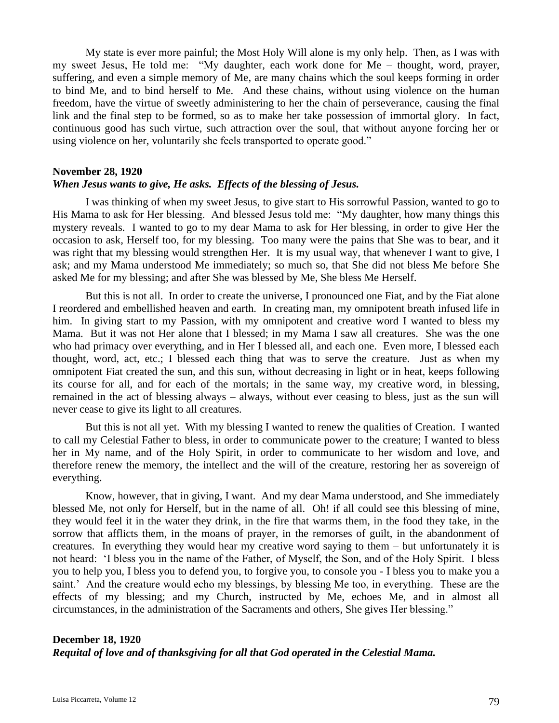My state is ever more painful; the Most Holy Will alone is my only help. Then, as I was with my sweet Jesus, He told me: "My daughter, each work done for Me – thought, word, prayer, suffering, and even a simple memory of Me, are many chains which the soul keeps forming in order to bind Me, and to bind herself to Me. And these chains, without using violence on the human freedom, have the virtue of sweetly administering to her the chain of perseverance, causing the final link and the final step to be formed, so as to make her take possession of immortal glory. In fact, continuous good has such virtue, such attraction over the soul, that without anyone forcing her or using violence on her, voluntarily she feels transported to operate good."

### **November 28, 1920**

## *When Jesus wants to give, He asks. Effects of the blessing of Jesus.*

I was thinking of when my sweet Jesus, to give start to His sorrowful Passion, wanted to go to His Mama to ask for Her blessing. And blessed Jesus told me: "My daughter, how many things this mystery reveals. I wanted to go to my dear Mama to ask for Her blessing, in order to give Her the occasion to ask, Herself too, for my blessing. Too many were the pains that She was to bear, and it was right that my blessing would strengthen Her. It is my usual way, that whenever I want to give, I ask; and my Mama understood Me immediately; so much so, that She did not bless Me before She asked Me for my blessing; and after She was blessed by Me, She bless Me Herself.

But this is not all. In order to create the universe, I pronounced one Fiat, and by the Fiat alone I reordered and embellished heaven and earth. In creating man, my omnipotent breath infused life in him. In giving start to my Passion, with my omnipotent and creative word I wanted to bless my Mama. But it was not Her alone that I blessed; in my Mama I saw all creatures. She was the one who had primacy over everything, and in Her I blessed all, and each one. Even more, I blessed each thought, word, act, etc.; I blessed each thing that was to serve the creature. Just as when my omnipotent Fiat created the sun, and this sun, without decreasing in light or in heat, keeps following its course for all, and for each of the mortals; in the same way, my creative word, in blessing, remained in the act of blessing always – always, without ever ceasing to bless, just as the sun will never cease to give its light to all creatures.

But this is not all yet. With my blessing I wanted to renew the qualities of Creation. I wanted to call my Celestial Father to bless, in order to communicate power to the creature; I wanted to bless her in My name, and of the Holy Spirit, in order to communicate to her wisdom and love, and therefore renew the memory, the intellect and the will of the creature, restoring her as sovereign of everything.

Know, however, that in giving, I want. And my dear Mama understood, and She immediately blessed Me, not only for Herself, but in the name of all. Oh! if all could see this blessing of mine, they would feel it in the water they drink, in the fire that warms them, in the food they take, in the sorrow that afflicts them, in the moans of prayer, in the remorses of guilt, in the abandonment of creatures. In everything they would hear my creative word saying to them – but unfortunately it is not heard: 'I bless you in the name of the Father, of Myself, the Son, and of the Holy Spirit. I bless you to help you, I bless you to defend you, to forgive you, to console you - I bless you to make you a saint.' And the creature would echo my blessings, by blessing Me too, in everything. These are the effects of my blessing; and my Church, instructed by Me, echoes Me, and in almost all circumstances, in the administration of the Sacraments and others, She gives Her blessing."

# **December 18, 1920**  *Requital of love and of thanksgiving for all that God operated in the Celestial Mama.*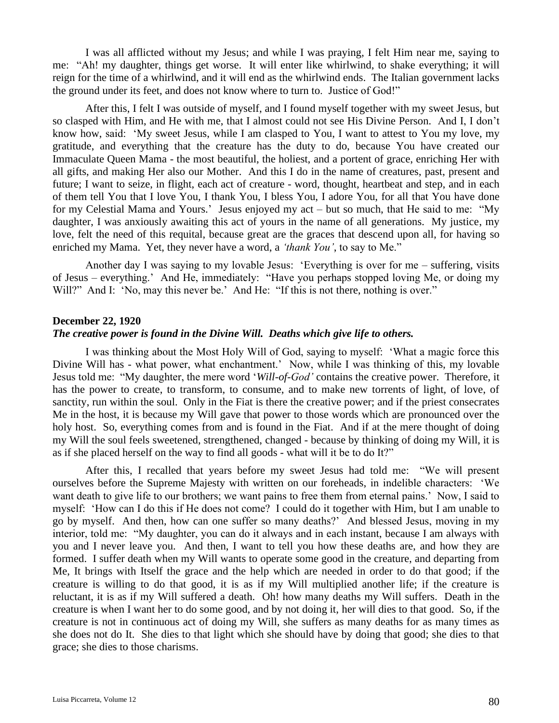I was all afflicted without my Jesus; and while I was praying, I felt Him near me, saying to me: "Ah! my daughter, things get worse. It will enter like whirlwind, to shake everything; it will reign for the time of a whirlwind, and it will end as the whirlwind ends. The Italian government lacks the ground under its feet, and does not know where to turn to. Justice of God!"

After this, I felt I was outside of myself, and I found myself together with my sweet Jesus, but so clasped with Him, and He with me, that I almost could not see His Divine Person. And I, I don't know how, said: 'My sweet Jesus, while I am clasped to You, I want to attest to You my love, my gratitude, and everything that the creature has the duty to do, because You have created our Immaculate Queen Mama - the most beautiful, the holiest, and a portent of grace, enriching Her with all gifts, and making Her also our Mother. And this I do in the name of creatures, past, present and future; I want to seize, in flight, each act of creature - word, thought, heartbeat and step, and in each of them tell You that I love You, I thank You, I bless You, I adore You, for all that You have done for my Celestial Mama and Yours.' Jesus enjoyed my act – but so much, that He said to me: "My daughter, I was anxiously awaiting this act of yours in the name of all generations. My justice, my love, felt the need of this requital, because great are the graces that descend upon all, for having so enriched my Mama. Yet, they never have a word, a *'thank You'*, to say to Me."

Another day I was saying to my lovable Jesus: 'Everything is over for me – suffering, visits of Jesus – everything.' And He, immediately: "Have you perhaps stopped loving Me, or doing my Will?" And I: 'No, may this never be.' And He: "If this is not there, nothing is over."

### **December 22, 1920**

### *The creative power is found in the Divine Will. Deaths which give life to others.*

I was thinking about the Most Holy Will of God, saying to myself: 'What a magic force this Divine Will has - what power, what enchantment.' Now, while I was thinking of this, my lovable Jesus told me: "My daughter, the mere word '*Will-of-God'* contains the creative power. Therefore, it has the power to create, to transform, to consume, and to make new torrents of light, of love, of sanctity, run within the soul. Only in the Fiat is there the creative power; and if the priest consecrates Me in the host, it is because my Will gave that power to those words which are pronounced over the holy host. So, everything comes from and is found in the Fiat. And if at the mere thought of doing my Will the soul feels sweetened, strengthened, changed - because by thinking of doing my Will, it is as if she placed herself on the way to find all goods - what will it be to do It?"

After this, I recalled that years before my sweet Jesus had told me: "We will present ourselves before the Supreme Majesty with written on our foreheads, in indelible characters: 'We want death to give life to our brothers; we want pains to free them from eternal pains.' Now, I said to myself: 'How can I do this if He does not come? I could do it together with Him, but I am unable to go by myself. And then, how can one suffer so many deaths?' And blessed Jesus, moving in my interior, told me: "My daughter, you can do it always and in each instant, because I am always with you and I never leave you. And then, I want to tell you how these deaths are, and how they are formed. I suffer death when my Will wants to operate some good in the creature, and departing from Me, It brings with Itself the grace and the help which are needed in order to do that good; if the creature is willing to do that good, it is as if my Will multiplied another life; if the creature is reluctant, it is as if my Will suffered a death. Oh! how many deaths my Will suffers. Death in the creature is when I want her to do some good, and by not doing it, her will dies to that good. So, if the creature is not in continuous act of doing my Will, she suffers as many deaths for as many times as she does not do It. She dies to that light which she should have by doing that good; she dies to that grace; she dies to those charisms.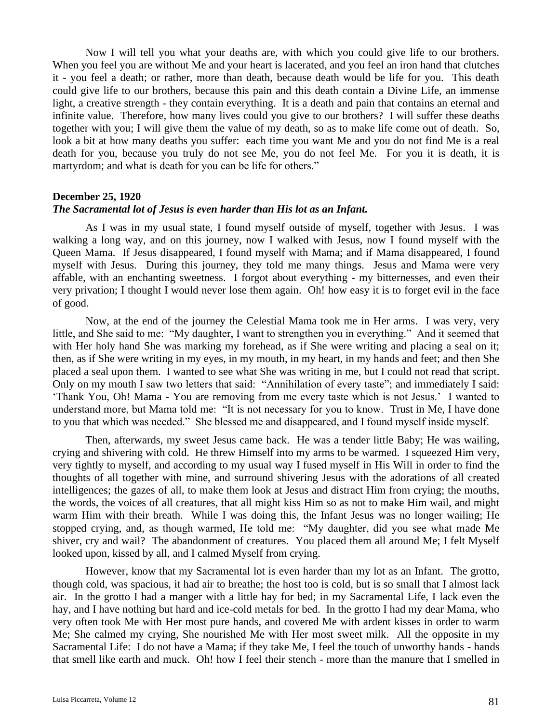Now I will tell you what your deaths are, with which you could give life to our brothers. When you feel you are without Me and your heart is lacerated, and you feel an iron hand that clutches it - you feel a death; or rather, more than death, because death would be life for you. This death could give life to our brothers, because this pain and this death contain a Divine Life, an immense light, a creative strength - they contain everything. It is a death and pain that contains an eternal and infinite value. Therefore, how many lives could you give to our brothers? I will suffer these deaths together with you; I will give them the value of my death, so as to make life come out of death. So, look a bit at how many deaths you suffer: each time you want Me and you do not find Me is a real death for you, because you truly do not see Me, you do not feel Me. For you it is death, it is martyrdom; and what is death for you can be life for others."

#### **December 25, 1920**

#### *The Sacramental lot of Jesus is even harder than His lot as an Infant.*

As I was in my usual state, I found myself outside of myself, together with Jesus. I was walking a long way, and on this journey, now I walked with Jesus, now I found myself with the Queen Mama. If Jesus disappeared, I found myself with Mama; and if Mama disappeared, I found myself with Jesus. During this journey, they told me many things. Jesus and Mama were very affable, with an enchanting sweetness. I forgot about everything - my bitternesses, and even their very privation; I thought I would never lose them again. Oh! how easy it is to forget evil in the face of good.

Now, at the end of the journey the Celestial Mama took me in Her arms. I was very, very little, and She said to me: "My daughter, I want to strengthen you in everything." And it seemed that with Her holy hand She was marking my forehead, as if She were writing and placing a seal on it; then, as if She were writing in my eyes, in my mouth, in my heart, in my hands and feet; and then She placed a seal upon them. I wanted to see what She was writing in me, but I could not read that script. Only on my mouth I saw two letters that said: "Annihilation of every taste"; and immediately I said: 'Thank You, Oh! Mama - You are removing from me every taste which is not Jesus.' I wanted to understand more, but Mama told me: "It is not necessary for you to know. Trust in Me, I have done to you that which was needed." She blessed me and disappeared, and I found myself inside myself.

Then, afterwards, my sweet Jesus came back. He was a tender little Baby; He was wailing, crying and shivering with cold. He threw Himself into my arms to be warmed. I squeezed Him very, very tightly to myself, and according to my usual way I fused myself in His Will in order to find the thoughts of all together with mine, and surround shivering Jesus with the adorations of all created intelligences; the gazes of all, to make them look at Jesus and distract Him from crying; the mouths, the words, the voices of all creatures, that all might kiss Him so as not to make Him wail, and might warm Him with their breath. While I was doing this, the Infant Jesus was no longer wailing; He stopped crying, and, as though warmed, He told me: "My daughter, did you see what made Me shiver, cry and wail? The abandonment of creatures. You placed them all around Me; I felt Myself looked upon, kissed by all, and I calmed Myself from crying.

However, know that my Sacramental lot is even harder than my lot as an Infant. The grotto, though cold, was spacious, it had air to breathe; the host too is cold, but is so small that I almost lack air. In the grotto I had a manger with a little hay for bed; in my Sacramental Life, I lack even the hay, and I have nothing but hard and ice-cold metals for bed. In the grotto I had my dear Mama, who very often took Me with Her most pure hands, and covered Me with ardent kisses in order to warm Me; She calmed my crying, She nourished Me with Her most sweet milk. All the opposite in my Sacramental Life: I do not have a Mama; if they take Me, I feel the touch of unworthy hands - hands that smell like earth and muck. Oh! how I feel their stench - more than the manure that I smelled in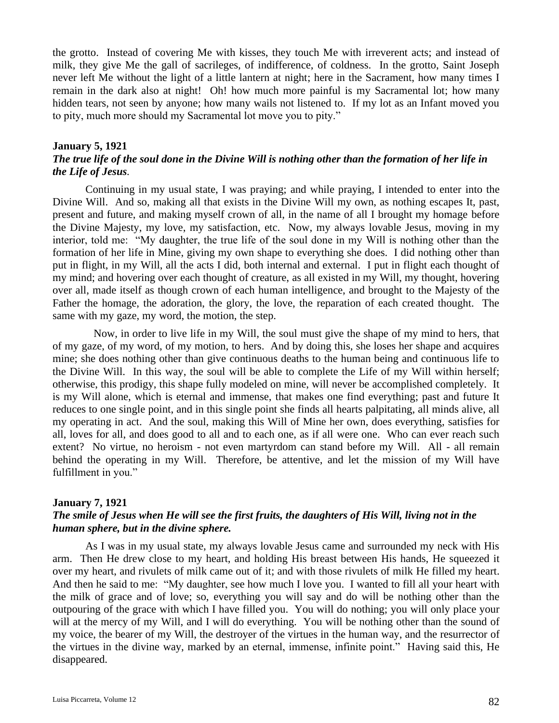the grotto. Instead of covering Me with kisses, they touch Me with irreverent acts; and instead of milk, they give Me the gall of sacrileges, of indifference, of coldness. In the grotto, Saint Joseph never left Me without the light of a little lantern at night; here in the Sacrament, how many times I remain in the dark also at night! Oh! how much more painful is my Sacramental lot; how many hidden tears, not seen by anyone; how many wails not listened to. If my lot as an Infant moved you to pity, much more should my Sacramental lot move you to pity."

## **January 5, 1921**

# *The true life of the soul done in the Divine Will is nothing other than the formation of her life in the Life of Jesus.*

Continuing in my usual state, I was praying; and while praying, I intended to enter into the Divine Will. And so, making all that exists in the Divine Will my own, as nothing escapes It, past, present and future, and making myself crown of all, in the name of all I brought my homage before the Divine Majesty, my love, my satisfaction, etc. Now, my always lovable Jesus, moving in my interior, told me: "My daughter, the true life of the soul done in my Will is nothing other than the formation of her life in Mine, giving my own shape to everything she does. I did nothing other than put in flight, in my Will, all the acts I did, both internal and external. I put in flight each thought of my mind; and hovering over each thought of creature, as all existed in my Will, my thought, hovering over all, made itself as though crown of each human intelligence, and brought to the Majesty of the Father the homage, the adoration, the glory, the love, the reparation of each created thought. The same with my gaze, my word, the motion, the step.

 Now, in order to live life in my Will, the soul must give the shape of my mind to hers, that of my gaze, of my word, of my motion, to hers. And by doing this, she loses her shape and acquires mine; she does nothing other than give continuous deaths to the human being and continuous life to the Divine Will. In this way, the soul will be able to complete the Life of my Will within herself; otherwise, this prodigy, this shape fully modeled on mine, will never be accomplished completely. It is my Will alone, which is eternal and immense, that makes one find everything; past and future It reduces to one single point, and in this single point she finds all hearts palpitating, all minds alive, all my operating in act. And the soul, making this Will of Mine her own, does everything, satisfies for all, loves for all, and does good to all and to each one, as if all were one. Who can ever reach such extent? No virtue, no heroism - not even martyrdom can stand before my Will. All - all remain behind the operating in my Will. Therefore, be attentive, and let the mission of my Will have fulfillment in you."

## **January 7, 1921**

# *The smile of Jesus when He will see the first fruits, the daughters of His Will, living not in the human sphere, but in the divine sphere.*

As I was in my usual state, my always lovable Jesus came and surrounded my neck with His arm. Then He drew close to my heart, and holding His breast between His hands, He squeezed it over my heart, and rivulets of milk came out of it; and with those rivulets of milk He filled my heart. And then he said to me: "My daughter, see how much I love you. I wanted to fill all your heart with the milk of grace and of love; so, everything you will say and do will be nothing other than the outpouring of the grace with which I have filled you. You will do nothing; you will only place your will at the mercy of my Will, and I will do everything. You will be nothing other than the sound of my voice, the bearer of my Will, the destroyer of the virtues in the human way, and the resurrector of the virtues in the divine way, marked by an eternal, immense, infinite point." Having said this, He disappeared.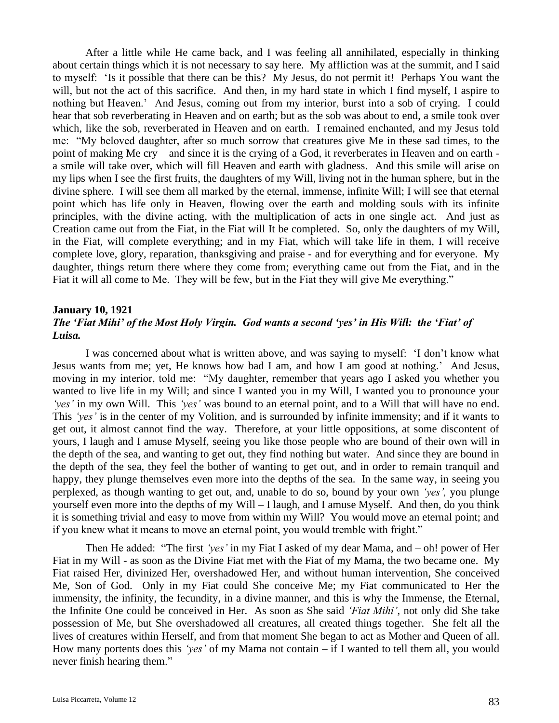After a little while He came back, and I was feeling all annihilated, especially in thinking about certain things which it is not necessary to say here. My affliction was at the summit, and I said to myself: 'Is it possible that there can be this? My Jesus, do not permit it! Perhaps You want the will, but not the act of this sacrifice. And then, in my hard state in which I find myself, I aspire to nothing but Heaven.' And Jesus, coming out from my interior, burst into a sob of crying. I could hear that sob reverberating in Heaven and on earth; but as the sob was about to end, a smile took over which, like the sob, reverberated in Heaven and on earth. I remained enchanted, and my Jesus told me: "My beloved daughter, after so much sorrow that creatures give Me in these sad times, to the point of making Me cry – and since it is the crying of a God, it reverberates in Heaven and on earth a smile will take over, which will fill Heaven and earth with gladness. And this smile will arise on my lips when I see the first fruits, the daughters of my Will, living not in the human sphere, but in the divine sphere. I will see them all marked by the eternal, immense, infinite Will; I will see that eternal point which has life only in Heaven, flowing over the earth and molding souls with its infinite principles, with the divine acting, with the multiplication of acts in one single act. And just as Creation came out from the Fiat, in the Fiat will It be completed. So, only the daughters of my Will, in the Fiat, will complete everything; and in my Fiat, which will take life in them, I will receive complete love, glory, reparation, thanksgiving and praise - and for everything and for everyone. My daughter, things return there where they come from; everything came out from the Fiat, and in the Fiat it will all come to Me. They will be few, but in the Fiat they will give Me everything."

#### **January 10, 1921**

# *The 'Fiat Mihi' of the Most Holy Virgin. God wants a second 'yes' in His Will: the 'Fiat' of Luisa.*

I was concerned about what is written above, and was saying to myself: 'I don't know what Jesus wants from me; yet, He knows how bad I am, and how I am good at nothing.' And Jesus, moving in my interior, told me: "My daughter, remember that years ago I asked you whether you wanted to live life in my Will; and since I wanted you in my Will, I wanted you to pronounce your *'yes'* in my own Will. This *'yes'* was bound to an eternal point, and to a Will that will have no end. This *'yes'* is in the center of my Volition, and is surrounded by infinite immensity; and if it wants to get out, it almost cannot find the way. Therefore, at your little oppositions, at some discontent of yours, I laugh and I amuse Myself, seeing you like those people who are bound of their own will in the depth of the sea, and wanting to get out, they find nothing but water. And since they are bound in the depth of the sea, they feel the bother of wanting to get out, and in order to remain tranquil and happy, they plunge themselves even more into the depths of the sea. In the same way, in seeing you perplexed, as though wanting to get out, and, unable to do so, bound by your own *'yes',* you plunge yourself even more into the depths of my Will – I laugh, and I amuse Myself. And then, do you think it is something trivial and easy to move from within my Will? You would move an eternal point; and if you knew what it means to move an eternal point, you would tremble with fright."

Then He added: "The first *'yes'* in my Fiat I asked of my dear Mama, and – oh! power of Her Fiat in my Will - as soon as the Divine Fiat met with the Fiat of my Mama, the two became one. My Fiat raised Her, divinized Her, overshadowed Her, and without human intervention, She conceived Me, Son of God. Only in my Fiat could She conceive Me; my Fiat communicated to Her the immensity, the infinity, the fecundity, in a divine manner, and this is why the Immense, the Eternal, the Infinite One could be conceived in Her. As soon as She said *'Fiat Mihi'*, not only did She take possession of Me, but She overshadowed all creatures, all created things together. She felt all the lives of creatures within Herself, and from that moment She began to act as Mother and Queen of all. How many portents does this *'yes'* of my Mama not contain – if I wanted to tell them all, you would never finish hearing them."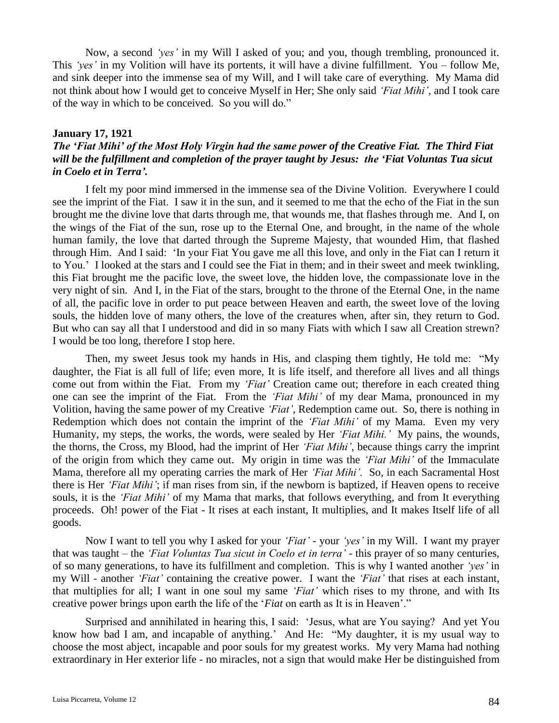Now, a second *'yes'* in my Will I asked of you; and you, though trembling, pronounced it. This *'yes'* in my Volition will have its portents, it will have a divine fulfillment. You – follow Me, and sink deeper into the immense sea of my Will, and I will take care of everything. My Mama did not think about how I would get to conceive Myself in Her; She only said *'Fiat Mihi'*, and I took care of the way in which to be conceived. So you will do."

### **January 17, 1921**

# *The 'Fiat Mihi' of the Most Holy Virgin had the same power of the Creative Fiat. The Third Fiat will be the fulfillment and completion of the prayer taught by Jesus: the 'Fiat Voluntas Tua sicut in Coelo et in Terra'.*

I felt my poor mind immersed in the immense sea of the Divine Volition. Everywhere I could see the imprint of the Fiat. I saw it in the sun, and it seemed to me that the echo of the Fiat in the sun brought me the divine love that darts through me, that wounds me, that flashes through me. And I, on the wings of the Fiat of the sun, rose up to the Eternal One, and brought, in the name of the whole human family, the love that darted through the Supreme Majesty, that wounded Him, that flashed through Him. And I said: 'In your Fiat You gave me all this love, and only in the Fiat can I return it to You.' I looked at the stars and I could see the Fiat in them; and in their sweet and meek twinkling, this Fiat brought me the pacific love, the sweet love, the hidden love, the compassionate love in the very night of sin. And I, in the Fiat of the stars, brought to the throne of the Eternal One, in the name of all, the pacific love in order to put peace between Heaven and earth, the sweet love of the loving souls, the hidden love of many others, the love of the creatures when, after sin, they return to God. But who can say all that I understood and did in so many Fiats with which I saw all Creation strewn? I would be too long, therefore I stop here.

Then, my sweet Jesus took my hands in His, and clasping them tightly, He told me: "My daughter, the Fiat is all full of life; even more, It is life itself, and therefore all lives and all things come out from within the Fiat. From my *'Fiat'* Creation came out; therefore in each created thing one can see the imprint of the Fiat. From the *'Fiat Mihi'* of my dear Mama, pronounced in my Volition, having the same power of my Creative *'Fiat'*, Redemption came out. So, there is nothing in Redemption which does not contain the imprint of the *'Fiat Mihi'* of my Mama. Even my very Humanity, my steps, the works, the words, were sealed by Her *'Fiat Mihi.'* My pains, the wounds, the thorns, the Cross, my Blood, had the imprint of Her *'Fiat Mihi'*, because things carry the imprint of the origin from which they came out. My origin in time was the *'Fiat Mihi'* of the Immaculate Mama, therefore all my operating carries the mark of Her *'Fiat Mihi'.* So, in each Sacramental Host there is Her *'Fiat Mihi'*; if man rises from sin, if the newborn is baptized, if Heaven opens to receive souls, it is the *'Fiat Mihi'* of my Mama that marks, that follows everything, and from It everything proceeds. Oh! power of the Fiat - It rises at each instant, It multiplies, and It makes Itself life of all goods.

Now I want to tell you why I asked for your *'Fiat'* - your *'yes'* in my Will. I want my prayer that was taught – the *'Fiat Voluntas Tua sicut in Coelo et in terra'* - this prayer of so many centuries, of so many generations, to have its fulfillment and completion. This is why I wanted another *'yes'* in my Will - another *'Fiat'* containing the creative power. I want the *'Fiat'* that rises at each instant, that multiplies for all; I want in one soul my same *'Fiat'* which rises to my throne, and with Its creative power brings upon earth the life of the '*Fiat* on earth as It is in Heaven'."

Surprised and annihilated in hearing this, I said: 'Jesus, what are You saying? And yet You know how bad I am, and incapable of anything.' And He: "My daughter, it is my usual way to choose the most abject, incapable and poor souls for my greatest works. My very Mama had nothing extraordinary in Her exterior life - no miracles, not a sign that would make Her be distinguished from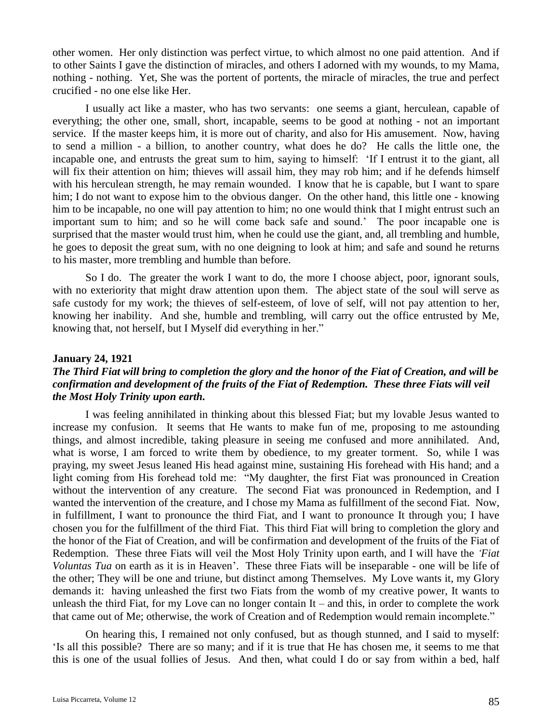other women. Her only distinction was perfect virtue, to which almost no one paid attention. And if to other Saints I gave the distinction of miracles, and others I adorned with my wounds, to my Mama, nothing - nothing. Yet, She was the portent of portents, the miracle of miracles, the true and perfect crucified - no one else like Her.

I usually act like a master, who has two servants: one seems a giant, herculean, capable of everything; the other one, small, short, incapable, seems to be good at nothing - not an important service. If the master keeps him, it is more out of charity, and also for His amusement. Now, having to send a million - a billion, to another country, what does he do? He calls the little one, the incapable one, and entrusts the great sum to him, saying to himself: 'If I entrust it to the giant, all will fix their attention on him; thieves will assail him, they may rob him; and if he defends himself with his herculean strength, he may remain wounded. I know that he is capable, but I want to spare him; I do not want to expose him to the obvious danger. On the other hand, this little one - knowing him to be incapable, no one will pay attention to him; no one would think that I might entrust such an important sum to him; and so he will come back safe and sound.' The poor incapable one is surprised that the master would trust him, when he could use the giant, and, all trembling and humble, he goes to deposit the great sum, with no one deigning to look at him; and safe and sound he returns to his master, more trembling and humble than before.

So I do. The greater the work I want to do, the more I choose abject, poor, ignorant souls, with no exteriority that might draw attention upon them. The abject state of the soul will serve as safe custody for my work; the thieves of self-esteem, of love of self, will not pay attention to her, knowing her inability. And she, humble and trembling, will carry out the office entrusted by Me, knowing that, not herself, but I Myself did everything in her."

### **January 24, 1921**

# *The Third Fiat will bring to completion the glory and the honor of the Fiat of Creation, and will be confirmation and development of the fruits of the Fiat of Redemption. These three Fiats will veil the Most Holy Trinity upon earth.*

I was feeling annihilated in thinking about this blessed Fiat; but my lovable Jesus wanted to increase my confusion. It seems that He wants to make fun of me, proposing to me astounding things, and almost incredible, taking pleasure in seeing me confused and more annihilated. And, what is worse, I am forced to write them by obedience, to my greater torment. So, while I was praying, my sweet Jesus leaned His head against mine, sustaining His forehead with His hand; and a light coming from His forehead told me: "My daughter, the first Fiat was pronounced in Creation without the intervention of any creature. The second Fiat was pronounced in Redemption, and I wanted the intervention of the creature, and I chose my Mama as fulfillment of the second Fiat. Now, in fulfillment, I want to pronounce the third Fiat, and I want to pronounce It through you; I have chosen you for the fulfillment of the third Fiat. This third Fiat will bring to completion the glory and the honor of the Fiat of Creation, and will be confirmation and development of the fruits of the Fiat of Redemption. These three Fiats will veil the Most Holy Trinity upon earth, and I will have the *'Fiat Voluntas Tua* on earth as it is in Heaven'. These three Fiats will be inseparable - one will be life of the other; They will be one and triune, but distinct among Themselves. My Love wants it, my Glory demands it: having unleashed the first two Fiats from the womb of my creative power, It wants to unleash the third Fiat, for my Love can no longer contain  $It$  – and this, in order to complete the work that came out of Me; otherwise, the work of Creation and of Redemption would remain incomplete."

On hearing this, I remained not only confused, but as though stunned, and I said to myself: 'Is all this possible? There are so many; and if it is true that He has chosen me, it seems to me that this is one of the usual follies of Jesus. And then, what could I do or say from within a bed, half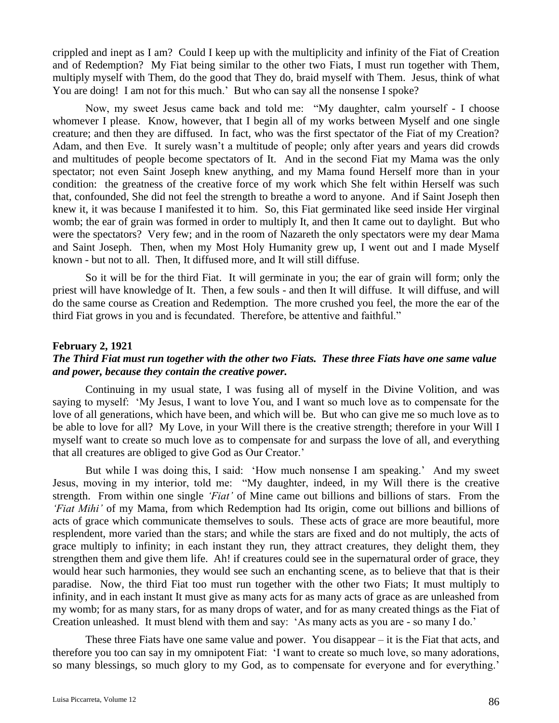crippled and inept as I am? Could I keep up with the multiplicity and infinity of the Fiat of Creation and of Redemption? My Fiat being similar to the other two Fiats, I must run together with Them, multiply myself with Them, do the good that They do, braid myself with Them. Jesus, think of what You are doing! I am not for this much.' But who can say all the nonsense I spoke?

Now, my sweet Jesus came back and told me: "My daughter, calm yourself - I choose whomever I please. Know, however, that I begin all of my works between Myself and one single creature; and then they are diffused. In fact, who was the first spectator of the Fiat of my Creation? Adam, and then Eve. It surely wasn't a multitude of people; only after years and years did crowds and multitudes of people become spectators of It. And in the second Fiat my Mama was the only spectator; not even Saint Joseph knew anything, and my Mama found Herself more than in your condition: the greatness of the creative force of my work which She felt within Herself was such that, confounded, She did not feel the strength to breathe a word to anyone. And if Saint Joseph then knew it, it was because I manifested it to him. So, this Fiat germinated like seed inside Her virginal womb; the ear of grain was formed in order to multiply It, and then It came out to daylight. But who were the spectators? Very few; and in the room of Nazareth the only spectators were my dear Mama and Saint Joseph. Then, when my Most Holy Humanity grew up, I went out and I made Myself known - but not to all. Then, It diffused more, and It will still diffuse.

So it will be for the third Fiat. It will germinate in you; the ear of grain will form; only the priest will have knowledge of It. Then, a few souls - and then It will diffuse. It will diffuse, and will do the same course as Creation and Redemption. The more crushed you feel, the more the ear of the third Fiat grows in you and is fecundated. Therefore, be attentive and faithful."

## **February 2, 1921**

# *The Third Fiat must run together with the other two Fiats. These three Fiats have one same value and power, because they contain the creative power.*

Continuing in my usual state, I was fusing all of myself in the Divine Volition, and was saying to myself: 'My Jesus, I want to love You, and I want so much love as to compensate for the love of all generations, which have been, and which will be. But who can give me so much love as to be able to love for all? My Love, in your Will there is the creative strength; therefore in your Will I myself want to create so much love as to compensate for and surpass the love of all, and everything that all creatures are obliged to give God as Our Creator.'

But while I was doing this, I said: 'How much nonsense I am speaking.' And my sweet Jesus, moving in my interior, told me: "My daughter, indeed, in my Will there is the creative strength. From within one single *'Fiat'* of Mine came out billions and billions of stars. From the *'Fiat Mihi'* of my Mama, from which Redemption had Its origin, come out billions and billions of acts of grace which communicate themselves to souls. These acts of grace are more beautiful, more resplendent, more varied than the stars; and while the stars are fixed and do not multiply, the acts of grace multiply to infinity; in each instant they run, they attract creatures, they delight them, they strengthen them and give them life. Ah! if creatures could see in the supernatural order of grace, they would hear such harmonies, they would see such an enchanting scene, as to believe that that is their paradise. Now, the third Fiat too must run together with the other two Fiats; It must multiply to infinity, and in each instant It must give as many acts for as many acts of grace as are unleashed from my womb; for as many stars, for as many drops of water, and for as many created things as the Fiat of Creation unleashed. It must blend with them and say: 'As many acts as you are - so many I do.'

These three Fiats have one same value and power. You disappear – it is the Fiat that acts, and therefore you too can say in my omnipotent Fiat: 'I want to create so much love, so many adorations, so many blessings, so much glory to my God, as to compensate for everyone and for everything.'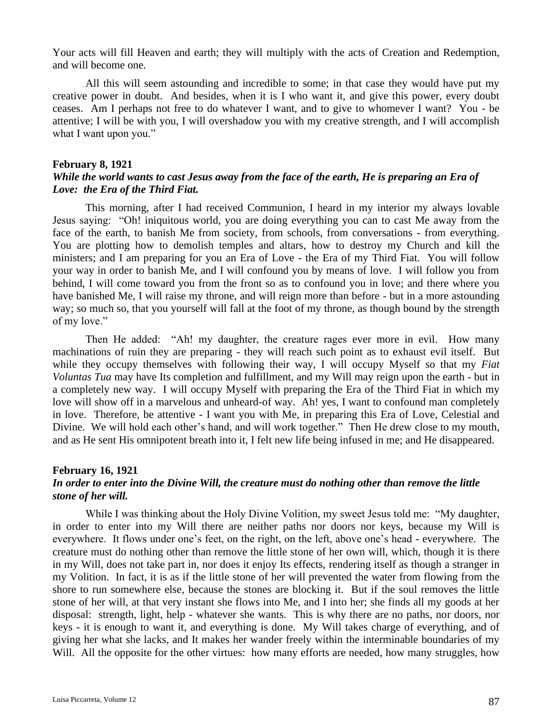Your acts will fill Heaven and earth; they will multiply with the acts of Creation and Redemption, and will become one.

All this will seem astounding and incredible to some; in that case they would have put my creative power in doubt. And besides, when it is I who want it, and give this power, every doubt ceases. Am I perhaps not free to do whatever I want, and to give to whomever I want? You - be attentive; I will be with you, I will overshadow you with my creative strength, and I will accomplish what I want upon you."

#### **February 8, 1921**

## *While the world wants to cast Jesus away from the face of the earth, He is preparing an Era of Love: the Era of the Third Fiat.*

This morning, after I had received Communion, I heard in my interior my always lovable Jesus saying: "Oh! iniquitous world, you are doing everything you can to cast Me away from the face of the earth, to banish Me from society, from schools, from conversations - from everything. You are plotting how to demolish temples and altars, how to destroy my Church and kill the ministers; and I am preparing for you an Era of Love - the Era of my Third Fiat. You will follow your way in order to banish Me, and I will confound you by means of love. I will follow you from behind, I will come toward you from the front so as to confound you in love; and there where you have banished Me, I will raise my throne, and will reign more than before - but in a more astounding way; so much so, that you yourself will fall at the foot of my throne, as though bound by the strength of my love."

Then He added: "Ah! my daughter, the creature rages ever more in evil. How many machinations of ruin they are preparing - they will reach such point as to exhaust evil itself. But while they occupy themselves with following their way, I will occupy Myself so that my *Fiat Voluntas Tua* may have Its completion and fulfillment, and my Will may reign upon the earth - but in a completely new way. I will occupy Myself with preparing the Era of the Third Fiat in which my love will show off in a marvelous and unheard-of way. Ah! yes, I want to confound man completely in love. Therefore, be attentive - I want you with Me, in preparing this Era of Love, Celestial and Divine. We will hold each other's hand, and will work together." Then He drew close to my mouth, and as He sent His omnipotent breath into it, I felt new life being infused in me; and He disappeared.

### **February 16, 1921**

## *In order to enter into the Divine Will, the creature must do nothing other than remove the little stone of her will.*

While I was thinking about the Holy Divine Volition, my sweet Jesus told me: "My daughter, in order to enter into my Will there are neither paths nor doors nor keys, because my Will is everywhere. It flows under one's feet, on the right, on the left, above one's head - everywhere. The creature must do nothing other than remove the little stone of her own will, which, though it is there in my Will, does not take part in, nor does it enjoy Its effects, rendering itself as though a stranger in my Volition. In fact, it is as if the little stone of her will prevented the water from flowing from the shore to run somewhere else, because the stones are blocking it. But if the soul removes the little stone of her will, at that very instant she flows into Me, and I into her; she finds all my goods at her disposal: strength, light, help - whatever she wants. This is why there are no paths, nor doors, nor keys - it is enough to want it, and everything is done. My Will takes charge of everything, and of giving her what she lacks, and It makes her wander freely within the interminable boundaries of my Will. All the opposite for the other virtues: how many efforts are needed, how many struggles, how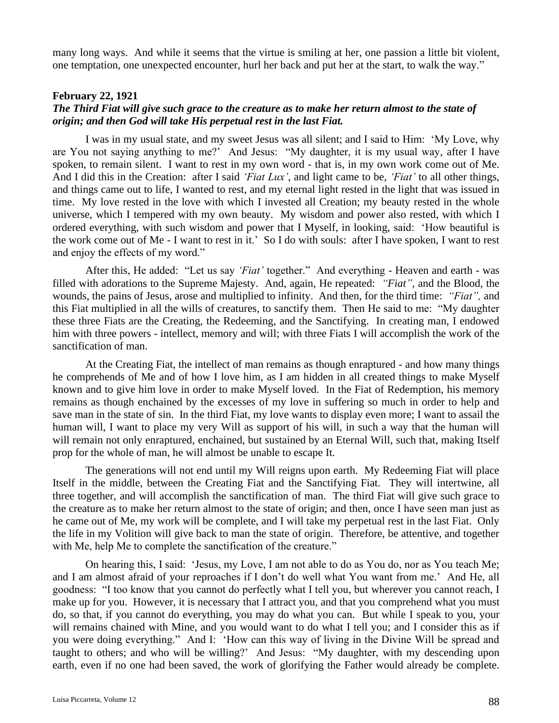many long ways. And while it seems that the virtue is smiling at her, one passion a little bit violent, one temptation, one unexpected encounter, hurl her back and put her at the start, to walk the way."

## **February 22, 1921**

## *The Third Fiat will give such grace to the creature as to make her return almost to the state of origin; and then God will take His perpetual rest in the last Fiat.*

I was in my usual state, and my sweet Jesus was all silent; and I said to Him: 'My Love, why are You not saying anything to me?' And Jesus: "My daughter, it is my usual way, after I have spoken, to remain silent. I want to rest in my own word - that is, in my own work come out of Me. And I did this in the Creation: after I said *'Fiat Lux'*, and light came to be, *'Fiat'* to all other things, and things came out to life, I wanted to rest, and my eternal light rested in the light that was issued in time. My love rested in the love with which I invested all Creation; my beauty rested in the whole universe, which I tempered with my own beauty. My wisdom and power also rested, with which I ordered everything, with such wisdom and power that I Myself, in looking, said: 'How beautiful is the work come out of Me - I want to rest in it.' So I do with souls: after I have spoken, I want to rest and enjoy the effects of my word."

After this, He added: "Let us say *'Fiat'* together." And everything - Heaven and earth - was filled with adorations to the Supreme Majesty. And, again, He repeated: *"Fiat"*, and the Blood, the wounds, the pains of Jesus, arose and multiplied to infinity. And then, for the third time: *"Fiat",* and this Fiat multiplied in all the wills of creatures, to sanctify them. Then He said to me: "My daughter these three Fiats are the Creating, the Redeeming, and the Sanctifying. In creating man, I endowed him with three powers - intellect, memory and will; with three Fiats I will accomplish the work of the sanctification of man.

At the Creating Fiat, the intellect of man remains as though enraptured - and how many things he comprehends of Me and of how I love him, as I am hidden in all created things to make Myself known and to give him love in order to make Myself loved. In the Fiat of Redemption, his memory remains as though enchained by the excesses of my love in suffering so much in order to help and save man in the state of sin. In the third Fiat, my love wants to display even more; I want to assail the human will, I want to place my very Will as support of his will, in such a way that the human will will remain not only enraptured, enchained, but sustained by an Eternal Will, such that, making Itself prop for the whole of man, he will almost be unable to escape It.

The generations will not end until my Will reigns upon earth. My Redeeming Fiat will place Itself in the middle, between the Creating Fiat and the Sanctifying Fiat. They will intertwine, all three together, and will accomplish the sanctification of man. The third Fiat will give such grace to the creature as to make her return almost to the state of origin; and then, once I have seen man just as he came out of Me, my work will be complete, and I will take my perpetual rest in the last Fiat. Only the life in my Volition will give back to man the state of origin. Therefore, be attentive, and together with Me, help Me to complete the sanctification of the creature."

On hearing this, I said: 'Jesus, my Love, I am not able to do as You do, nor as You teach Me; and I am almost afraid of your reproaches if I don't do well what You want from me.' And He, all goodness: "I too know that you cannot do perfectly what I tell you, but wherever you cannot reach, I make up for you. However, it is necessary that I attract you, and that you comprehend what you must do, so that, if you cannot do everything, you may do what you can. But while I speak to you, your will remains chained with Mine, and you would want to do what I tell you; and I consider this as if you were doing everything." And I: 'How can this way of living in the Divine Will be spread and taught to others; and who will be willing?' And Jesus: "My daughter, with my descending upon earth, even if no one had been saved, the work of glorifying the Father would already be complete.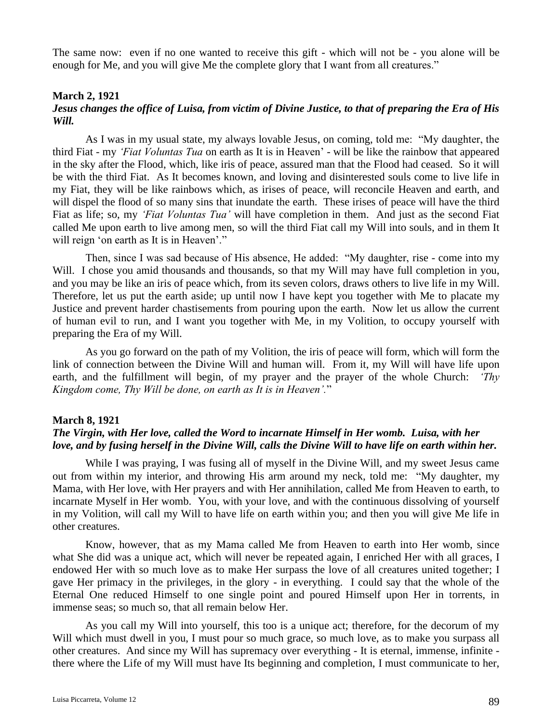The same now: even if no one wanted to receive this gift - which will not be - you alone will be enough for Me, and you will give Me the complete glory that I want from all creatures."

### **March 2, 1921**

# *Jesus changes the office of Luisa, from victim of Divine Justice, to that of preparing the Era of His Will.*

As I was in my usual state, my always lovable Jesus, on coming, told me: "My daughter, the third Fiat - my *'Fiat Voluntas Tua* on earth as It is in Heaven' - will be like the rainbow that appeared in the sky after the Flood, which, like iris of peace, assured man that the Flood had ceased. So it will be with the third Fiat. As It becomes known, and loving and disinterested souls come to live life in my Fiat, they will be like rainbows which, as irises of peace, will reconcile Heaven and earth, and will dispel the flood of so many sins that inundate the earth. These irises of peace will have the third Fiat as life; so, my *'Fiat Voluntas Tua'* will have completion in them. And just as the second Fiat called Me upon earth to live among men, so will the third Fiat call my Will into souls, and in them It will reign 'on earth as It is in Heaven'."

Then, since I was sad because of His absence, He added: "My daughter, rise - come into my Will. I chose you amid thousands and thousands, so that my Will may have full completion in you, and you may be like an iris of peace which, from its seven colors, draws others to live life in my Will. Therefore, let us put the earth aside; up until now I have kept you together with Me to placate my Justice and prevent harder chastisements from pouring upon the earth. Now let us allow the current of human evil to run, and I want you together with Me, in my Volition, to occupy yourself with preparing the Era of my Will.

As you go forward on the path of my Volition, the iris of peace will form, which will form the link of connection between the Divine Will and human will. From it, my Will will have life upon earth, and the fulfillment will begin, of my prayer and the prayer of the whole Church: *'Thy Kingdom come, Thy Will be done, on earth as It is in Heaven'.*"

#### **March 8, 1921**

## *The Virgin, with Her love, called the Word to incarnate Himself in Her womb. Luisa, with her love, and by fusing herself in the Divine Will, calls the Divine Will to have life on earth within her.*

While I was praying, I was fusing all of myself in the Divine Will, and my sweet Jesus came out from within my interior, and throwing His arm around my neck, told me: "My daughter, my Mama, with Her love, with Her prayers and with Her annihilation, called Me from Heaven to earth, to incarnate Myself in Her womb. You, with your love, and with the continuous dissolving of yourself in my Volition, will call my Will to have life on earth within you; and then you will give Me life in other creatures.

Know, however, that as my Mama called Me from Heaven to earth into Her womb, since what She did was a unique act, which will never be repeated again, I enriched Her with all graces, I endowed Her with so much love as to make Her surpass the love of all creatures united together; I gave Her primacy in the privileges, in the glory - in everything. I could say that the whole of the Eternal One reduced Himself to one single point and poured Himself upon Her in torrents, in immense seas; so much so, that all remain below Her.

As you call my Will into yourself, this too is a unique act; therefore, for the decorum of my Will which must dwell in you, I must pour so much grace, so much love, as to make you surpass all other creatures. And since my Will has supremacy over everything - It is eternal, immense, infinite there where the Life of my Will must have Its beginning and completion, I must communicate to her,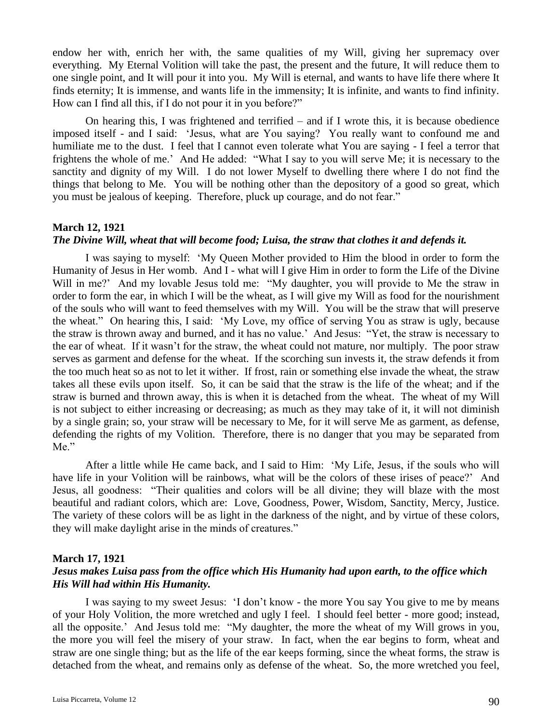endow her with, enrich her with, the same qualities of my Will, giving her supremacy over everything. My Eternal Volition will take the past, the present and the future, It will reduce them to one single point, and It will pour it into you. My Will is eternal, and wants to have life there where It finds eternity; It is immense, and wants life in the immensity; It is infinite, and wants to find infinity. How can I find all this, if I do not pour it in you before?"

On hearing this, I was frightened and terrified – and if I wrote this, it is because obedience imposed itself - and I said: 'Jesus, what are You saying? You really want to confound me and humiliate me to the dust. I feel that I cannot even tolerate what You are saying - I feel a terror that frightens the whole of me.' And He added: "What I say to you will serve Me; it is necessary to the sanctity and dignity of my Will. I do not lower Myself to dwelling there where I do not find the things that belong to Me. You will be nothing other than the depository of a good so great, which you must be jealous of keeping. Therefore, pluck up courage, and do not fear."

## **March 12, 1921**

## *The Divine Will, wheat that will become food; Luisa, the straw that clothes it and defends it.*

I was saying to myself: 'My Queen Mother provided to Him the blood in order to form the Humanity of Jesus in Her womb. And I - what will I give Him in order to form the Life of the Divine Will in me?' And my lovable Jesus told me: "My daughter, you will provide to Me the straw in order to form the ear, in which I will be the wheat, as I will give my Will as food for the nourishment of the souls who will want to feed themselves with my Will. You will be the straw that will preserve the wheat." On hearing this, I said: 'My Love, my office of serving You as straw is ugly, because the straw is thrown away and burned, and it has no value.' And Jesus: "Yet, the straw is necessary to the ear of wheat. If it wasn't for the straw, the wheat could not mature, nor multiply. The poor straw serves as garment and defense for the wheat. If the scorching sun invests it, the straw defends it from the too much heat so as not to let it wither. If frost, rain or something else invade the wheat, the straw takes all these evils upon itself. So, it can be said that the straw is the life of the wheat; and if the straw is burned and thrown away, this is when it is detached from the wheat. The wheat of my Will is not subject to either increasing or decreasing; as much as they may take of it, it will not diminish by a single grain; so, your straw will be necessary to Me, for it will serve Me as garment, as defense, defending the rights of my Volition. Therefore, there is no danger that you may be separated from Me."

After a little while He came back, and I said to Him: 'My Life, Jesus, if the souls who will have life in your Volition will be rainbows, what will be the colors of these irises of peace?' And Jesus, all goodness: "Their qualities and colors will be all divine; they will blaze with the most beautiful and radiant colors, which are: Love, Goodness, Power, Wisdom, Sanctity, Mercy, Justice. The variety of these colors will be as light in the darkness of the night, and by virtue of these colors, they will make daylight arise in the minds of creatures."

#### **March 17, 1921**

# *Jesus makes Luisa pass from the office which His Humanity had upon earth, to the office which His Will had within His Humanity.*

I was saying to my sweet Jesus: 'I don't know - the more You say You give to me by means of your Holy Volition, the more wretched and ugly I feel. I should feel better - more good; instead, all the opposite.' And Jesus told me: "My daughter, the more the wheat of my Will grows in you, the more you will feel the misery of your straw. In fact, when the ear begins to form, wheat and straw are one single thing; but as the life of the ear keeps forming, since the wheat forms, the straw is detached from the wheat, and remains only as defense of the wheat. So, the more wretched you feel,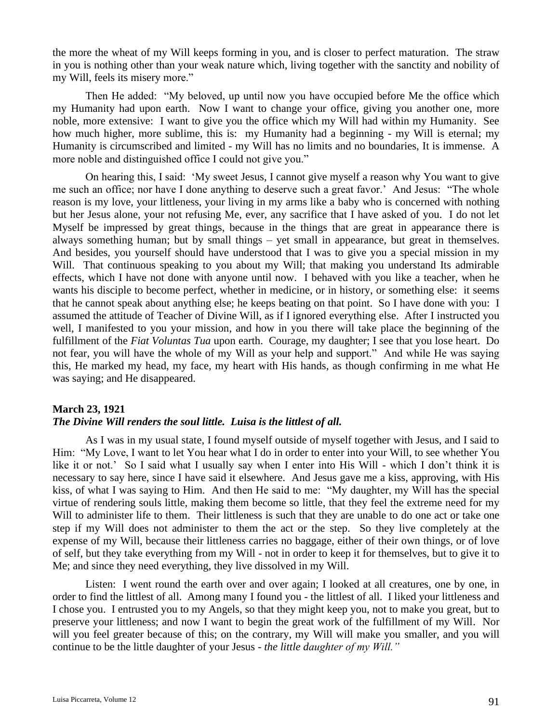the more the wheat of my Will keeps forming in you, and is closer to perfect maturation. The straw in you is nothing other than your weak nature which, living together with the sanctity and nobility of my Will, feels its misery more."

Then He added: "My beloved, up until now you have occupied before Me the office which my Humanity had upon earth. Now I want to change your office, giving you another one, more noble, more extensive: I want to give you the office which my Will had within my Humanity. See how much higher, more sublime, this is: my Humanity had a beginning - my Will is eternal; my Humanity is circumscribed and limited - my Will has no limits and no boundaries, It is immense. A more noble and distinguished office I could not give you."

On hearing this, I said: 'My sweet Jesus, I cannot give myself a reason why You want to give me such an office; nor have I done anything to deserve such a great favor.' And Jesus: "The whole reason is my love, your littleness, your living in my arms like a baby who is concerned with nothing but her Jesus alone, your not refusing Me, ever, any sacrifice that I have asked of you. I do not let Myself be impressed by great things, because in the things that are great in appearance there is always something human; but by small things – yet small in appearance, but great in themselves. And besides, you yourself should have understood that I was to give you a special mission in my Will. That continuous speaking to you about my Will; that making you understand Its admirable effects, which I have not done with anyone until now. I behaved with you like a teacher, when he wants his disciple to become perfect, whether in medicine, or in history, or something else: it seems that he cannot speak about anything else; he keeps beating on that point. So I have done with you: I assumed the attitude of Teacher of Divine Will, as if I ignored everything else. After I instructed you well, I manifested to you your mission, and how in you there will take place the beginning of the fulfillment of the *Fiat Voluntas Tua* upon earth. Courage, my daughter; I see that you lose heart. Do not fear, you will have the whole of my Will as your help and support." And while He was saying this, He marked my head, my face, my heart with His hands, as though confirming in me what He was saying; and He disappeared.

## **March 23, 1921**

## *The Divine Will renders the soul little. Luisa is the littlest of all.*

As I was in my usual state, I found myself outside of myself together with Jesus, and I said to Him: "My Love, I want to let You hear what I do in order to enter into your Will, to see whether You like it or not.' So I said what I usually say when I enter into His Will - which I don't think it is necessary to say here, since I have said it elsewhere. And Jesus gave me a kiss, approving, with His kiss, of what I was saying to Him. And then He said to me: "My daughter, my Will has the special virtue of rendering souls little, making them become so little, that they feel the extreme need for my Will to administer life to them. Their littleness is such that they are unable to do one act or take one step if my Will does not administer to them the act or the step. So they live completely at the expense of my Will, because their littleness carries no baggage, either of their own things, or of love of self, but they take everything from my Will - not in order to keep it for themselves, but to give it to Me; and since they need everything, they live dissolved in my Will.

Listen: I went round the earth over and over again; I looked at all creatures, one by one, in order to find the littlest of all. Among many I found you - the littlest of all. I liked your littleness and I chose you. I entrusted you to my Angels, so that they might keep you, not to make you great, but to preserve your littleness; and now I want to begin the great work of the fulfillment of my Will. Nor will you feel greater because of this; on the contrary, my Will will make you smaller, and you will continue to be the little daughter of your Jesus - *the little daughter of my Will."*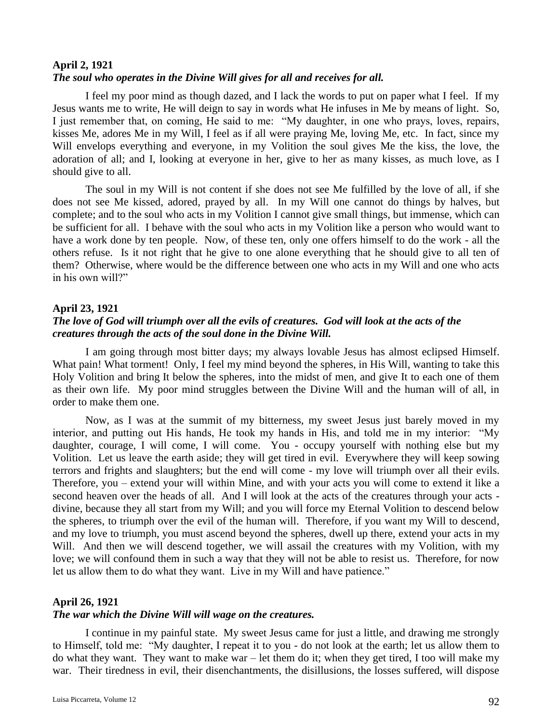## **April 2, 1921**

## *The soul who operates in the Divine Will gives for all and receives for all.*

I feel my poor mind as though dazed, and I lack the words to put on paper what I feel. If my Jesus wants me to write, He will deign to say in words what He infuses in Me by means of light. So, I just remember that, on coming, He said to me: "My daughter, in one who prays, loves, repairs, kisses Me, adores Me in my Will, I feel as if all were praying Me, loving Me, etc. In fact, since my Will envelops everything and everyone, in my Volition the soul gives Me the kiss, the love, the adoration of all; and I, looking at everyone in her, give to her as many kisses, as much love, as I should give to all.

The soul in my Will is not content if she does not see Me fulfilled by the love of all, if she does not see Me kissed, adored, prayed by all. In my Will one cannot do things by halves, but complete; and to the soul who acts in my Volition I cannot give small things, but immense, which can be sufficient for all. I behave with the soul who acts in my Volition like a person who would want to have a work done by ten people. Now, of these ten, only one offers himself to do the work - all the others refuse. Is it not right that he give to one alone everything that he should give to all ten of them? Otherwise, where would be the difference between one who acts in my Will and one who acts in his own will?"

## **April 23, 1921**

# *The love of God will triumph over all the evils of creatures. God will look at the acts of the creatures through the acts of the soul done in the Divine Will.*

I am going through most bitter days; my always lovable Jesus has almost eclipsed Himself. What pain! What torment! Only, I feel my mind beyond the spheres, in His Will, wanting to take this Holy Volition and bring It below the spheres, into the midst of men, and give It to each one of them as their own life. My poor mind struggles between the Divine Will and the human will of all, in order to make them one.

Now, as I was at the summit of my bitterness, my sweet Jesus just barely moved in my interior, and putting out His hands, He took my hands in His, and told me in my interior: "My daughter, courage, I will come, I will come. You - occupy yourself with nothing else but my Volition. Let us leave the earth aside; they will get tired in evil. Everywhere they will keep sowing terrors and frights and slaughters; but the end will come - my love will triumph over all their evils. Therefore, you – extend your will within Mine, and with your acts you will come to extend it like a second heaven over the heads of all. And I will look at the acts of the creatures through your acts divine, because they all start from my Will; and you will force my Eternal Volition to descend below the spheres, to triumph over the evil of the human will. Therefore, if you want my Will to descend, and my love to triumph, you must ascend beyond the spheres, dwell up there, extend your acts in my Will. And then we will descend together, we will assail the creatures with my Volition, with my love; we will confound them in such a way that they will not be able to resist us. Therefore, for now let us allow them to do what they want. Live in my Will and have patience."

## **April 26, 1921**

## *The war which the Divine Will will wage on the creatures.*

I continue in my painful state. My sweet Jesus came for just a little, and drawing me strongly to Himself, told me: "My daughter, I repeat it to you - do not look at the earth; let us allow them to do what they want. They want to make war – let them do it; when they get tired, I too will make my war. Their tiredness in evil, their disenchantments, the disillusions, the losses suffered, will dispose